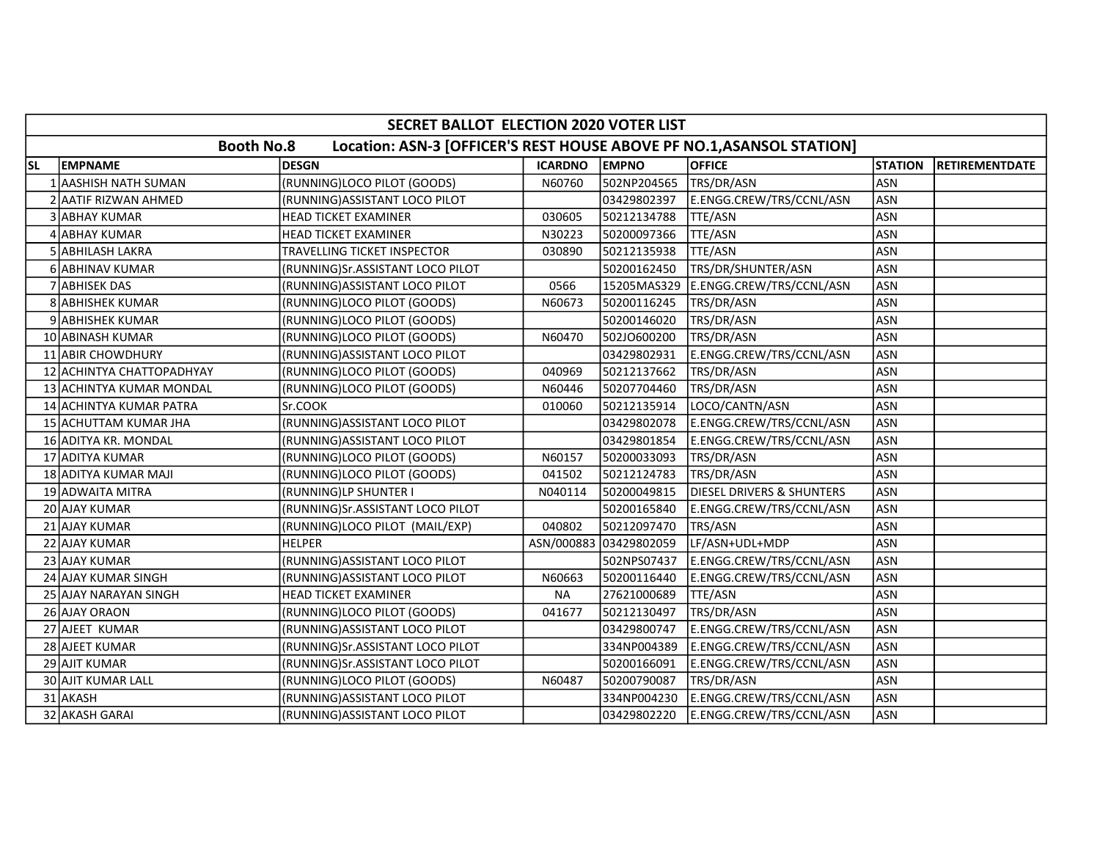|           | SECRET BALLOT ELECTION 2020 VOTER LIST |                                                                       |                |                        |                                      |                |                       |  |  |  |
|-----------|----------------------------------------|-----------------------------------------------------------------------|----------------|------------------------|--------------------------------------|----------------|-----------------------|--|--|--|
|           | <b>Booth No.8</b>                      | Location: ASN-3 [OFFICER'S REST HOUSE ABOVE PF NO.1, ASANSOL STATION] |                |                        |                                      |                |                       |  |  |  |
| <b>SL</b> | <b>EMPNAME</b>                         | <b>DESGN</b>                                                          | <b>ICARDNO</b> | <b>EMPNO</b>           | <b>OFFICE</b>                        | <b>STATION</b> | <b>RETIREMENTDATE</b> |  |  |  |
|           | 1 AASHISH NATH SUMAN                   | (RUNNING)LOCO PILOT (GOODS)                                           | N60760         | 502NP204565            | TRS/DR/ASN                           | <b>ASN</b>     |                       |  |  |  |
|           | 2 AATIF RIZWAN AHMED                   | (RUNNING) ASSISTANT LOCO PILOT                                        |                | 03429802397            | E.ENGG.CREW/TRS/CCNL/ASN             | <b>ASN</b>     |                       |  |  |  |
|           | 3 ABHAY KUMAR                          | HEAD TICKET EXAMINER                                                  | 030605         | 50212134788            | TTE/ASN                              | <b>ASN</b>     |                       |  |  |  |
| 41        | <b>ABHAY KUMAR</b>                     | HEAD TICKET EXAMINER                                                  | N30223         | 50200097366            | TTE/ASN                              | ASN            |                       |  |  |  |
|           | 5 ABHILASH LAKRA                       | TRAVELLING TICKET INSPECTOR                                           | 030890         | 50212135938            | TTE/ASN                              | <b>ASN</b>     |                       |  |  |  |
|           | 6 ABHINAV KUMAR                        | (RUNNING)Sr.ASSISTANT LOCO PILOT                                      |                | 50200162450            | TRS/DR/SHUNTER/ASN                   | <b>ASN</b>     |                       |  |  |  |
|           | 7 ABHISEK DAS                          | (RUNNING) ASSISTANT LOCO PILOT                                        | 0566           | 15205MAS329            | E.ENGG.CREW/TRS/CCNL/ASN             | <b>ASN</b>     |                       |  |  |  |
|           | 8 ABHISHEK KUMAR                       | (RUNNING)LOCO PILOT (GOODS)                                           | N60673         | 50200116245            | TRS/DR/ASN                           | <b>ASN</b>     |                       |  |  |  |
|           | 9 ABHISHEK KUMAR                       | (RUNNING)LOCO PILOT (GOODS)                                           |                | 50200146020            | TRS/DR/ASN                           | <b>ASN</b>     |                       |  |  |  |
|           | 10 ABINASH KUMAR                       | (RUNNING)LOCO PILOT (GOODS)                                           | N60470         | 502JO600200            | TRS/DR/ASN                           | <b>ASN</b>     |                       |  |  |  |
|           | 11 ABIR CHOWDHURY                      | (RUNNING) ASSISTANT LOCO PILOT                                        |                | 03429802931            | E.ENGG.CREW/TRS/CCNL/ASN             | <b>ASN</b>     |                       |  |  |  |
|           | 12 ACHINTYA CHATTOPADHYAY              | (RUNNING)LOCO PILOT (GOODS)                                           | 040969         | 50212137662            | TRS/DR/ASN                           | <b>ASN</b>     |                       |  |  |  |
|           | 13 ACHINTYA KUMAR MONDAL               | (RUNNING)LOCO PILOT (GOODS)                                           | N60446         | 50207704460            | TRS/DR/ASN                           | <b>ASN</b>     |                       |  |  |  |
|           | 14 ACHINTYA KUMAR PATRA                | Sr.COOK                                                               | 010060         | 50212135914            | LOCO/CANTN/ASN                       | <b>ASN</b>     |                       |  |  |  |
|           | 15 ACHUTTAM KUMAR JHA                  | (RUNNING) ASSISTANT LOCO PILOT                                        |                | 03429802078            | E.ENGG.CREW/TRS/CCNL/ASN             | <b>ASN</b>     |                       |  |  |  |
|           | 16 ADITYA KR. MONDAL                   | (RUNNING)ASSISTANT LOCO PILOT                                         |                | 03429801854            | E.ENGG.CREW/TRS/CCNL/ASN             | <b>ASN</b>     |                       |  |  |  |
|           | 17 ADITYA KUMAR                        | (RUNNING)LOCO PILOT (GOODS)                                           | N60157         | 50200033093            | TRS/DR/ASN                           | <b>ASN</b>     |                       |  |  |  |
|           | 18 ADITYA KUMAR MAJI                   | (RUNNING)LOCO PILOT (GOODS)                                           | 041502         | 50212124783            | TRS/DR/ASN                           | <b>ASN</b>     |                       |  |  |  |
|           | 19 ADWAITA MITRA                       | (RUNNING)LP SHUNTER I                                                 | N040114        | 50200049815            | <b>DIESEL DRIVERS &amp; SHUNTERS</b> | <b>ASN</b>     |                       |  |  |  |
|           | 20 AJAY KUMAR                          | (RUNNING)Sr.ASSISTANT LOCO PILOT                                      |                | 50200165840            | E.ENGG.CREW/TRS/CCNL/ASN             | <b>ASN</b>     |                       |  |  |  |
|           | 21 AJAY KUMAR                          | (RUNNING)LOCO PILOT (MAIL/EXP)                                        | 040802         | 50212097470            | TRS/ASN                              | <b>ASN</b>     |                       |  |  |  |
|           | 22 AJAY KUMAR                          | <b>HELPER</b>                                                         |                | ASN/000883 03429802059 | LF/ASN+UDL+MDP                       | <b>ASN</b>     |                       |  |  |  |
|           | 23 AJAY KUMAR                          | (RUNNING) ASSISTANT LOCO PILOT                                        |                | 502NPS07437            | E.ENGG.CREW/TRS/CCNL/ASN             | <b>ASN</b>     |                       |  |  |  |
|           | 24 AJAY KUMAR SINGH                    | (RUNNING) ASSISTANT LOCO PILOT                                        | N60663         | 50200116440            | E.ENGG.CREW/TRS/CCNL/ASN             | <b>ASN</b>     |                       |  |  |  |
|           | 25 AJAY NARAYAN SINGH                  | HEAD TICKET EXAMINER                                                  | <b>NA</b>      | 27621000689            | <b>TTE/ASN</b>                       | <b>ASN</b>     |                       |  |  |  |
|           | 26 AJAY ORAON                          | (RUNNING)LOCO PILOT (GOODS)                                           | 041677         | 50212130497            | TRS/DR/ASN                           | <b>ASN</b>     |                       |  |  |  |
|           | 27 AJEET KUMAR                         | (RUNNING) ASSISTANT LOCO PILOT                                        |                | 03429800747            | E.ENGG.CREW/TRS/CCNL/ASN             | <b>ASN</b>     |                       |  |  |  |
|           | 28 AJEET KUMAR                         | (RUNNING)Sr.ASSISTANT LOCO PILOT                                      |                | 334NP004389            | E.ENGG.CREW/TRS/CCNL/ASN             | <b>ASN</b>     |                       |  |  |  |
|           | 29 AJIT KUMAR                          | (RUNNING)Sr.ASSISTANT LOCO PILOT                                      |                | 50200166091            | E.ENGG.CREW/TRS/CCNL/ASN             | <b>ASN</b>     |                       |  |  |  |
|           | <b>30 AJIT KUMAR LALL</b>              | (RUNNING)LOCO PILOT (GOODS)                                           | N60487         | 50200790087            | TRS/DR/ASN                           | <b>ASN</b>     |                       |  |  |  |
|           | 31 AKASH                               | (RUNNING) ASSISTANT LOCO PILOT                                        |                | 334NP004230            | E.ENGG.CREW/TRS/CCNL/ASN             | <b>ASN</b>     |                       |  |  |  |
|           | 32 AKASH GARAI                         | (RUNNING) ASSISTANT LOCO PILOT                                        |                | 03429802220            | E.ENGG.CREW/TRS/CCNL/ASN             | <b>ASN</b>     |                       |  |  |  |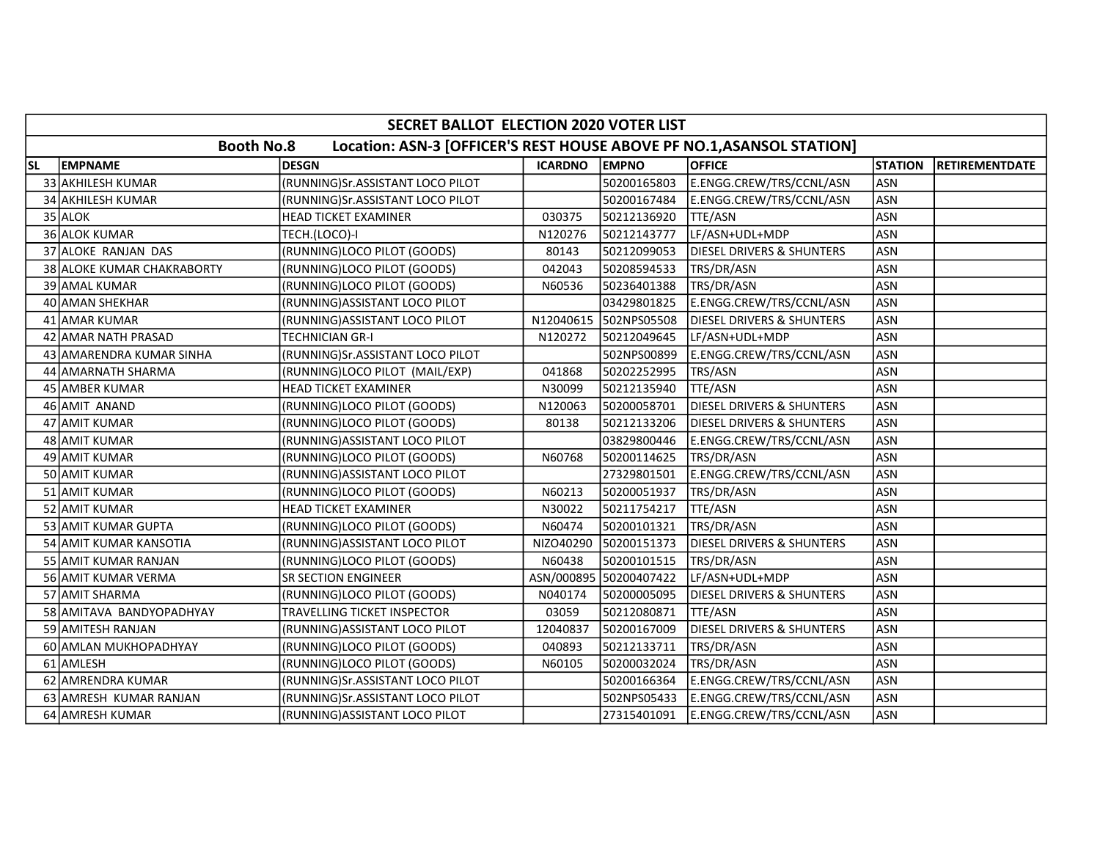|           | SECRET BALLOT ELECTION 2020 VOTER LIST                                                     |                                  |                |                        |                                      |                |                       |  |  |  |
|-----------|--------------------------------------------------------------------------------------------|----------------------------------|----------------|------------------------|--------------------------------------|----------------|-----------------------|--|--|--|
|           | <b>Booth No.8</b><br>Location: ASN-3 [OFFICER'S REST HOUSE ABOVE PF NO.1, ASANSOL STATION] |                                  |                |                        |                                      |                |                       |  |  |  |
| <b>SL</b> | <b>EMPNAME</b>                                                                             | <b>DESGN</b>                     | <b>ICARDNO</b> | <b>EMPNO</b>           | <b>OFFICE</b>                        | <b>STATION</b> | <b>RETIREMENTDATE</b> |  |  |  |
|           | 33 AKHILESH KUMAR                                                                          | (RUNNING)Sr.ASSISTANT LOCO PILOT |                | 50200165803            | E.ENGG.CREW/TRS/CCNL/ASN             | <b>ASN</b>     |                       |  |  |  |
|           | 34 AKHILESH KUMAR                                                                          | (RUNNING)Sr.ASSISTANT LOCO PILOT |                | 50200167484            | E.ENGG.CREW/TRS/CCNL/ASN             | <b>ASN</b>     |                       |  |  |  |
|           | $35$ ALOK                                                                                  | <b>HEAD TICKET EXAMINER</b>      | 030375         | 50212136920            | <b>TTE/ASN</b>                       | <b>ASN</b>     |                       |  |  |  |
|           | 36 ALOK KUMAR                                                                              | TECH.(LOCO)-I                    | N120276        | 50212143777            | LF/ASN+UDL+MDP                       | <b>ASN</b>     |                       |  |  |  |
|           | 37 ALOKE RANJAN DAS                                                                        | (RUNNING)LOCO PILOT (GOODS)      | 80143          | 50212099053            | <b>DIESEL DRIVERS &amp; SHUNTERS</b> | <b>ASN</b>     |                       |  |  |  |
|           | 38 ALOKE KUMAR CHAKRABORTY                                                                 | (RUNNING)LOCO PILOT (GOODS)      | 042043         | 50208594533            | TRS/DR/ASN                           | <b>ASN</b>     |                       |  |  |  |
|           | 39 AMAL KUMAR                                                                              | (RUNNING)LOCO PILOT (GOODS)      | N60536         | 50236401388            | TRS/DR/ASN                           | <b>ASN</b>     |                       |  |  |  |
|           | 40 AMAN SHEKHAR                                                                            | (RUNNING) ASSISTANT LOCO PILOT   |                | 03429801825            | E.ENGG.CREW/TRS/CCNL/ASN             | <b>ASN</b>     |                       |  |  |  |
|           | 41 AMAR KUMAR                                                                              | (RUNNING) ASSISTANT LOCO PILOT   | N12040615      | 502NPS05508            | <b>DIESEL DRIVERS &amp; SHUNTERS</b> | <b>ASN</b>     |                       |  |  |  |
|           | 42 AMAR NATH PRASAD                                                                        | <b>TECHNICIAN GR-I</b>           | N120272        | 50212049645            | LF/ASN+UDL+MDP                       | <b>ASN</b>     |                       |  |  |  |
|           | 43 AMARENDRA KUMAR SINHA                                                                   | (RUNNING)Sr.ASSISTANT LOCO PILOT |                | 502NPS00899            | E.ENGG.CREW/TRS/CCNL/ASN             | <b>ASN</b>     |                       |  |  |  |
|           | 44 AMARNATH SHARMA                                                                         | (RUNNING)LOCO PILOT (MAIL/EXP)   | 041868         | 50202252995            | TRS/ASN                              | <b>ASN</b>     |                       |  |  |  |
|           | 45 AMBER KUMAR                                                                             | <b>HEAD TICKET EXAMINER</b>      | N30099         | 50212135940            | TTE/ASN                              | <b>ASN</b>     |                       |  |  |  |
|           | 46 AMIT ANAND                                                                              | (RUNNING)LOCO PILOT (GOODS)      | N120063        | 50200058701            | DIESEL DRIVERS & SHUNTERS            | <b>ASN</b>     |                       |  |  |  |
|           | 47 AMIT KUMAR                                                                              | (RUNNING)LOCO PILOT (GOODS)      | 80138          | 50212133206            | DIESEL DRIVERS & SHUNTERS            | <b>ASN</b>     |                       |  |  |  |
|           | 48 AMIT KUMAR                                                                              | (RUNNING)ASSISTANT LOCO PILOT    |                | 03829800446            | E.ENGG.CREW/TRS/CCNL/ASN             | <b>ASN</b>     |                       |  |  |  |
|           | 49 AMIT KUMAR                                                                              | (RUNNING)LOCO PILOT (GOODS)      | N60768         | 50200114625            | TRS/DR/ASN                           | <b>ASN</b>     |                       |  |  |  |
|           | 50 AMIT KUMAR                                                                              | (RUNNING) ASSISTANT LOCO PILOT   |                | 27329801501            | E.ENGG.CREW/TRS/CCNL/ASN             | <b>ASN</b>     |                       |  |  |  |
|           | 51 AMIT KUMAR                                                                              | (RUNNING)LOCO PILOT (GOODS)      | N60213         | 50200051937            | TRS/DR/ASN                           | <b>ASN</b>     |                       |  |  |  |
|           | 52 AMIT KUMAR                                                                              | <b>HEAD TICKET EXAMINER</b>      | N30022         | 50211754217            | TTE/ASN                              | <b>ASN</b>     |                       |  |  |  |
|           | 53 AMIT KUMAR GUPTA                                                                        | (RUNNING)LOCO PILOT (GOODS)      | N60474         | 50200101321            | TRS/DR/ASN                           | <b>ASN</b>     |                       |  |  |  |
|           | 54 AMIT KUMAR KANSOTIA                                                                     | (RUNNING) ASSISTANT LOCO PILOT   | NIZO40290      | 50200151373            | <b>DIESEL DRIVERS &amp; SHUNTERS</b> | <b>ASN</b>     |                       |  |  |  |
|           | 55 AMIT KUMAR RANJAN                                                                       | (RUNNING)LOCO PILOT (GOODS)      | N60438         | 50200101515            | TRS/DR/ASN                           | <b>ASN</b>     |                       |  |  |  |
|           | 56 AMIT KUMAR VERMA                                                                        | <b>SR SECTION ENGINEER</b>       |                | ASN/000895 50200407422 | LF/ASN+UDL+MDP                       | <b>ASN</b>     |                       |  |  |  |
|           | 57 AMIT SHARMA                                                                             | (RUNNING)LOCO PILOT (GOODS)      | N040174        | 50200005095            | DIESEL DRIVERS & SHUNTERS            | <b>ASN</b>     |                       |  |  |  |
|           | 58 AMITAVA BANDYOPADHYAY                                                                   | TRAVELLING TICKET INSPECTOR      | 03059          | 50212080871            | TTE/ASN                              | <b>ASN</b>     |                       |  |  |  |
|           | 59 AMITESH RANJAN                                                                          | (RUNNING) ASSISTANT LOCO PILOT   | 12040837       | 50200167009            | DIESEL DRIVERS & SHUNTERS            | <b>ASN</b>     |                       |  |  |  |
|           | 60 AMLAN MUKHOPADHYAY                                                                      | (RUNNING)LOCO PILOT (GOODS)      | 040893         | 50212133711            | TRS/DR/ASN                           | <b>ASN</b>     |                       |  |  |  |
|           | 61 AMLESH                                                                                  | (RUNNING)LOCO PILOT (GOODS)      | N60105         | 50200032024            | TRS/DR/ASN                           | <b>ASN</b>     |                       |  |  |  |
|           | 62 AMRENDRA KUMAR                                                                          | (RUNNING)Sr.ASSISTANT LOCO PILOT |                | 50200166364            | E.ENGG.CREW/TRS/CCNL/ASN             | <b>ASN</b>     |                       |  |  |  |
|           | 63 AMRESH KUMAR RANJAN                                                                     | (RUNNING)Sr.ASSISTANT LOCO PILOT |                | 502NPS05433            | E.ENGG.CREW/TRS/CCNL/ASN             | <b>ASN</b>     |                       |  |  |  |
|           | 64 AMRESH KUMAR                                                                            | (RUNNING) ASSISTANT LOCO PILOT   |                | 27315401091            | E.ENGG.CREW/TRS/CCNL/ASN             | ASN            |                       |  |  |  |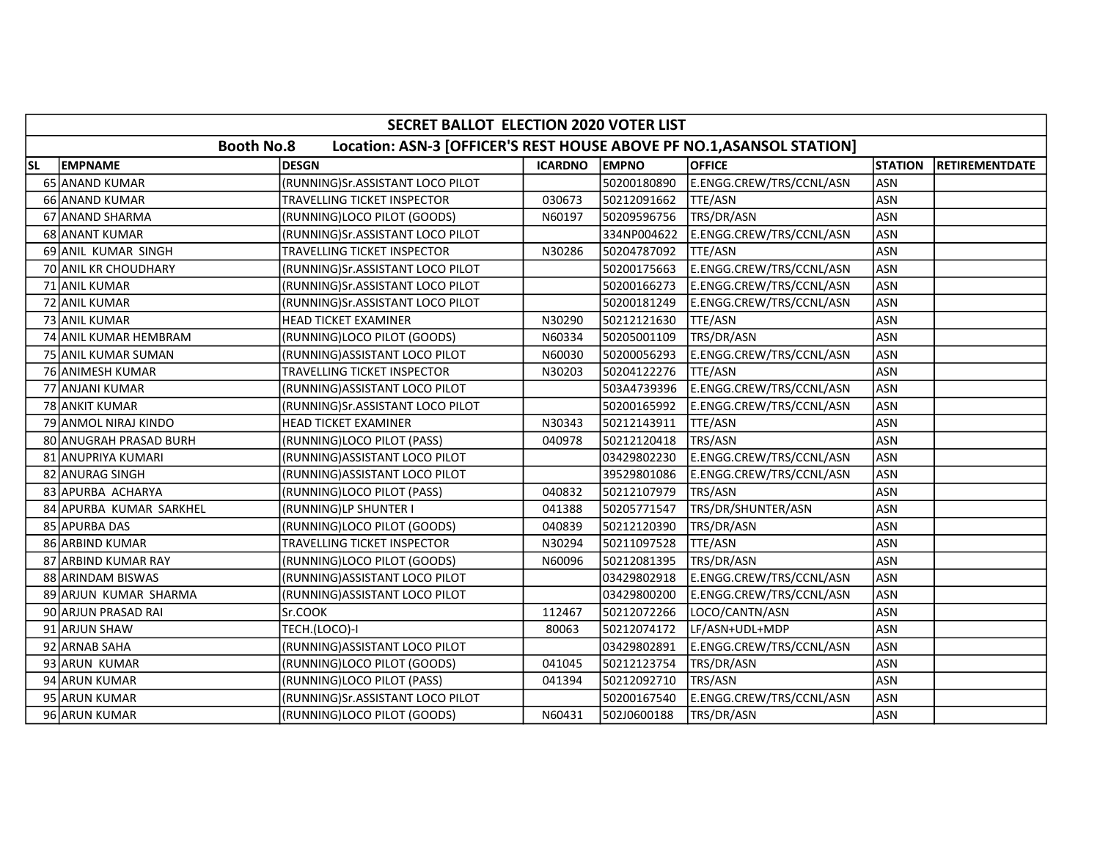|           | SECRET BALLOT ELECTION 2020 VOTER LIST                                                     |                                  |                |              |                          |                |                       |  |  |  |  |
|-----------|--------------------------------------------------------------------------------------------|----------------------------------|----------------|--------------|--------------------------|----------------|-----------------------|--|--|--|--|
|           | <b>Booth No.8</b><br>Location: ASN-3 [OFFICER'S REST HOUSE ABOVE PF NO.1, ASANSOL STATION] |                                  |                |              |                          |                |                       |  |  |  |  |
| <b>SL</b> | <b>EMPNAME</b>                                                                             | <b>DESGN</b>                     | <b>ICARDNO</b> | <b>EMPNO</b> | <b>OFFICE</b>            | <b>STATION</b> | <b>RETIREMENTDATE</b> |  |  |  |  |
|           | 65 ANAND KUMAR                                                                             | (RUNNING)Sr.ASSISTANT LOCO PILOT |                | 50200180890  | E.ENGG.CREW/TRS/CCNL/ASN | <b>ASN</b>     |                       |  |  |  |  |
|           | 66 ANAND KUMAR                                                                             | TRAVELLING TICKET INSPECTOR      | 030673         | 50212091662  | TTE/ASN                  | <b>ASN</b>     |                       |  |  |  |  |
|           | 67 ANAND SHARMA                                                                            | (RUNNING)LOCO PILOT (GOODS)      | N60197         | 50209596756  | TRS/DR/ASN               | <b>ASN</b>     |                       |  |  |  |  |
|           | 68 ANANT KUMAR                                                                             | (RUNNING)Sr.ASSISTANT LOCO PILOT |                | 334NP004622  | E.ENGG.CREW/TRS/CCNL/ASN | <b>ASN</b>     |                       |  |  |  |  |
|           | 69 ANIL KUMAR SINGH                                                                        | TRAVELLING TICKET INSPECTOR      | N30286         | 50204787092  | TTE/ASN                  | ASN            |                       |  |  |  |  |
|           | 70 ANIL KR CHOUDHARY                                                                       | (RUNNING)Sr.ASSISTANT LOCO PILOT |                | 50200175663  | E.ENGG.CREW/TRS/CCNL/ASN | <b>ASN</b>     |                       |  |  |  |  |
|           | 71 ANIL KUMAR                                                                              | (RUNNING)Sr.ASSISTANT LOCO PILOT |                | 50200166273  | E.ENGG.CREW/TRS/CCNL/ASN | <b>ASN</b>     |                       |  |  |  |  |
|           | 72 ANIL KUMAR                                                                              | (RUNNING)Sr.ASSISTANT LOCO PILOT |                | 50200181249  | E.ENGG.CREW/TRS/CCNL/ASN | ASN            |                       |  |  |  |  |
|           | 73 ANIL KUMAR                                                                              | <b>HEAD TICKET EXAMINER</b>      | N30290         | 50212121630  | TTE/ASN                  | <b>ASN</b>     |                       |  |  |  |  |
|           | 74 ANIL KUMAR HEMBRAM                                                                      | (RUNNING)LOCO PILOT (GOODS)      | N60334         | 50205001109  | TRS/DR/ASN               | <b>ASN</b>     |                       |  |  |  |  |
|           | 75 ANIL KUMAR SUMAN                                                                        | (RUNNING)ASSISTANT LOCO PILOT    | N60030         | 50200056293  | E.ENGG.CREW/TRS/CCNL/ASN | <b>ASN</b>     |                       |  |  |  |  |
|           | 76 ANIMESH KUMAR                                                                           | TRAVELLING TICKET INSPECTOR      | N30203         | 50204122276  | TTE/ASN                  | <b>ASN</b>     |                       |  |  |  |  |
|           | 77 ANJANI KUMAR                                                                            | (RUNNING) ASSISTANT LOCO PILOT   |                | 503A4739396  | E.ENGG.CREW/TRS/CCNL/ASN | <b>ASN</b>     |                       |  |  |  |  |
|           | 78 ANKIT KUMAR                                                                             | (RUNNING)Sr.ASSISTANT LOCO PILOT |                | 50200165992  | E.ENGG.CREW/TRS/CCNL/ASN | <b>ASN</b>     |                       |  |  |  |  |
|           | 79 ANMOL NIRAJ KINDO                                                                       | HEAD TICKET EXAMINER             | N30343         | 50212143911  | TTE/ASN                  | <b>ASN</b>     |                       |  |  |  |  |
|           | 80 ANUGRAH PRASAD BURH                                                                     | (RUNNING)LOCO PILOT (PASS)       | 040978         | 50212120418  | TRS/ASN                  | <b>ASN</b>     |                       |  |  |  |  |
|           | 81 ANUPRIYA KUMARI                                                                         | (RUNNING)ASSISTANT LOCO PILOT    |                | 03429802230  | E.ENGG.CREW/TRS/CCNL/ASN | <b>ASN</b>     |                       |  |  |  |  |
|           | 82 ANURAG SINGH                                                                            | (RUNNING) ASSISTANT LOCO PILOT   |                | 39529801086  | E.ENGG.CREW/TRS/CCNL/ASN | <b>ASN</b>     |                       |  |  |  |  |
|           | 83 APURBA ACHARYA                                                                          | (RUNNING)LOCO PILOT (PASS)       | 040832         | 50212107979  | TRS/ASN                  | <b>ASN</b>     |                       |  |  |  |  |
|           | 84 APURBA KUMAR SARKHEL                                                                    | (RUNNING)LP SHUNTER I            | 041388         | 50205771547  | TRS/DR/SHUNTER/ASN       | <b>ASN</b>     |                       |  |  |  |  |
|           | 85 APURBA DAS                                                                              | (RUNNING)LOCO PILOT (GOODS)      | 040839         | 50212120390  | TRS/DR/ASN               | <b>ASN</b>     |                       |  |  |  |  |
|           | 86 ARBIND KUMAR                                                                            | TRAVELLING TICKET INSPECTOR      | N30294         | 50211097528  | TTE/ASN                  | <b>ASN</b>     |                       |  |  |  |  |
|           | 87 ARBIND KUMAR RAY                                                                        | (RUNNING)LOCO PILOT (GOODS)      | N60096         | 50212081395  | TRS/DR/ASN               | <b>ASN</b>     |                       |  |  |  |  |
| 88 I      | <b>ARINDAM BISWAS</b>                                                                      | (RUNNING) ASSISTANT LOCO PILOT   |                | 03429802918  | E.ENGG.CREW/TRS/CCNL/ASN | <b>ASN</b>     |                       |  |  |  |  |
| 891       | ARJUN KUMAR SHARMA                                                                         | (RUNNING)ASSISTANT LOCO PILOT    |                | 03429800200  | E.ENGG.CREW/TRS/CCNL/ASN | <b>ASN</b>     |                       |  |  |  |  |
|           | 90 ARJUN PRASAD RAI                                                                        | Sr.COOK                          | 112467         | 50212072266  | LOCO/CANTN/ASN           | <b>ASN</b>     |                       |  |  |  |  |
|           | 91 ARJUN SHAW                                                                              | TECH.(LOCO)-I                    | 80063          | 50212074172  | LF/ASN+UDL+MDP           | <b>ASN</b>     |                       |  |  |  |  |
|           | 92 ARNAB SAHA                                                                              | (RUNNING) ASSISTANT LOCO PILOT   |                | 03429802891  | E.ENGG.CREW/TRS/CCNL/ASN | ASN            |                       |  |  |  |  |
|           | 93 ARUN KUMAR                                                                              | (RUNNING)LOCO PILOT (GOODS)      | 041045         | 50212123754  | TRS/DR/ASN               | <b>ASN</b>     |                       |  |  |  |  |
|           | 94 ARUN KUMAR                                                                              | (RUNNING)LOCO PILOT (PASS)       | 041394         | 50212092710  | TRS/ASN                  | <b>ASN</b>     |                       |  |  |  |  |
|           | 95 ARUN KUMAR                                                                              | (RUNNING)Sr.ASSISTANT LOCO PILOT |                | 50200167540  | E.ENGG.CREW/TRS/CCNL/ASN | <b>ASN</b>     |                       |  |  |  |  |
|           | 96 ARUN KUMAR                                                                              | (RUNNING)LOCO PILOT (GOODS)      | N60431         | 502J0600188  | TRS/DR/ASN               | <b>ASN</b>     |                       |  |  |  |  |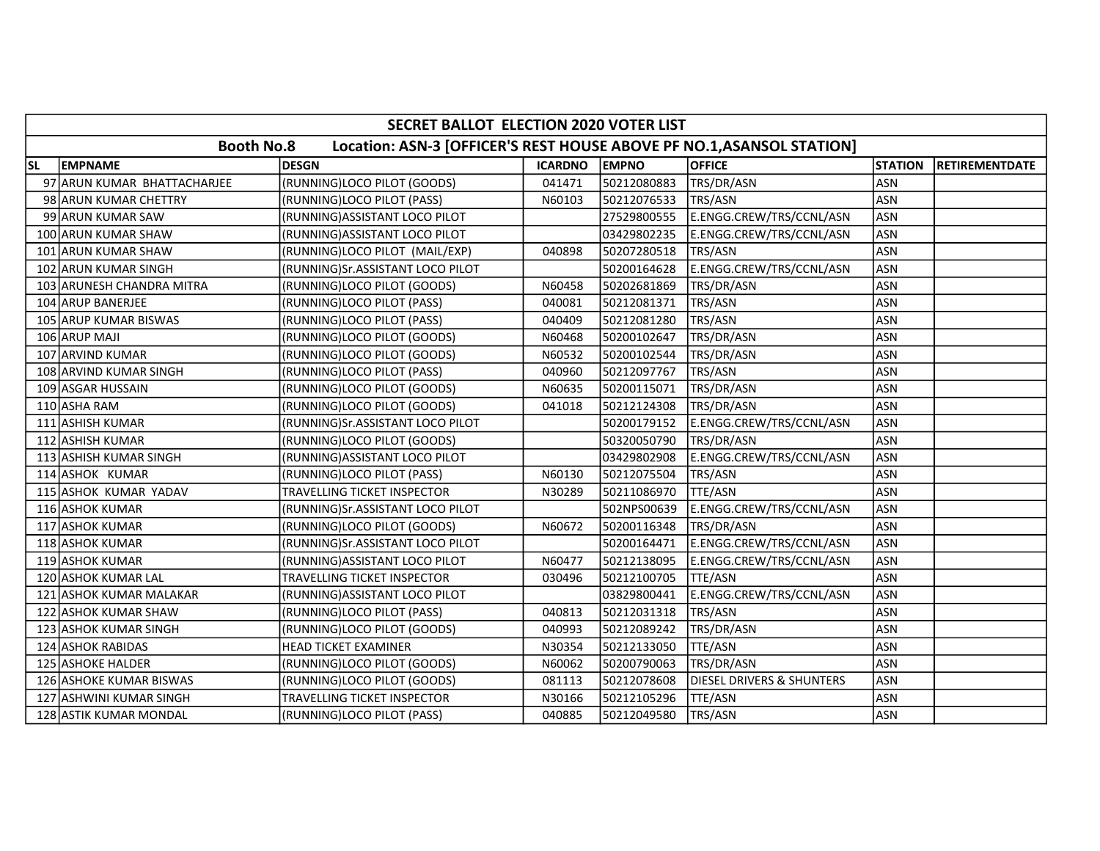|           | SECRET BALLOT ELECTION 2020 VOTER LIST |                                                                       |                |              |                                      |                |                       |  |  |  |
|-----------|----------------------------------------|-----------------------------------------------------------------------|----------------|--------------|--------------------------------------|----------------|-----------------------|--|--|--|
|           | <b>Booth No.8</b>                      | Location: ASN-3 [OFFICER'S REST HOUSE ABOVE PF NO.1, ASANSOL STATION] |                |              |                                      |                |                       |  |  |  |
| <b>SL</b> | <b>EMPNAME</b>                         | <b>DESGN</b>                                                          | <b>ICARDNO</b> | <b>EMPNO</b> | <b>OFFICE</b>                        | <b>STATION</b> | <b>RETIREMENTDATE</b> |  |  |  |
|           | 97 ARUN KUMAR BHATTACHARJEE            | (RUNNING)LOCO PILOT (GOODS)                                           | 041471         | 50212080883  | TRS/DR/ASN                           | ASN            |                       |  |  |  |
|           | 98 ARUN KUMAR CHETTRY                  | (RUNNING)LOCO PILOT (PASS)                                            | N60103         | 50212076533  | TRS/ASN                              | ASN            |                       |  |  |  |
|           | 99 ARUN KUMAR SAW                      | (RUNNING)ASSISTANT LOCO PILOT                                         |                | 27529800555  | E.ENGG.CREW/TRS/CCNL/ASN             | ASN            |                       |  |  |  |
|           | 100 ARUN KUMAR SHAW                    | (RUNNING)ASSISTANT LOCO PILOT                                         |                | 03429802235  | E.ENGG.CREW/TRS/CCNL/ASN             | ASN            |                       |  |  |  |
|           | 101 ARUN KUMAR SHAW                    | (RUNNING)LOCO PILOT (MAIL/EXP)                                        | 040898         | 50207280518  | TRS/ASN                              | ASN            |                       |  |  |  |
|           | 102 ARUN KUMAR SINGH                   | (RUNNING)Sr.ASSISTANT LOCO PILOT                                      |                | 50200164628  | E.ENGG.CREW/TRS/CCNL/ASN             | ASN            |                       |  |  |  |
|           | 103 ARUNESH CHANDRA MITRA              | (RUNNING)LOCO PILOT (GOODS)                                           | N60458         | 50202681869  | TRS/DR/ASN                           | ASN            |                       |  |  |  |
|           | 104 ARUP BANERJEE                      | (RUNNING)LOCO PILOT (PASS)                                            | 040081         | 50212081371  | TRS/ASN                              | ASN            |                       |  |  |  |
|           | 105 ARUP KUMAR BISWAS                  | (RUNNING)LOCO PILOT (PASS)                                            | 040409         | 50212081280  | TRS/ASN                              | ASN            |                       |  |  |  |
|           | 106 ARUP MAJI                          | (RUNNING)LOCO PILOT (GOODS)                                           | N60468         | 50200102647  | TRS/DR/ASN                           | ASN            |                       |  |  |  |
|           | 107 ARVIND KUMAR                       | (RUNNING)LOCO PILOT (GOODS)                                           | N60532         | 50200102544  | TRS/DR/ASN                           | ASN            |                       |  |  |  |
|           | 108 ARVIND KUMAR SINGH                 | (RUNNING)LOCO PILOT (PASS)                                            | 040960         | 50212097767  | TRS/ASN                              | ASN            |                       |  |  |  |
|           | 109 ASGAR HUSSAIN                      | (RUNNING)LOCO PILOT (GOODS)                                           | N60635         | 50200115071  | TRS/DR/ASN                           | ASN            |                       |  |  |  |
|           | 110 ASHA RAM                           | (RUNNING)LOCO PILOT (GOODS)                                           | 041018         | 50212124308  | TRS/DR/ASN                           | ASN            |                       |  |  |  |
|           | 111 ASHISH KUMAR                       | (RUNNING)Sr.ASSISTANT LOCO PILOT                                      |                | 50200179152  | E.ENGG.CREW/TRS/CCNL/ASN             | <b>ASN</b>     |                       |  |  |  |
|           | 112 ASHISH KUMAR                       | (RUNNING)LOCO PILOT (GOODS)                                           |                | 50320050790  | TRS/DR/ASN                           | ASN            |                       |  |  |  |
|           | 113 ASHISH KUMAR SINGH                 | (RUNNING)ASSISTANT LOCO PILOT                                         |                | 03429802908  | E.ENGG.CREW/TRS/CCNL/ASN             | <b>ASN</b>     |                       |  |  |  |
|           | 114 ASHOK KUMAR                        | (RUNNING)LOCO PILOT (PASS)                                            | N60130         | 50212075504  | TRS/ASN                              | ASN            |                       |  |  |  |
|           | 115 ASHOK KUMAR YADAV                  | TRAVELLING TICKET INSPECTOR                                           | N30289         | 50211086970  | TTE/ASN                              | ASN            |                       |  |  |  |
|           | 116 ASHOK KUMAR                        | (RUNNING)Sr.ASSISTANT LOCO PILOT                                      |                | 502NPS00639  | E.ENGG.CREW/TRS/CCNL/ASN             | ASN            |                       |  |  |  |
|           | 117 ASHOK KUMAR                        | (RUNNING)LOCO PILOT (GOODS)                                           | N60672         | 50200116348  | TRS/DR/ASN                           | ASN            |                       |  |  |  |
|           | 118 ASHOK KUMAR                        | (RUNNING)Sr.ASSISTANT LOCO PILOT                                      |                | 50200164471  | E.ENGG.CREW/TRS/CCNL/ASN             | ASN            |                       |  |  |  |
|           | 119 ASHOK KUMAR                        | (RUNNING) ASSISTANT LOCO PILOT                                        | N60477         | 50212138095  | E.ENGG.CREW/TRS/CCNL/ASN             | <b>ASN</b>     |                       |  |  |  |
|           | 120 ASHOK KUMAR LAL                    | TRAVELLING TICKET INSPECTOR                                           | 030496         | 50212100705  | TTE/ASN                              | ASN            |                       |  |  |  |
|           | 121 ASHOK KUMAR MALAKAR                | (RUNNING)ASSISTANT LOCO PILOT                                         |                | 03829800441  | E.ENGG.CREW/TRS/CCNL/ASN             | ASN            |                       |  |  |  |
|           | 122 ASHOK KUMAR SHAW                   | (RUNNING)LOCO PILOT (PASS)                                            | 040813         | 50212031318  | TRS/ASN                              | <b>ASN</b>     |                       |  |  |  |
|           | 123 ASHOK KUMAR SINGH                  | (RUNNING)LOCO PILOT (GOODS)                                           | 040993         | 50212089242  | TRS/DR/ASN                           | ASN            |                       |  |  |  |
|           | 124 ASHOK RABIDAS                      | <b>HEAD TICKET EXAMINER</b>                                           | N30354         | 50212133050  | TTE/ASN                              | lasn           |                       |  |  |  |
|           | 125 ASHOKE HALDER                      | (RUNNING)LOCO PILOT (GOODS)                                           | N60062         | 50200790063  | TRS/DR/ASN                           | ASN            |                       |  |  |  |
|           | 126 ASHOKE KUMAR BISWAS                | (RUNNING)LOCO PILOT (GOODS)                                           | 081113         | 50212078608  | <b>DIESEL DRIVERS &amp; SHUNTERS</b> | ASN            |                       |  |  |  |
|           | 127 ASHWINI KUMAR SINGH                | TRAVELLING TICKET INSPECTOR                                           | N30166         | 50212105296  | TTE/ASN                              | <b>ASN</b>     |                       |  |  |  |
|           | 128 ASTIK KUMAR MONDAL                 | (RUNNING)LOCO PILOT (PASS)                                            | 040885         | 50212049580  | TRS/ASN                              | ASN            |                       |  |  |  |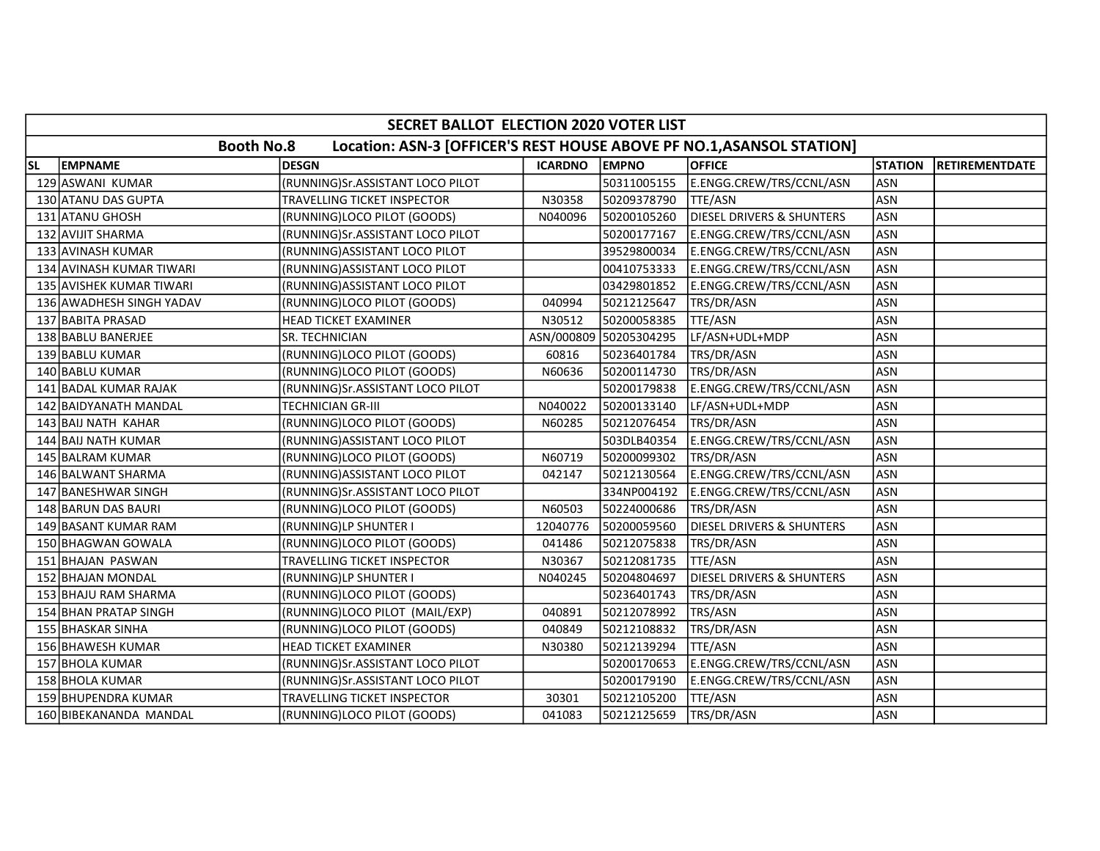|           | SECRET BALLOT ELECTION 2020 VOTER LIST                                                     |                                  |                |                        |                                      |                |                       |  |  |  |
|-----------|--------------------------------------------------------------------------------------------|----------------------------------|----------------|------------------------|--------------------------------------|----------------|-----------------------|--|--|--|
|           | <b>Booth No.8</b><br>Location: ASN-3 [OFFICER'S REST HOUSE ABOVE PF NO.1, ASANSOL STATION] |                                  |                |                        |                                      |                |                       |  |  |  |
| <b>SL</b> | <b>EMPNAME</b>                                                                             | <b>DESGN</b>                     | <b>ICARDNO</b> | <b>EMPNO</b>           | <b>OFFICE</b>                        | <b>STATION</b> | <b>RETIREMENTDATE</b> |  |  |  |
|           | 129 ASWANI KUMAR                                                                           | (RUNNING)Sr.ASSISTANT LOCO PILOT |                | 50311005155            | E.ENGG.CREW/TRS/CCNL/ASN             | <b>ASN</b>     |                       |  |  |  |
|           | 130 ATANU DAS GUPTA                                                                        | TRAVELLING TICKET INSPECTOR      | N30358         | 50209378790            | <b>TTE/ASN</b>                       | <b>ASN</b>     |                       |  |  |  |
|           | 131 ATANU GHOSH                                                                            | (RUNNING)LOCO PILOT (GOODS)      | N040096        | 50200105260            | <b>DIESEL DRIVERS &amp; SHUNTERS</b> | <b>ASN</b>     |                       |  |  |  |
|           | 132 AVIJIT SHARMA                                                                          | (RUNNING)Sr.ASSISTANT LOCO PILOT |                | 50200177167            | E.ENGG.CREW/TRS/CCNL/ASN             | <b>ASN</b>     |                       |  |  |  |
|           | 133 AVINASH KUMAR                                                                          | (RUNNING) ASSISTANT LOCO PILOT   |                | 39529800034            | E.ENGG.CREW/TRS/CCNL/ASN             | <b>ASN</b>     |                       |  |  |  |
|           | 134 AVINASH KUMAR TIWARI                                                                   | (RUNNING)ASSISTANT LOCO PILOT    |                | 00410753333            | E.ENGG.CREW/TRS/CCNL/ASN             | <b>ASN</b>     |                       |  |  |  |
|           | 135 AVISHEK KUMAR TIWARI                                                                   | (RUNNING) ASSISTANT LOCO PILOT   |                | 03429801852            | E.ENGG.CREW/TRS/CCNL/ASN             | <b>ASN</b>     |                       |  |  |  |
|           | 136 AWADHESH SINGH YADAV                                                                   | (RUNNING)LOCO PILOT (GOODS)      | 040994         | 50212125647            | TRS/DR/ASN                           | <b>ASN</b>     |                       |  |  |  |
|           | 137 BABITA PRASAD                                                                          | <b>HEAD TICKET EXAMINER</b>      | N30512         | 50200058385            | TTE/ASN                              | <b>ASN</b>     |                       |  |  |  |
|           | 138 BABLU BANERJEE                                                                         | SR. TECHNICIAN                   |                | ASN/000809 50205304295 | LF/ASN+UDL+MDP                       | <b>ASN</b>     |                       |  |  |  |
|           | 139 BABLU KUMAR                                                                            | (RUNNING)LOCO PILOT (GOODS)      | 60816          | 50236401784            | TRS/DR/ASN                           | <b>ASN</b>     |                       |  |  |  |
|           | 140 BABLU KUMAR                                                                            | (RUNNING)LOCO PILOT (GOODS)      | N60636         | 50200114730            | TRS/DR/ASN                           | <b>ASN</b>     |                       |  |  |  |
|           | 141 BADAL KUMAR RAJAK                                                                      | (RUNNING)Sr.ASSISTANT LOCO PILOT |                | 50200179838            | E.ENGG.CREW/TRS/CCNL/ASN             | <b>ASN</b>     |                       |  |  |  |
|           | 142 BAIDYANATH MANDAL                                                                      | TECHNICIAN GR-III                | N040022        | 50200133140            | LF/ASN+UDL+MDP                       | <b>ASN</b>     |                       |  |  |  |
|           | 143 BAIJ NATH KAHAR                                                                        | (RUNNING)LOCO PILOT (GOODS)      | N60285         | 50212076454            | TRS/DR/ASN                           | <b>ASN</b>     |                       |  |  |  |
|           | 144 BAIJ NATH KUMAR                                                                        | (RUNNING)ASSISTANT LOCO PILOT    |                | 503DLB40354            | E.ENGG.CREW/TRS/CCNL/ASN             | <b>ASN</b>     |                       |  |  |  |
|           | 145 BALRAM KUMAR                                                                           | (RUNNING)LOCO PILOT (GOODS)      | N60719         | 50200099302            | TRS/DR/ASN                           | <b>ASN</b>     |                       |  |  |  |
|           | 146 BALWANT SHARMA                                                                         | (RUNNING) ASSISTANT LOCO PILOT   | 042147         | 50212130564            | E.ENGG.CREW/TRS/CCNL/ASN             | <b>ASN</b>     |                       |  |  |  |
|           | 147 BANESHWAR SINGH                                                                        | (RUNNING)Sr.ASSISTANT LOCO PILOT |                | 334NP004192            | E.ENGG.CREW/TRS/CCNL/ASN             | <b>ASN</b>     |                       |  |  |  |
|           | 148 BARUN DAS BAURI                                                                        | (RUNNING)LOCO PILOT (GOODS)      | N60503         | 50224000686            | TRS/DR/ASN                           | <b>ASN</b>     |                       |  |  |  |
|           | 149 BASANT KUMAR RAM                                                                       | (RUNNING)LP SHUNTER I            | 12040776       | 50200059560            | <b>DIESEL DRIVERS &amp; SHUNTERS</b> | <b>ASN</b>     |                       |  |  |  |
|           | 150 BHAGWAN GOWALA                                                                         | (RUNNING)LOCO PILOT (GOODS)      | 041486         | 50212075838            | TRS/DR/ASN                           | <b>ASN</b>     |                       |  |  |  |
|           | 151 BHAJAN PASWAN                                                                          | TRAVELLING TICKET INSPECTOR      | N30367         | 50212081735            | <b>TTE/ASN</b>                       | <b>ASN</b>     |                       |  |  |  |
|           | 152 BHAJAN MONDAL                                                                          | (RUNNING)LP SHUNTER I            | N040245        | 50204804697            | <b>DIESEL DRIVERS &amp; SHUNTERS</b> | <b>ASN</b>     |                       |  |  |  |
|           | 153 BHAJU RAM SHARMA                                                                       | (RUNNING)LOCO PILOT (GOODS)      |                | 50236401743            | TRS/DR/ASN                           | <b>ASN</b>     |                       |  |  |  |
|           | 154 BHAN PRATAP SINGH                                                                      | (RUNNING)LOCO PILOT (MAIL/EXP)   | 040891         | 50212078992            | TRS/ASN                              | <b>ASN</b>     |                       |  |  |  |
|           | 155 BHASKAR SINHA                                                                          | (RUNNING)LOCO PILOT (GOODS)      | 040849         | 50212108832            | TRS/DR/ASN                           | <b>ASN</b>     |                       |  |  |  |
|           | 156 BHAWESH KUMAR                                                                          | HEAD TICKET EXAMINER             | N30380         | 50212139294            | TTE/ASN                              | <b>ASN</b>     |                       |  |  |  |
|           | 157 BHOLA KUMAR                                                                            | (RUNNING)Sr.ASSISTANT LOCO PILOT |                | 50200170653            | E.ENGG.CREW/TRS/CCNL/ASN             | <b>ASN</b>     |                       |  |  |  |
|           | 158 BHOLA KUMAR                                                                            | (RUNNING)Sr.ASSISTANT LOCO PILOT |                | 50200179190            | E.ENGG.CREW/TRS/CCNL/ASN             | <b>ASN</b>     |                       |  |  |  |
|           | 159 BHUPENDRA KUMAR                                                                        | TRAVELLING TICKET INSPECTOR      | 30301          | 50212105200            | <b>TTE/ASN</b>                       | <b>ASN</b>     |                       |  |  |  |
|           | 160 BIBEKANANDA MANDAL                                                                     | (RUNNING)LOCO PILOT (GOODS)      | 041083         | 50212125659            | TRS/DR/ASN                           | ASN            |                       |  |  |  |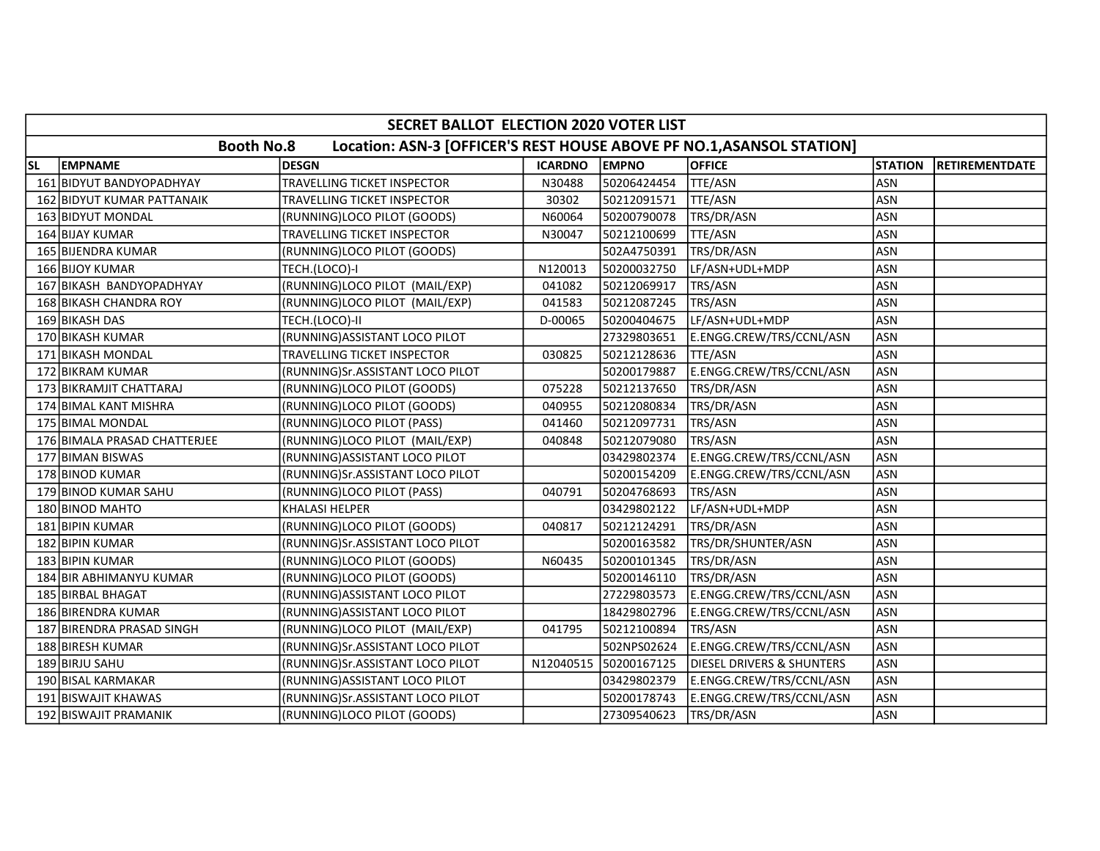|           | SECRET BALLOT ELECTION 2020 VOTER LIST                                                     |                                  |                |              |                                      |                |                       |  |  |  |
|-----------|--------------------------------------------------------------------------------------------|----------------------------------|----------------|--------------|--------------------------------------|----------------|-----------------------|--|--|--|
|           | <b>Booth No.8</b><br>Location: ASN-3 [OFFICER'S REST HOUSE ABOVE PF NO.1, ASANSOL STATION] |                                  |                |              |                                      |                |                       |  |  |  |
| <b>SL</b> | <b>EMPNAME</b>                                                                             | <b>DESGN</b>                     | <b>ICARDNO</b> | <b>EMPNO</b> | <b>OFFICE</b>                        | <b>STATION</b> | <b>RETIREMENTDATE</b> |  |  |  |
|           | 161 BIDYUT BANDYOPADHYAY                                                                   | TRAVELLING TICKET INSPECTOR      | N30488         | 50206424454  | TTE/ASN                              | ASN            |                       |  |  |  |
|           | 162 BIDYUT KUMAR PATTANAIK                                                                 | TRAVELLING TICKET INSPECTOR      | 30302          | 50212091571  | TTE/ASN                              | <b>ASN</b>     |                       |  |  |  |
|           | 163 BIDYUT MONDAL                                                                          | (RUNNING)LOCO PILOT (GOODS)      | N60064         | 50200790078  | TRS/DR/ASN                           | <b>ASN</b>     |                       |  |  |  |
|           | 164 BIJAY KUMAR                                                                            | TRAVELLING TICKET INSPECTOR      | N30047         | 50212100699  | TTE/ASN                              | <b>ASN</b>     |                       |  |  |  |
|           | 165 BIJENDRA KUMAR                                                                         | (RUNNING)LOCO PILOT (GOODS)      |                | 502A4750391  | TRS/DR/ASN                           | <b>ASN</b>     |                       |  |  |  |
|           | 166 BIJOY KUMAR                                                                            | TECH.(LOCO)-I                    | N120013        | 50200032750  | LF/ASN+UDL+MDP                       | <b>ASN</b>     |                       |  |  |  |
|           | 167 BIKASH BANDYOPADHYAY                                                                   | (RUNNING)LOCO PILOT (MAIL/EXP)   | 041082         | 50212069917  | TRS/ASN                              | <b>ASN</b>     |                       |  |  |  |
|           | 168 BIKASH CHANDRA ROY                                                                     | (RUNNING)LOCO PILOT (MAIL/EXP)   | 041583         | 50212087245  | TRS/ASN                              | <b>ASN</b>     |                       |  |  |  |
|           | 169 BIKASH DAS                                                                             | TECH.(LOCO)-II                   | D-00065        | 50200404675  | LF/ASN+UDL+MDP                       | <b>ASN</b>     |                       |  |  |  |
|           | 170 BIKASH KUMAR                                                                           | (RUNNING) ASSISTANT LOCO PILOT   |                | 27329803651  | E.ENGG.CREW/TRS/CCNL/ASN             | <b>ASN</b>     |                       |  |  |  |
|           | 171 BIKASH MONDAL                                                                          | TRAVELLING TICKET INSPECTOR      | 030825         | 50212128636  | TTE/ASN                              | <b>ASN</b>     |                       |  |  |  |
|           | 172 BIKRAM KUMAR                                                                           | (RUNNING)Sr.ASSISTANT LOCO PILOT |                | 50200179887  | E.ENGG.CREW/TRS/CCNL/ASN             | <b>ASN</b>     |                       |  |  |  |
|           | 173 BIKRAMJIT CHATTARAJ                                                                    | (RUNNING)LOCO PILOT (GOODS)      | 075228         | 50212137650  | TRS/DR/ASN                           | <b>ASN</b>     |                       |  |  |  |
|           | 174 BIMAL KANT MISHRA                                                                      | (RUNNING)LOCO PILOT (GOODS)      | 040955         | 50212080834  | TRS/DR/ASN                           | <b>ASN</b>     |                       |  |  |  |
|           | 175 BIMAL MONDAL                                                                           | (RUNNING)LOCO PILOT (PASS)       | 041460         | 50212097731  | TRS/ASN                              | <b>ASN</b>     |                       |  |  |  |
|           | 176 BIMALA PRASAD CHATTERJEE                                                               | (RUNNING)LOCO PILOT (MAIL/EXP)   | 040848         | 50212079080  | TRS/ASN                              | <b>ASN</b>     |                       |  |  |  |
|           | 177 BIMAN BISWAS                                                                           | (RUNNING) ASSISTANT LOCO PILOT   |                | 03429802374  | E.ENGG.CREW/TRS/CCNL/ASN             | <b>ASN</b>     |                       |  |  |  |
|           | 178 BINOD KUMAR                                                                            | (RUNNING)Sr.ASSISTANT LOCO PILOT |                | 50200154209  | E.ENGG.CREW/TRS/CCNL/ASN             | <b>ASN</b>     |                       |  |  |  |
|           | 179 BINOD KUMAR SAHU                                                                       | (RUNNING)LOCO PILOT (PASS)       | 040791         | 50204768693  | TRS/ASN                              | <b>ASN</b>     |                       |  |  |  |
|           | 180 BINOD MAHTO                                                                            | <b>KHALASI HELPER</b>            |                | 03429802122  | LF/ASN+UDL+MDP                       | <b>ASN</b>     |                       |  |  |  |
|           | 181 BIPIN KUMAR                                                                            | (RUNNING)LOCO PILOT (GOODS)      | 040817         | 50212124291  | TRS/DR/ASN                           | <b>ASN</b>     |                       |  |  |  |
|           | 182 BIPIN KUMAR                                                                            | (RUNNING)Sr.ASSISTANT LOCO PILOT |                | 50200163582  | TRS/DR/SHUNTER/ASN                   | <b>ASN</b>     |                       |  |  |  |
|           | 183 BIPIN KUMAR                                                                            | (RUNNING)LOCO PILOT (GOODS)      | N60435         | 50200101345  | TRS/DR/ASN                           | <b>ASN</b>     |                       |  |  |  |
|           | 184 BIR ABHIMANYU KUMAR                                                                    | (RUNNING)LOCO PILOT (GOODS)      |                | 50200146110  | TRS/DR/ASN                           | <b>ASN</b>     |                       |  |  |  |
|           | 185 BIRBAL BHAGAT                                                                          | (RUNNING) ASSISTANT LOCO PILOT   |                | 27229803573  | E.ENGG.CREW/TRS/CCNL/ASN             | <b>ASN</b>     |                       |  |  |  |
|           | 186 BIRENDRA KUMAR                                                                         | (RUNNING) ASSISTANT LOCO PILOT   |                | 18429802796  | E.ENGG.CREW/TRS/CCNL/ASN             | <b>ASN</b>     |                       |  |  |  |
|           | 187 BIRENDRA PRASAD SINGH                                                                  | (RUNNING)LOCO PILOT (MAIL/EXP)   | 041795         | 50212100894  | TRS/ASN                              | <b>ASN</b>     |                       |  |  |  |
|           | 188 BIRESH KUMAR                                                                           | (RUNNING)Sr.ASSISTANT LOCO PILOT |                | 502NPS02624  | E.ENGG.CREW/TRS/CCNL/ASN             | <b>ASN</b>     |                       |  |  |  |
|           | 189 BIRJU SAHU                                                                             | (RUNNING)Sr.ASSISTANT LOCO PILOT | N12040515      | 50200167125  | <b>DIESEL DRIVERS &amp; SHUNTERS</b> | <b>ASN</b>     |                       |  |  |  |
|           | 190 BISAL KARMAKAR                                                                         | (RUNNING) ASSISTANT LOCO PILOT   |                | 03429802379  | E.ENGG.CREW/TRS/CCNL/ASN             | <b>ASN</b>     |                       |  |  |  |
|           | 191 BISWAJIT KHAWAS                                                                        | (RUNNING)Sr.ASSISTANT LOCO PILOT |                | 50200178743  | E.ENGG.CREW/TRS/CCNL/ASN             | <b>ASN</b>     |                       |  |  |  |
|           | 192 BISWAJIT PRAMANIK                                                                      | (RUNNING)LOCO PILOT (GOODS)      |                | 27309540623  | TRS/DR/ASN                           | ASN            |                       |  |  |  |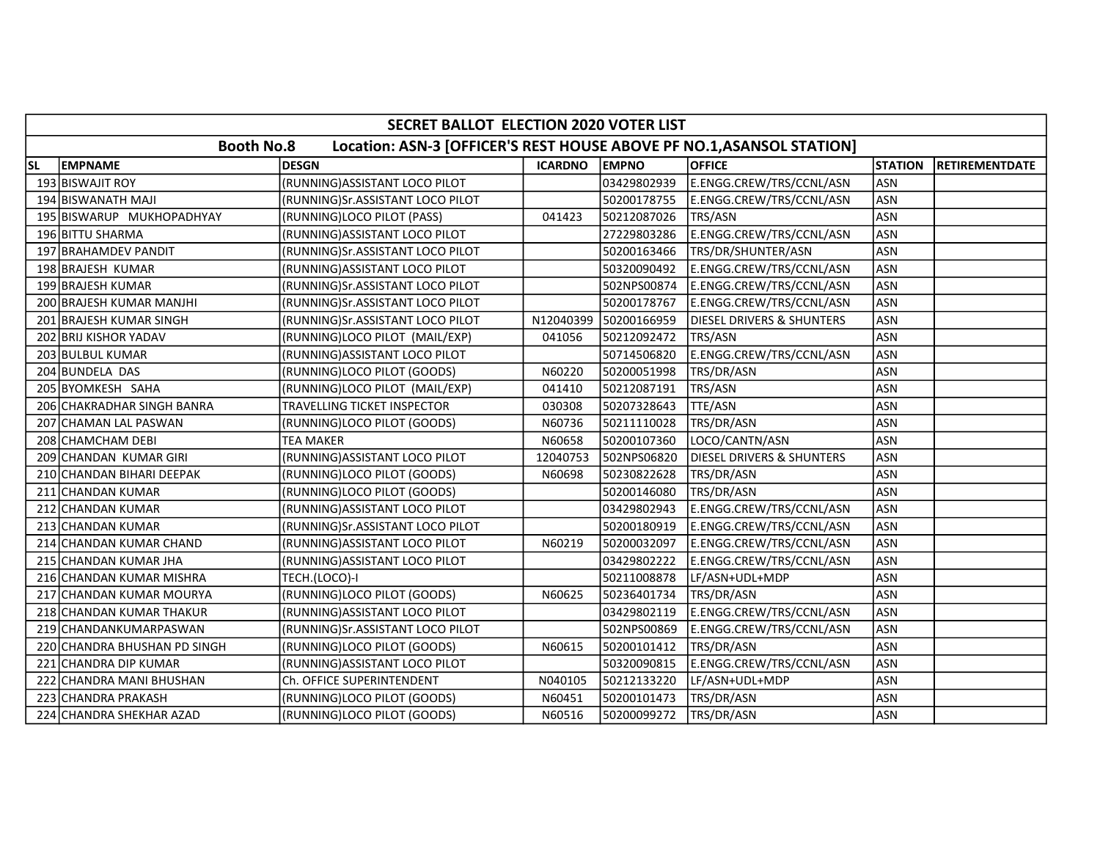|           | SECRET BALLOT ELECTION 2020 VOTER LIST                                                     |                                  |                |              |                                      |                |                       |  |  |  |
|-----------|--------------------------------------------------------------------------------------------|----------------------------------|----------------|--------------|--------------------------------------|----------------|-----------------------|--|--|--|
|           | <b>Booth No.8</b><br>Location: ASN-3 [OFFICER'S REST HOUSE ABOVE PF NO.1, ASANSOL STATION] |                                  |                |              |                                      |                |                       |  |  |  |
| <b>SL</b> | EMPNAME                                                                                    | <b>DESGN</b>                     | <b>ICARDNO</b> | <b>EMPNO</b> | <b>OFFICE</b>                        | <b>STATION</b> | <b>RETIREMENTDATE</b> |  |  |  |
|           | 193 BISWAJIT ROY                                                                           | (RUNNING) ASSISTANT LOCO PILOT   |                | 03429802939  | E.ENGG.CREW/TRS/CCNL/ASN             | <b>ASN</b>     |                       |  |  |  |
|           | 194 BISWANATH MAJI                                                                         | (RUNNING)Sr.ASSISTANT LOCO PILOT |                | 50200178755  | E.ENGG.CREW/TRS/CCNL/ASN             | <b>ASN</b>     |                       |  |  |  |
|           | 195 BISWARUP MUKHOPADHYAY                                                                  | (RUNNING)LOCO PILOT (PASS)       | 041423         | 50212087026  | TRS/ASN                              | <b>ASN</b>     |                       |  |  |  |
|           | 196 BITTU SHARMA                                                                           | (RUNNING) ASSISTANT LOCO PILOT   |                | 27229803286  | E.ENGG.CREW/TRS/CCNL/ASN             | <b>ASN</b>     |                       |  |  |  |
|           | 197 BRAHAMDEV PANDIT                                                                       | (RUNNING)Sr.ASSISTANT LOCO PILOT |                | 50200163466  | TRS/DR/SHUNTER/ASN                   | <b>ASN</b>     |                       |  |  |  |
|           | 198 BRAJESH KUMAR                                                                          | (RUNNING)ASSISTANT LOCO PILOT    |                | 50320090492  | E.ENGG.CREW/TRS/CCNL/ASN             | <b>ASN</b>     |                       |  |  |  |
|           | 199 BRAJESH KUMAR                                                                          | (RUNNING)Sr.ASSISTANT LOCO PILOT |                | 502NPS00874  | E.ENGG.CREW/TRS/CCNL/ASN             | <b>ASN</b>     |                       |  |  |  |
|           | 200 BRAJESH KUMAR MANJHI                                                                   | (RUNNING)Sr.ASSISTANT LOCO PILOT |                | 50200178767  | E.ENGG.CREW/TRS/CCNL/ASN             | <b>ASN</b>     |                       |  |  |  |
|           | 201 BRAJESH KUMAR SINGH                                                                    | (RUNNING)Sr.ASSISTANT LOCO PILOT | N12040399      | 50200166959  | <b>DIESEL DRIVERS &amp; SHUNTERS</b> | <b>ASN</b>     |                       |  |  |  |
|           | 202 BRIJ KISHOR YADAV                                                                      | (RUNNING)LOCO PILOT (MAIL/EXP)   | 041056         | 50212092472  | TRS/ASN                              | <b>ASN</b>     |                       |  |  |  |
|           | 203 BULBUL KUMAR                                                                           | (RUNNING) ASSISTANT LOCO PILOT   |                | 50714506820  | E.ENGG.CREW/TRS/CCNL/ASN             | <b>ASN</b>     |                       |  |  |  |
|           | 204 BUNDELA DAS                                                                            | (RUNNING)LOCO PILOT (GOODS)      | N60220         | 50200051998  | TRS/DR/ASN                           | <b>ASN</b>     |                       |  |  |  |
|           | 205 BYOMKESH SAHA                                                                          | (RUNNING)LOCO PILOT (MAIL/EXP)   | 041410         | 50212087191  | TRS/ASN                              | <b>ASN</b>     |                       |  |  |  |
|           | 206 CHAKRADHAR SINGH BANRA                                                                 | TRAVELLING TICKET INSPECTOR      | 030308         | 50207328643  | TTE/ASN                              | <b>ASN</b>     |                       |  |  |  |
|           | 207 CHAMAN LAL PASWAN                                                                      | (RUNNING)LOCO PILOT (GOODS)      | N60736         | 50211110028  | TRS/DR/ASN                           | <b>ASN</b>     |                       |  |  |  |
|           | 208 CHAMCHAM DEBI                                                                          | TEA MAKER                        | N60658         | 50200107360  | LOCO/CANTN/ASN                       | <b>ASN</b>     |                       |  |  |  |
|           | 209 CHANDAN KUMAR GIRI                                                                     | (RUNNING) ASSISTANT LOCO PILOT   | 12040753       | 502NPS06820  | <b>DIESEL DRIVERS &amp; SHUNTERS</b> | <b>ASN</b>     |                       |  |  |  |
|           | 210 CHANDAN BIHARI DEEPAK                                                                  | (RUNNING)LOCO PILOT (GOODS)      | N60698         | 50230822628  | TRS/DR/ASN                           | <b>ASN</b>     |                       |  |  |  |
|           | 211 CHANDAN KUMAR                                                                          | (RUNNING)LOCO PILOT (GOODS)      |                | 50200146080  | TRS/DR/ASN                           | <b>ASN</b>     |                       |  |  |  |
|           | 212 CHANDAN KUMAR                                                                          | (RUNNING) ASSISTANT LOCO PILOT   |                | 03429802943  | E.ENGG.CREW/TRS/CCNL/ASN             | <b>ASN</b>     |                       |  |  |  |
|           | 213 CHANDAN KUMAR                                                                          | (RUNNING)Sr.ASSISTANT LOCO PILOT |                | 50200180919  | E.ENGG.CREW/TRS/CCNL/ASN             | <b>ASN</b>     |                       |  |  |  |
|           | 214 CHANDAN KUMAR CHAND                                                                    | (RUNNING) ASSISTANT LOCO PILOT   | N60219         | 50200032097  | E.ENGG.CREW/TRS/CCNL/ASN             | <b>ASN</b>     |                       |  |  |  |
|           | 215 CHANDAN KUMAR JHA                                                                      | (RUNNING) ASSISTANT LOCO PILOT   |                | 03429802222  | E.ENGG.CREW/TRS/CCNL/ASN             | <b>ASN</b>     |                       |  |  |  |
|           | 216 CHANDAN KUMAR MISHRA                                                                   | TECH.(LOCO)-I                    |                | 50211008878  | LF/ASN+UDL+MDP                       | <b>ASN</b>     |                       |  |  |  |
|           | 217 CHANDAN KUMAR MOURYA                                                                   | (RUNNING)LOCO PILOT (GOODS)      | N60625         | 50236401734  | TRS/DR/ASN                           | <b>ASN</b>     |                       |  |  |  |
|           | 218 CHANDAN KUMAR THAKUR                                                                   | (RUNNING) ASSISTANT LOCO PILOT   |                | 03429802119  | E.ENGG.CREW/TRS/CCNL/ASN             | <b>ASN</b>     |                       |  |  |  |
|           | 219 CHANDANKUMARPASWAN                                                                     | (RUNNING)Sr.ASSISTANT LOCO PILOT |                | 502NPS00869  | E.ENGG.CREW/TRS/CCNL/ASN             | <b>ASN</b>     |                       |  |  |  |
|           | 220 CHANDRA BHUSHAN PD SINGH                                                               | (RUNNING)LOCO PILOT (GOODS)      | N60615         | 50200101412  | TRS/DR/ASN                           | <b>ASN</b>     |                       |  |  |  |
| 221       | CHANDRA DIP KUMAR                                                                          | (RUNNING) ASSISTANT LOCO PILOT   |                | 50320090815  | E.ENGG.CREW/TRS/CCNL/ASN             | <b>ASN</b>     |                       |  |  |  |
|           | 222 CHANDRA MANI BHUSHAN                                                                   | Ch. OFFICE SUPERINTENDENT        | N040105        | 50212133220  | LF/ASN+UDL+MDP                       | <b>ASN</b>     |                       |  |  |  |
|           | 223 CHANDRA PRAKASH                                                                        | (RUNNING)LOCO PILOT (GOODS)      | N60451         | 50200101473  | TRS/DR/ASN                           | <b>ASN</b>     |                       |  |  |  |
|           | 224 CHANDRA SHEKHAR AZAD                                                                   | (RUNNING)LOCO PILOT (GOODS)      | N60516         | 50200099272  | TRS/DR/ASN                           | <b>ASN</b>     |                       |  |  |  |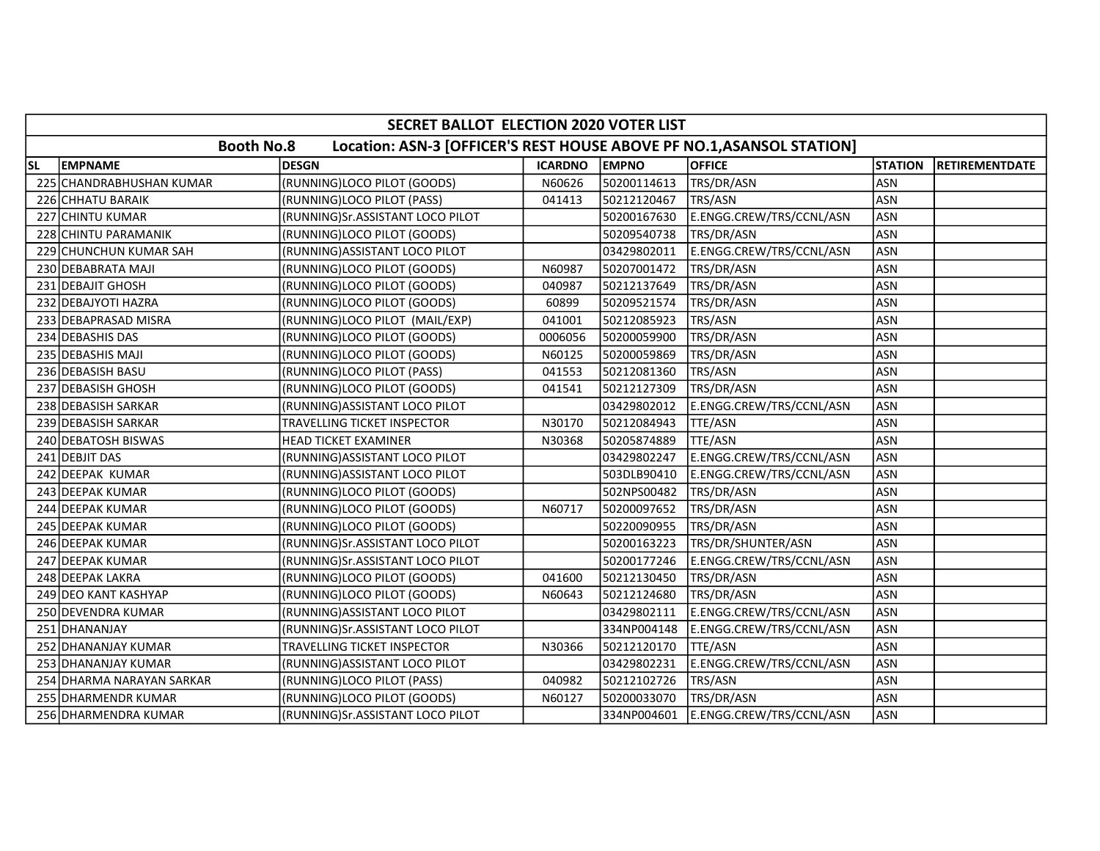|           | SECRET BALLOT ELECTION 2020 VOTER LIST                                                     |                                  |                |              |                          |                |                       |  |  |  |
|-----------|--------------------------------------------------------------------------------------------|----------------------------------|----------------|--------------|--------------------------|----------------|-----------------------|--|--|--|
|           | <b>Booth No.8</b><br>Location: ASN-3 [OFFICER'S REST HOUSE ABOVE PF NO.1, ASANSOL STATION] |                                  |                |              |                          |                |                       |  |  |  |
| <b>SL</b> | <b>EMPNAME</b>                                                                             | <b>DESGN</b>                     | <b>ICARDNO</b> | <b>EMPNO</b> | <b>OFFICE</b>            | <b>STATION</b> | <b>RETIREMENTDATE</b> |  |  |  |
|           | 225 CHANDRABHUSHAN KUMAR                                                                   | (RUNNING)LOCO PILOT (GOODS)      | N60626         | 50200114613  | TRS/DR/ASN               | <b>ASN</b>     |                       |  |  |  |
|           | 226 CHHATU BARAIK                                                                          | (RUNNING)LOCO PILOT (PASS)       | 041413         | 50212120467  | TRS/ASN                  | <b>ASN</b>     |                       |  |  |  |
|           | 227 CHINTU KUMAR                                                                           | (RUNNING)Sr.ASSISTANT LOCO PILOT |                | 50200167630  | E.ENGG.CREW/TRS/CCNL/ASN | <b>ASN</b>     |                       |  |  |  |
|           | 228 CHINTU PARAMANIK                                                                       | (RUNNING)LOCO PILOT (GOODS)      |                | 50209540738  | TRS/DR/ASN               | <b>ASN</b>     |                       |  |  |  |
|           | 229 CHUNCHUN KUMAR SAH                                                                     | (RUNNING) ASSISTANT LOCO PILOT   |                | 03429802011  | E.ENGG.CREW/TRS/CCNL/ASN | <b>ASN</b>     |                       |  |  |  |
|           | 230 DEBABRATA MAJI                                                                         | (RUNNING)LOCO PILOT (GOODS)      | N60987         | 50207001472  | TRS/DR/ASN               | <b>ASN</b>     |                       |  |  |  |
|           | 231 DEBAJIT GHOSH                                                                          | (RUNNING)LOCO PILOT (GOODS)      | 040987         | 50212137649  | TRS/DR/ASN               | <b>ASN</b>     |                       |  |  |  |
|           | 232 DEBAJYOTI HAZRA                                                                        | (RUNNING)LOCO PILOT (GOODS)      | 60899          | 50209521574  | TRS/DR/ASN               | <b>ASN</b>     |                       |  |  |  |
|           | 233 DEBAPRASAD MISRA                                                                       | (RUNNING)LOCO PILOT (MAIL/EXP)   | 041001         | 50212085923  | TRS/ASN                  | <b>ASN</b>     |                       |  |  |  |
|           | 234 DEBASHIS DAS                                                                           | (RUNNING)LOCO PILOT (GOODS)      | 0006056        | 50200059900  | TRS/DR/ASN               | <b>ASN</b>     |                       |  |  |  |
|           | 235 DEBASHIS MAJI                                                                          | (RUNNING)LOCO PILOT (GOODS)      | N60125         | 50200059869  | TRS/DR/ASN               | <b>ASN</b>     |                       |  |  |  |
|           | 236 DEBASISH BASU                                                                          | (RUNNING)LOCO PILOT (PASS)       | 041553         | 50212081360  | TRS/ASN                  | <b>ASN</b>     |                       |  |  |  |
|           | 237 DEBASISH GHOSH                                                                         | (RUNNING)LOCO PILOT (GOODS)      | 041541         | 50212127309  | TRS/DR/ASN               | <b>ASN</b>     |                       |  |  |  |
|           | 238 DEBASISH SARKAR                                                                        | (RUNNING) ASSISTANT LOCO PILOT   |                | 03429802012  | E.ENGG.CREW/TRS/CCNL/ASN | <b>ASN</b>     |                       |  |  |  |
|           | 239 DEBASISH SARKAR                                                                        | TRAVELLING TICKET INSPECTOR      | N30170         | 50212084943  | TTE/ASN                  | <b>ASN</b>     |                       |  |  |  |
|           | 240 DEBATOSH BISWAS                                                                        | <b>HEAD TICKET EXAMINER</b>      | N30368         | 50205874889  | TTE/ASN                  | <b>ASN</b>     |                       |  |  |  |
|           | 241 DEBJIT DAS                                                                             | (RUNNING) ASSISTANT LOCO PILOT   |                | 03429802247  | E.ENGG.CREW/TRS/CCNL/ASN | <b>ASN</b>     |                       |  |  |  |
|           | 242 DEEPAK KUMAR                                                                           | (RUNNING) ASSISTANT LOCO PILOT   |                | 503DLB90410  | E.ENGG.CREW/TRS/CCNL/ASN | <b>ASN</b>     |                       |  |  |  |
|           | 243 DEEPAK KUMAR                                                                           | (RUNNING)LOCO PILOT (GOODS)      |                | 502NPS00482  | TRS/DR/ASN               | <b>ASN</b>     |                       |  |  |  |
|           | 244 DEEPAK KUMAR                                                                           | (RUNNING)LOCO PILOT (GOODS)      | N60717         | 50200097652  | TRS/DR/ASN               | <b>ASN</b>     |                       |  |  |  |
|           | 245 DEEPAK KUMAR                                                                           | (RUNNING)LOCO PILOT (GOODS)      |                | 50220090955  | TRS/DR/ASN               | <b>ASN</b>     |                       |  |  |  |
|           | 246 DEEPAK KUMAR                                                                           | (RUNNING)Sr.ASSISTANT LOCO PILOT |                | 50200163223  | TRS/DR/SHUNTER/ASN       | <b>ASN</b>     |                       |  |  |  |
|           | 247 DEEPAK KUMAR                                                                           | (RUNNING)Sr.ASSISTANT LOCO PILOT |                | 50200177246  | E.ENGG.CREW/TRS/CCNL/ASN | <b>ASN</b>     |                       |  |  |  |
|           | 248 DEEPAK LAKRA                                                                           | (RUNNING)LOCO PILOT (GOODS)      | 041600         | 50212130450  | TRS/DR/ASN               | <b>ASN</b>     |                       |  |  |  |
|           | 249 DEO KANT KASHYAP                                                                       | (RUNNING)LOCO PILOT (GOODS)      | N60643         | 50212124680  | TRS/DR/ASN               | <b>ASN</b>     |                       |  |  |  |
|           | 250 DEVENDRA KUMAR                                                                         | (RUNNING) ASSISTANT LOCO PILOT   |                | 03429802111  | E.ENGG.CREW/TRS/CCNL/ASN | <b>ASN</b>     |                       |  |  |  |
|           | 251 DHANANJAY                                                                              | (RUNNING)Sr.ASSISTANT LOCO PILOT |                | 334NP004148  | E.ENGG.CREW/TRS/CCNL/ASN | <b>ASN</b>     |                       |  |  |  |
|           | 252 DHANANJAY KUMAR                                                                        | TRAVELLING TICKET INSPECTOR      | N30366         | 50212120170  | TTE/ASN                  | <b>ASN</b>     |                       |  |  |  |
|           | 253 DHANANJAY KUMAR                                                                        | (RUNNING) ASSISTANT LOCO PILOT   |                | 03429802231  | E.ENGG.CREW/TRS/CCNL/ASN | <b>ASN</b>     |                       |  |  |  |
|           | 254 DHARMA NARAYAN SARKAR                                                                  | (RUNNING)LOCO PILOT (PASS)       | 040982         | 50212102726  | TRS/ASN                  | <b>ASN</b>     |                       |  |  |  |
|           | 255 DHARMENDR KUMAR                                                                        | (RUNNING)LOCO PILOT (GOODS)      | N60127         | 50200033070  | TRS/DR/ASN               | <b>ASN</b>     |                       |  |  |  |
|           | 256 DHARMENDRA KUMAR                                                                       | (RUNNING)Sr.ASSISTANT LOCO PILOT |                | 334NP004601  | E.ENGG.CREW/TRS/CCNL/ASN | <b>ASN</b>     |                       |  |  |  |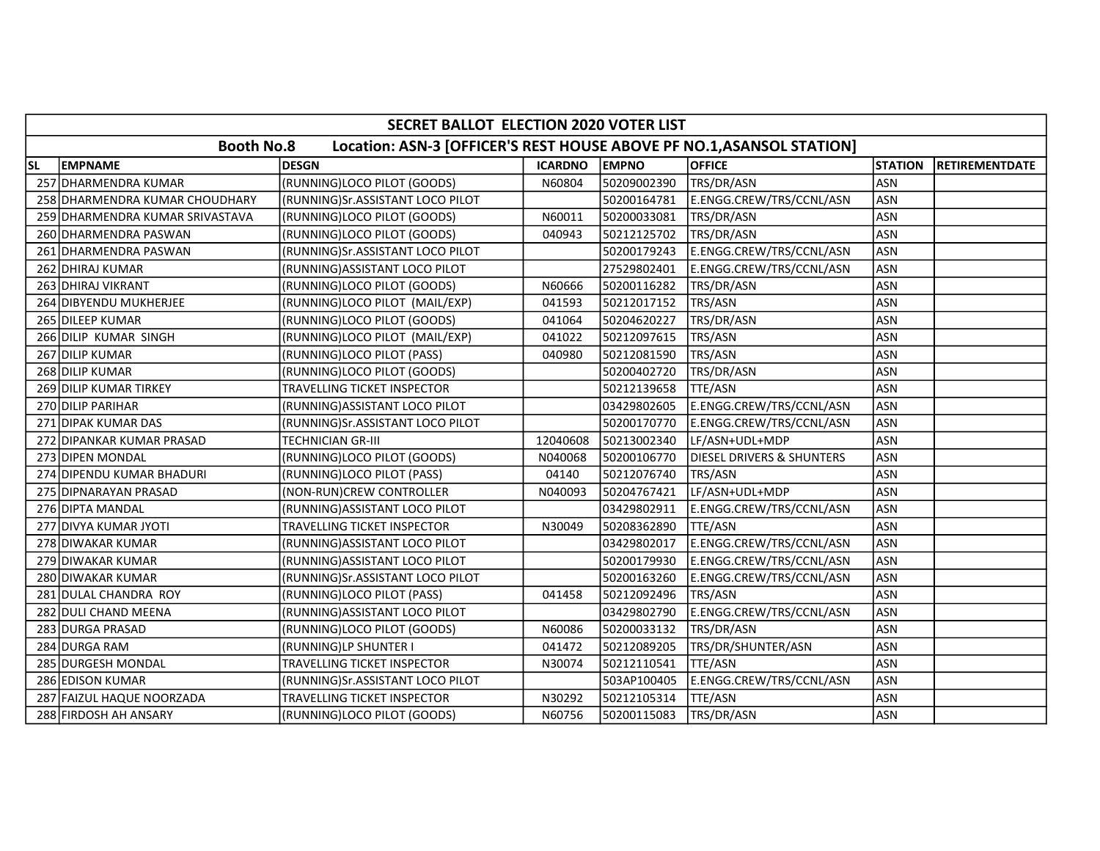|           | SECRET BALLOT ELECTION 2020 VOTER LIST                                                     |                                  |                |              |                                      |                |                       |  |  |  |
|-----------|--------------------------------------------------------------------------------------------|----------------------------------|----------------|--------------|--------------------------------------|----------------|-----------------------|--|--|--|
|           | <b>Booth No.8</b><br>Location: ASN-3 [OFFICER'S REST HOUSE ABOVE PF NO.1, ASANSOL STATION] |                                  |                |              |                                      |                |                       |  |  |  |
| <b>SL</b> | <b>EMPNAME</b>                                                                             | <b>DESGN</b>                     | <b>ICARDNO</b> | <b>EMPNO</b> | <b>OFFICE</b>                        | <b>STATION</b> | <b>RETIREMENTDATE</b> |  |  |  |
|           | 257 DHARMENDRA KUMAR                                                                       | (RUNNING)LOCO PILOT (GOODS)      | N60804         | 50209002390  | TRS/DR/ASN                           | <b>ASN</b>     |                       |  |  |  |
|           | 258 DHARMENDRA KUMAR CHOUDHARY                                                             | (RUNNING)Sr.ASSISTANT LOCO PILOT |                | 50200164781  | E.ENGG.CREW/TRS/CCNL/ASN             | <b>ASN</b>     |                       |  |  |  |
|           | 259 DHARMENDRA KUMAR SRIVASTAVA                                                            | (RUNNING)LOCO PILOT (GOODS)      | N60011         | 50200033081  | TRS/DR/ASN                           | <b>ASN</b>     |                       |  |  |  |
|           | 260 DHARMENDRA PASWAN                                                                      | (RUNNING)LOCO PILOT (GOODS)      | 040943         | 50212125702  | TRS/DR/ASN                           | ASN            |                       |  |  |  |
|           | 261 DHARMENDRA PASWAN                                                                      | (RUNNING)Sr.ASSISTANT LOCO PILOT |                | 50200179243  | E.ENGG.CREW/TRS/CCNL/ASN             | <b>ASN</b>     |                       |  |  |  |
|           | 262 DHIRAJ KUMAR                                                                           | (RUNNING) ASSISTANT LOCO PILOT   |                | 27529802401  | E.ENGG.CREW/TRS/CCNL/ASN             | <b>ASN</b>     |                       |  |  |  |
|           | 263 DHIRAJ VIKRANT                                                                         | (RUNNING)LOCO PILOT (GOODS)      | N60666         | 50200116282  | TRS/DR/ASN                           | <b>ASN</b>     |                       |  |  |  |
|           | 264 DIBYENDU MUKHERJEE                                                                     | (RUNNING)LOCO PILOT (MAIL/EXP)   | 041593         | 50212017152  | <b>TRS/ASN</b>                       | <b>ASN</b>     |                       |  |  |  |
|           | 265 DILEEP KUMAR                                                                           | (RUNNING)LOCO PILOT (GOODS)      | 041064         | 50204620227  | TRS/DR/ASN                           | <b>ASN</b>     |                       |  |  |  |
|           | 266 DILIP KUMAR SINGH                                                                      | (RUNNING)LOCO PILOT (MAIL/EXP)   | 041022         | 50212097615  | TRS/ASN                              | <b>ASN</b>     |                       |  |  |  |
|           | 267 DILIP KUMAR                                                                            | (RUNNING)LOCO PILOT (PASS)       | 040980         | 50212081590  | TRS/ASN                              | <b>ASN</b>     |                       |  |  |  |
|           | 268 DILIP KUMAR                                                                            | (RUNNING)LOCO PILOT (GOODS)      |                | 50200402720  | TRS/DR/ASN                           | <b>ASN</b>     |                       |  |  |  |
|           | 269 DILIP KUMAR TIRKEY                                                                     | TRAVELLING TICKET INSPECTOR      |                | 50212139658  | TTE/ASN                              | <b>ASN</b>     |                       |  |  |  |
|           | 270 DILIP PARIHAR                                                                          | (RUNNING) ASSISTANT LOCO PILOT   |                | 03429802605  | E.ENGG.CREW/TRS/CCNL/ASN             | <b>ASN</b>     |                       |  |  |  |
|           | 271 DIPAK KUMAR DAS                                                                        | (RUNNING)Sr.ASSISTANT LOCO PILOT |                | 50200170770  | E.ENGG.CREW/TRS/CCNL/ASN             | <b>ASN</b>     |                       |  |  |  |
|           | 272 DIPANKAR KUMAR PRASAD                                                                  | TECHNICIAN GR-III                | 12040608       | 50213002340  | LF/ASN+UDL+MDP                       | <b>ASN</b>     |                       |  |  |  |
|           | 273 DIPEN MONDAL                                                                           | (RUNNING)LOCO PILOT (GOODS)      | N040068        | 50200106770  | <b>DIESEL DRIVERS &amp; SHUNTERS</b> | <b>ASN</b>     |                       |  |  |  |
|           | 274 DIPENDU KUMAR BHADURI                                                                  | (RUNNING)LOCO PILOT (PASS)       | 04140          | 50212076740  | <b>TRS/ASN</b>                       | <b>ASN</b>     |                       |  |  |  |
|           | 275 DIPNARAYAN PRASAD                                                                      | (NON-RUN)CREW CONTROLLER         | N040093        | 50204767421  | LF/ASN+UDL+MDP                       | <b>ASN</b>     |                       |  |  |  |
|           | 276 DIPTA MANDAL                                                                           | (RUNNING) ASSISTANT LOCO PILOT   |                | 03429802911  | E.ENGG.CREW/TRS/CCNL/ASN             | <b>ASN</b>     |                       |  |  |  |
|           | 277 DIVYA KUMAR JYOTI                                                                      | TRAVELLING TICKET INSPECTOR      | N30049         | 50208362890  | TTE/ASN                              | <b>ASN</b>     |                       |  |  |  |
|           | 278 DIWAKAR KUMAR                                                                          | (RUNNING) ASSISTANT LOCO PILOT   |                | 03429802017  | E.ENGG.CREW/TRS/CCNL/ASN             | <b>ASN</b>     |                       |  |  |  |
|           | 279 DIWAKAR KUMAR                                                                          | (RUNNING) ASSISTANT LOCO PILOT   |                | 50200179930  | E.ENGG.CREW/TRS/CCNL/ASN             | <b>ASN</b>     |                       |  |  |  |
|           | 280 DIWAKAR KUMAR                                                                          | (RUNNING)Sr.ASSISTANT LOCO PILOT |                | 50200163260  | E.ENGG.CREW/TRS/CCNL/ASN             | <b>ASN</b>     |                       |  |  |  |
|           | 281 DULAL CHANDRA ROY                                                                      | (RUNNING)LOCO PILOT (PASS)       | 041458         | 50212092496  | TRS/ASN                              | <b>ASN</b>     |                       |  |  |  |
|           | 282 DULI CHAND MEENA                                                                       | (RUNNING) ASSISTANT LOCO PILOT   |                | 03429802790  | E.ENGG.CREW/TRS/CCNL/ASN             | <b>ASN</b>     |                       |  |  |  |
|           | 283 DURGA PRASAD                                                                           | (RUNNING)LOCO PILOT (GOODS)      | N60086         | 50200033132  | TRS/DR/ASN                           | <b>ASN</b>     |                       |  |  |  |
|           | 284 DURGA RAM                                                                              | (RUNNING)LP SHUNTER I            | 041472         | 50212089205  | TRS/DR/SHUNTER/ASN                   | <b>ASN</b>     |                       |  |  |  |
|           | 285 DURGESH MONDAL                                                                         | TRAVELLING TICKET INSPECTOR      | N30074         | 50212110541  | TTE/ASN                              | <b>ASN</b>     |                       |  |  |  |
|           | 286 EDISON KUMAR                                                                           | (RUNNING)Sr.ASSISTANT LOCO PILOT |                | 503AP100405  | E.ENGG.CREW/TRS/CCNL/ASN             | <b>ASN</b>     |                       |  |  |  |
|           | 287 FAIZUL HAQUE NOORZADA                                                                  | TRAVELLING TICKET INSPECTOR      | N30292         | 50212105314  | TTE/ASN                              | <b>ASN</b>     |                       |  |  |  |
|           | 288 FIRDOSH AH ANSARY                                                                      | (RUNNING)LOCO PILOT (GOODS)      | N60756         | 50200115083  | TRS/DR/ASN                           | ASN            |                       |  |  |  |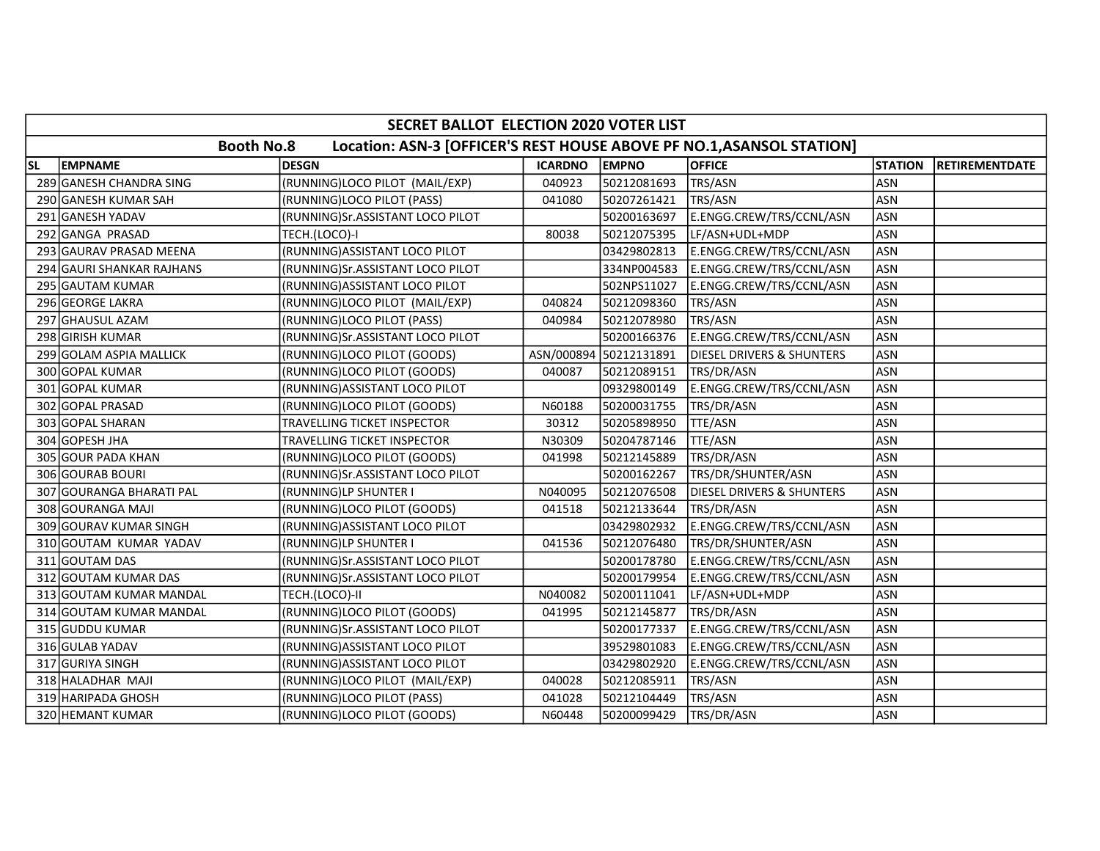|    | SECRET BALLOT ELECTION 2020 VOTER LIST |                                                                       |                |                        |                                      |                |                       |  |  |  |
|----|----------------------------------------|-----------------------------------------------------------------------|----------------|------------------------|--------------------------------------|----------------|-----------------------|--|--|--|
|    | <b>Booth No.8</b>                      | Location: ASN-3 [OFFICER'S REST HOUSE ABOVE PF NO.1, ASANSOL STATION] |                |                        |                                      |                |                       |  |  |  |
| SL | <b>EMPNAME</b>                         | <b>DESGN</b>                                                          | <b>ICARDNO</b> | <b>EMPNO</b>           | <b>OFFICE</b>                        | <b>STATION</b> | <b>RETIREMENTDATE</b> |  |  |  |
|    | 289 GANESH CHANDRA SING                | (RUNNING)LOCO PILOT (MAIL/EXP)                                        | 040923         | 50212081693            | TRS/ASN                              | <b>ASN</b>     |                       |  |  |  |
|    | 290 GANESH KUMAR SAH                   | (RUNNING)LOCO PILOT (PASS)                                            | 041080         | 50207261421            | TRS/ASN                              | <b>ASN</b>     |                       |  |  |  |
|    | 291 GANESH YADAV                       | (RUNNING)Sr.ASSISTANT LOCO PILOT                                      |                | 50200163697            | E.ENGG.CREW/TRS/CCNL/ASN             | <b>ASN</b>     |                       |  |  |  |
|    | 292 GANGA PRASAD                       | TECH.(LOCO)-I                                                         | 80038          | 50212075395            | LF/ASN+UDL+MDP                       | <b>ASN</b>     |                       |  |  |  |
|    | 293 GAURAV PRASAD MEENA                | (RUNNING) ASSISTANT LOCO PILOT                                        |                | 03429802813            | E.ENGG.CREW/TRS/CCNL/ASN             | <b>ASN</b>     |                       |  |  |  |
|    | 294 GAURI SHANKAR RAJHANS              | (RUNNING)Sr.ASSISTANT LOCO PILOT                                      |                | 334NP004583            | E.ENGG.CREW/TRS/CCNL/ASN             | <b>ASN</b>     |                       |  |  |  |
|    | 295 GAUTAM KUMAR                       | (RUNNING) ASSISTANT LOCO PILOT                                        |                | 502NPS11027            | E.ENGG.CREW/TRS/CCNL/ASN             | <b>ASN</b>     |                       |  |  |  |
|    | 296 GEORGE LAKRA                       | (RUNNING)LOCO PILOT (MAIL/EXP)                                        | 040824         | 50212098360            | TRS/ASN                              | <b>ASN</b>     |                       |  |  |  |
|    | 297 GHAUSUL AZAM                       | (RUNNING)LOCO PILOT (PASS)                                            | 040984         | 50212078980            | TRS/ASN                              | <b>ASN</b>     |                       |  |  |  |
|    | 298 GIRISH KUMAR                       | (RUNNING)Sr.ASSISTANT LOCO PILOT                                      |                | 50200166376            | E.ENGG.CREW/TRS/CCNL/ASN             | <b>ASN</b>     |                       |  |  |  |
|    | 299 GOLAM ASPIA MALLICK                | (RUNNING)LOCO PILOT (GOODS)                                           |                | ASN/000894 50212131891 | <b>DIESEL DRIVERS &amp; SHUNTERS</b> | <b>ASN</b>     |                       |  |  |  |
|    | 300 GOPAL KUMAR                        | (RUNNING)LOCO PILOT (GOODS)                                           | 040087         | 50212089151            | TRS/DR/ASN                           | <b>ASN</b>     |                       |  |  |  |
|    | 301 GOPAL KUMAR                        | (RUNNING) ASSISTANT LOCO PILOT                                        |                | 09329800149            | E.ENGG.CREW/TRS/CCNL/ASN             | <b>ASN</b>     |                       |  |  |  |
|    | 302 GOPAL PRASAD                       | (RUNNING)LOCO PILOT (GOODS)                                           | N60188         | 50200031755            | TRS/DR/ASN                           | <b>ASN</b>     |                       |  |  |  |
|    | 303 GOPAL SHARAN                       | TRAVELLING TICKET INSPECTOR                                           | 30312          | 50205898950            | TTE/ASN                              | <b>ASN</b>     |                       |  |  |  |
|    | 304 GOPESH JHA                         | TRAVELLING TICKET INSPECTOR                                           | N30309         | 50204787146            | TTE/ASN                              | <b>ASN</b>     |                       |  |  |  |
|    | 305 GOUR PADA KHAN                     | (RUNNING)LOCO PILOT (GOODS)                                           | 041998         | 50212145889            | TRS/DR/ASN                           | <b>ASN</b>     |                       |  |  |  |
|    | 306 GOURAB BOURI                       | (RUNNING)Sr.ASSISTANT LOCO PILOT                                      |                | 50200162267            | TRS/DR/SHUNTER/ASN                   | <b>ASN</b>     |                       |  |  |  |
|    | 307 GOURANGA BHARATI PAL               | (RUNNING)LP SHUNTER I                                                 | N040095        | 50212076508            | <b>DIESEL DRIVERS &amp; SHUNTERS</b> | <b>ASN</b>     |                       |  |  |  |
|    | 308 GOURANGA MAJI                      | (RUNNING)LOCO PILOT (GOODS)                                           | 041518         | 50212133644            | TRS/DR/ASN                           | <b>ASN</b>     |                       |  |  |  |
|    | 309 GOURAV KUMAR SINGH                 | (RUNNING) ASSISTANT LOCO PILOT                                        |                | 03429802932            | E.ENGG.CREW/TRS/CCNL/ASN             | <b>ASN</b>     |                       |  |  |  |
|    | 310 GOUTAM KUMAR YADAV                 | (RUNNING)LP SHUNTER I                                                 | 041536         | 50212076480            | TRS/DR/SHUNTER/ASN                   | <b>ASN</b>     |                       |  |  |  |
|    | 311 GOUTAM DAS                         | (RUNNING)Sr.ASSISTANT LOCO PILOT                                      |                | 50200178780            | E.ENGG.CREW/TRS/CCNL/ASN             | <b>ASN</b>     |                       |  |  |  |
|    | 312 GOUTAM KUMAR DAS                   | (RUNNING)Sr.ASSISTANT LOCO PILOT                                      |                | 50200179954            | E.ENGG.CREW/TRS/CCNL/ASN             | <b>ASN</b>     |                       |  |  |  |
|    | 313 GOUTAM KUMAR MANDAL                | TECH.(LOCO)-II                                                        | N040082        | 50200111041            | LF/ASN+UDL+MDP                       | <b>ASN</b>     |                       |  |  |  |
|    | 314 GOUTAM KUMAR MANDAL                | (RUNNING)LOCO PILOT (GOODS)                                           | 041995         | 50212145877            | TRS/DR/ASN                           | <b>ASN</b>     |                       |  |  |  |
|    | 315 GUDDU KUMAR                        | (RUNNING)Sr.ASSISTANT LOCO PILOT                                      |                | 50200177337            | E.ENGG.CREW/TRS/CCNL/ASN             | <b>ASN</b>     |                       |  |  |  |
|    | 316 GULAB YADAV                        | (RUNNING) ASSISTANT LOCO PILOT                                        |                | 39529801083            | E.ENGG.CREW/TRS/CCNL/ASN             | <b>ASN</b>     |                       |  |  |  |
|    | 317 GURIYA SINGH                       | (RUNNING) ASSISTANT LOCO PILOT                                        |                | 03429802920            | E.ENGG.CREW/TRS/CCNL/ASN             | <b>ASN</b>     |                       |  |  |  |
|    | 318 HALADHAR MAJI                      | (RUNNING)LOCO PILOT (MAIL/EXP)                                        | 040028         | 50212085911            | TRS/ASN                              | <b>ASN</b>     |                       |  |  |  |
|    | 319 HARIPADA GHOSH                     | (RUNNING)LOCO PILOT (PASS)                                            | 041028         | 50212104449            | TRS/ASN                              | <b>ASN</b>     |                       |  |  |  |
|    | 320 HEMANT KUMAR                       | (RUNNING)LOCO PILOT (GOODS)                                           | N60448         | 50200099429            | TRS/DR/ASN                           | ASN            |                       |  |  |  |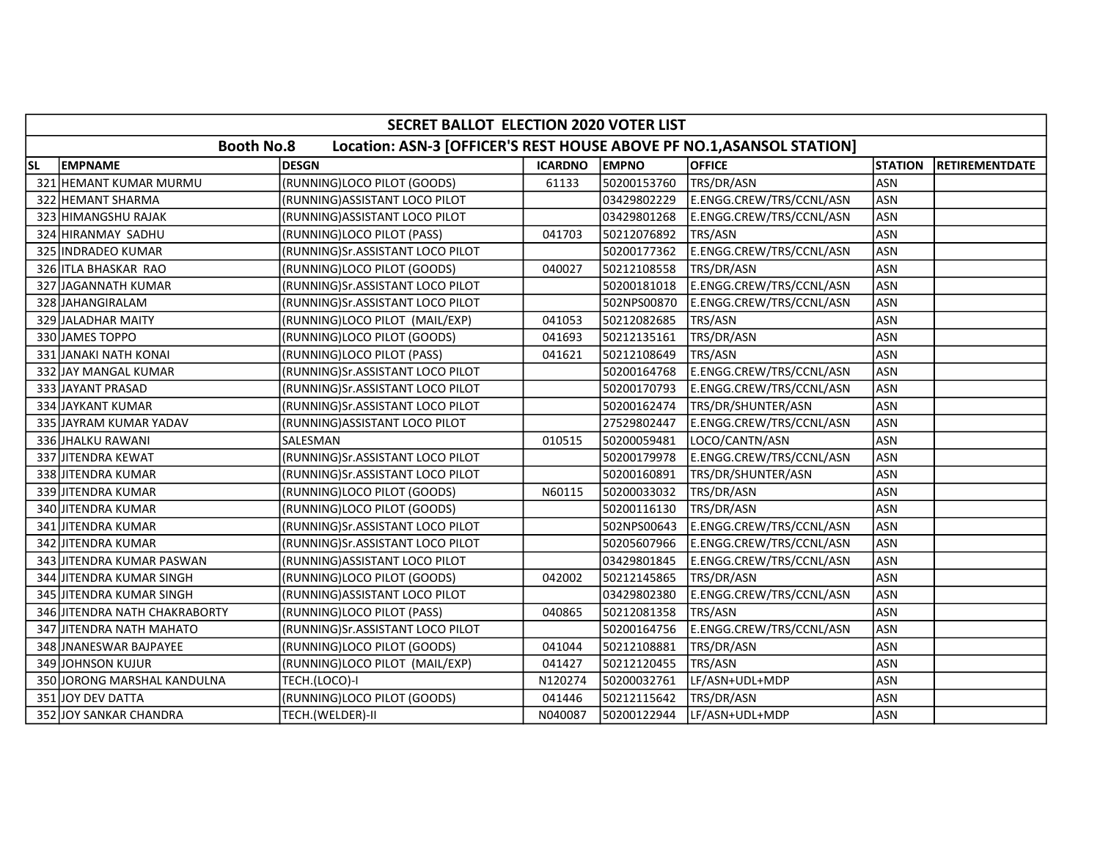|           | SECRET BALLOT ELECTION 2020 VOTER LIST                                                     |                                  |                |              |                          |                |                       |  |  |  |
|-----------|--------------------------------------------------------------------------------------------|----------------------------------|----------------|--------------|--------------------------|----------------|-----------------------|--|--|--|
|           | <b>Booth No.8</b><br>Location: ASN-3 [OFFICER'S REST HOUSE ABOVE PF NO.1, ASANSOL STATION] |                                  |                |              |                          |                |                       |  |  |  |
| <b>SL</b> | EMPNAME                                                                                    | <b>DESGN</b>                     | <b>ICARDNO</b> | <b>EMPNO</b> | <b>OFFICE</b>            | <b>STATION</b> | <b>RETIREMENTDATE</b> |  |  |  |
|           | 321 HEMANT KUMAR MURMU                                                                     | (RUNNING)LOCO PILOT (GOODS)      | 61133          | 50200153760  | TRS/DR/ASN               | <b>ASN</b>     |                       |  |  |  |
|           | 322 HEMANT SHARMA                                                                          | (RUNNING) ASSISTANT LOCO PILOT   |                | 03429802229  | E.ENGG.CREW/TRS/CCNL/ASN | <b>ASN</b>     |                       |  |  |  |
|           | 323 HIMANGSHU RAJAK                                                                        | (RUNNING) ASSISTANT LOCO PILOT   |                | 03429801268  | E.ENGG.CREW/TRS/CCNL/ASN | <b>ASN</b>     |                       |  |  |  |
|           | 324 HIRANMAY SADHU                                                                         | (RUNNING)LOCO PILOT (PASS)       | 041703         | 50212076892  | TRS/ASN                  | <b>ASN</b>     |                       |  |  |  |
|           | 325 INDRADEO KUMAR                                                                         | (RUNNING)Sr.ASSISTANT LOCO PILOT |                | 50200177362  | E.ENGG.CREW/TRS/CCNL/ASN | <b>ASN</b>     |                       |  |  |  |
|           | 326 ITLA BHASKAR RAO                                                                       | (RUNNING)LOCO PILOT (GOODS)      | 040027         | 50212108558  | TRS/DR/ASN               | <b>ASN</b>     |                       |  |  |  |
|           | 327 JAGANNATH KUMAR                                                                        | (RUNNING)Sr.ASSISTANT LOCO PILOT |                | 50200181018  | E.ENGG.CREW/TRS/CCNL/ASN | <b>ASN</b>     |                       |  |  |  |
|           | 328 JAHANGIRALAM                                                                           | (RUNNING)Sr.ASSISTANT LOCO PILOT |                | 502NPS00870  | E.ENGG.CREW/TRS/CCNL/ASN | <b>ASN</b>     |                       |  |  |  |
|           | 329 JALADHAR MAITY                                                                         | (RUNNING)LOCO PILOT (MAIL/EXP)   | 041053         | 50212082685  | TRS/ASN                  | <b>ASN</b>     |                       |  |  |  |
|           | 330 JAMES TOPPO                                                                            | (RUNNING)LOCO PILOT (GOODS)      | 041693         | 50212135161  | TRS/DR/ASN               | <b>ASN</b>     |                       |  |  |  |
|           | 331 JANAKI NATH KONAI                                                                      | (RUNNING)LOCO PILOT (PASS)       | 041621         | 50212108649  | TRS/ASN                  | <b>ASN</b>     |                       |  |  |  |
|           | 332 JAY MANGAL KUMAR                                                                       | (RUNNING)Sr.ASSISTANT LOCO PILOT |                | 50200164768  | E.ENGG.CREW/TRS/CCNL/ASN | <b>ASN</b>     |                       |  |  |  |
|           | 333 JAYANT PRASAD                                                                          | (RUNNING)Sr.ASSISTANT LOCO PILOT |                | 50200170793  | E.ENGG.CREW/TRS/CCNL/ASN | <b>ASN</b>     |                       |  |  |  |
|           | 334 JAYKANT KUMAR                                                                          | (RUNNING)Sr.ASSISTANT LOCO PILOT |                | 50200162474  | TRS/DR/SHUNTER/ASN       | <b>ASN</b>     |                       |  |  |  |
|           | 335 JAYRAM KUMAR YADAV                                                                     | (RUNNING) ASSISTANT LOCO PILOT   |                | 27529802447  | E.ENGG.CREW/TRS/CCNL/ASN | <b>ASN</b>     |                       |  |  |  |
|           | 336 JHALKU RAWANI                                                                          | SALESMAN                         | 010515         | 50200059481  | LOCO/CANTN/ASN           | <b>ASN</b>     |                       |  |  |  |
|           | 337 JITENDRA KEWAT                                                                         | (RUNNING)Sr.ASSISTANT LOCO PILOT |                | 50200179978  | E.ENGG.CREW/TRS/CCNL/ASN | <b>ASN</b>     |                       |  |  |  |
|           | 338 JITENDRA KUMAR                                                                         | (RUNNING)Sr.ASSISTANT LOCO PILOT |                | 50200160891  | TRS/DR/SHUNTER/ASN       | <b>ASN</b>     |                       |  |  |  |
|           | 339 JITENDRA KUMAR                                                                         | (RUNNING)LOCO PILOT (GOODS)      | N60115         | 50200033032  | TRS/DR/ASN               | <b>ASN</b>     |                       |  |  |  |
|           | 340 JITENDRA KUMAR                                                                         | (RUNNING)LOCO PILOT (GOODS)      |                | 50200116130  | TRS/DR/ASN               | ASN            |                       |  |  |  |
|           | 341 JITENDRA KUMAR                                                                         | (RUNNING)Sr.ASSISTANT LOCO PILOT |                | 502NPS00643  | E.ENGG.CREW/TRS/CCNL/ASN | <b>ASN</b>     |                       |  |  |  |
|           | 342 JITENDRA KUMAR                                                                         | (RUNNING)Sr.ASSISTANT LOCO PILOT |                | 50205607966  | E.ENGG.CREW/TRS/CCNL/ASN | <b>ASN</b>     |                       |  |  |  |
|           | 343 JITENDRA KUMAR PASWAN                                                                  | (RUNNING) ASSISTANT LOCO PILOT   |                | 03429801845  | E.ENGG.CREW/TRS/CCNL/ASN | <b>ASN</b>     |                       |  |  |  |
|           | 344 JITENDRA KUMAR SINGH                                                                   | (RUNNING)LOCO PILOT (GOODS)      | 042002         | 50212145865  | TRS/DR/ASN               | <b>ASN</b>     |                       |  |  |  |
|           | 345 JITENDRA KUMAR SINGH                                                                   | (RUNNING) ASSISTANT LOCO PILOT   |                | 03429802380  | E.ENGG.CREW/TRS/CCNL/ASN | ASN            |                       |  |  |  |
|           | 346 JITENDRA NATH CHAKRABORTY                                                              | (RUNNING)LOCO PILOT (PASS)       | 040865         | 50212081358  | TRS/ASN                  | <b>ASN</b>     |                       |  |  |  |
| 347       | <b>JITENDRA NATH MAHATO</b>                                                                | (RUNNING)Sr.ASSISTANT LOCO PILOT |                | 50200164756  | E.ENGG.CREW/TRS/CCNL/ASN | <b>ASN</b>     |                       |  |  |  |
|           | 348 JNANESWAR BAJPAYEE                                                                     | (RUNNING)LOCO PILOT (GOODS)      | 041044         | 50212108881  | TRS/DR/ASN               | <b>ASN</b>     |                       |  |  |  |
|           | 349 JOHNSON KUJUR                                                                          | (RUNNING)LOCO PILOT (MAIL/EXP)   | 041427         | 50212120455  | TRS/ASN                  | <b>ASN</b>     |                       |  |  |  |
|           | 350 JORONG MARSHAL KANDULNA                                                                | TECH.(LOCO)-I                    | N120274        | 50200032761  | LF/ASN+UDL+MDP           | <b>ASN</b>     |                       |  |  |  |
|           | 351 JOY DEV DATTA                                                                          | (RUNNING)LOCO PILOT (GOODS)      | 041446         | 50212115642  | TRS/DR/ASN               | <b>ASN</b>     |                       |  |  |  |
|           | 352 JOY SANKAR CHANDRA                                                                     | TECH.(WELDER)-II                 | N040087        | 50200122944  | LF/ASN+UDL+MDP           | <b>ASN</b>     |                       |  |  |  |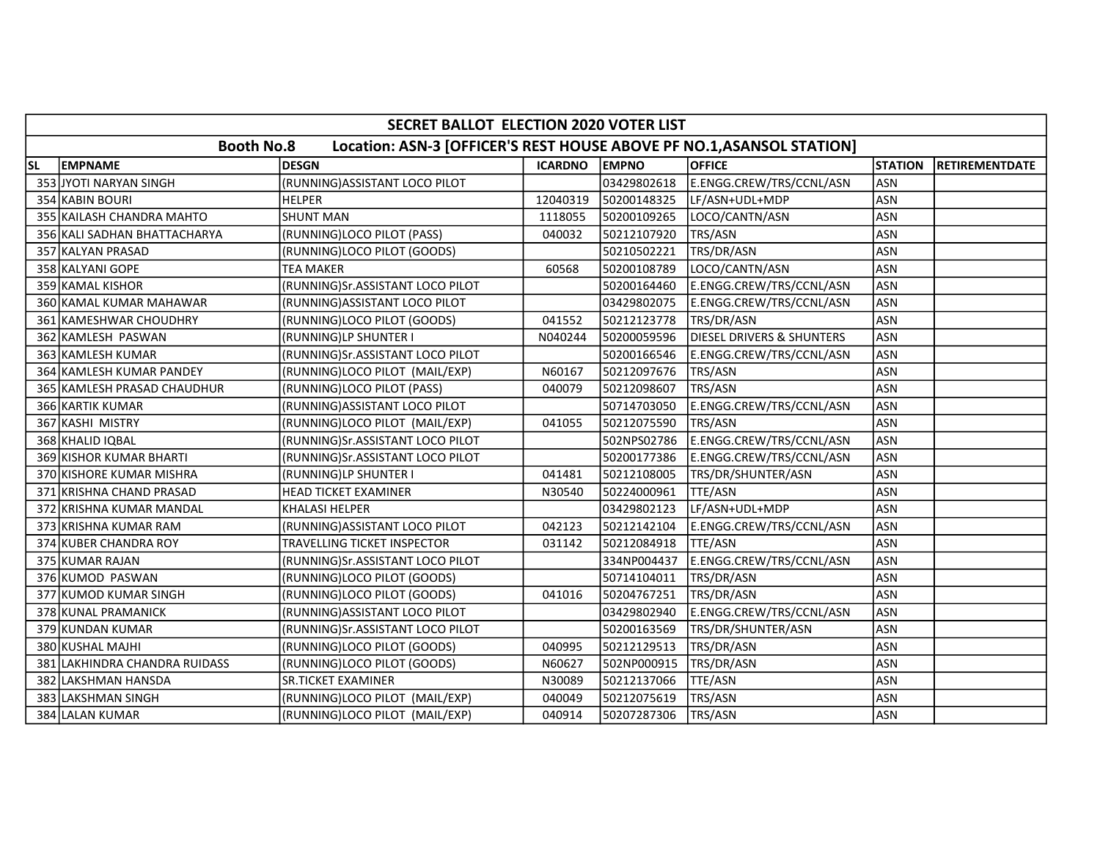|    | SECRET BALLOT ELECTION 2020 VOTER LIST                                                     |                                    |                |              |                                      |                |                       |  |  |  |
|----|--------------------------------------------------------------------------------------------|------------------------------------|----------------|--------------|--------------------------------------|----------------|-----------------------|--|--|--|
|    | <b>Booth No.8</b><br>Location: ASN-3 [OFFICER'S REST HOUSE ABOVE PF NO.1, ASANSOL STATION] |                                    |                |              |                                      |                |                       |  |  |  |
| SL | <b>EMPNAME</b>                                                                             | <b>DESGN</b>                       | <b>ICARDNO</b> | <b>EMPNO</b> | <b>OFFICE</b>                        | <b>STATION</b> | <b>RETIREMENTDATE</b> |  |  |  |
|    | 353 JYOTI NARYAN SINGH                                                                     | (RUNNING) ASSISTANT LOCO PILOT     |                | 03429802618  | E.ENGG.CREW/TRS/CCNL/ASN             | <b>ASN</b>     |                       |  |  |  |
|    | 354 KABIN BOURI                                                                            | <b>HELPER</b>                      | 12040319       | 50200148325  | LF/ASN+UDL+MDP                       | ASN            |                       |  |  |  |
|    | 355 KAILASH CHANDRA MAHTO                                                                  | <b>SHUNT MAN</b>                   | 1118055        | 50200109265  | LOCO/CANTN/ASN                       | <b>ASN</b>     |                       |  |  |  |
|    | 356 KALI SADHAN BHATTACHARYA                                                               | (RUNNING)LOCO PILOT (PASS)         | 040032         | 50212107920  | TRS/ASN                              | <b>ASN</b>     |                       |  |  |  |
|    | 357 KALYAN PRASAD                                                                          | (RUNNING)LOCO PILOT (GOODS)        |                | 50210502221  | TRS/DR/ASN                           | <b>ASN</b>     |                       |  |  |  |
|    | 358 KALYANI GOPE                                                                           | TEA MAKER                          | 60568          | 50200108789  | LOCO/CANTN/ASN                       | <b>ASN</b>     |                       |  |  |  |
|    | 359 KAMAL KISHOR                                                                           | (RUNNING)Sr.ASSISTANT LOCO PILOT   |                | 50200164460  | E.ENGG.CREW/TRS/CCNL/ASN             | <b>ASN</b>     |                       |  |  |  |
|    | 360 KAMAL KUMAR MAHAWAR                                                                    | (RUNNING) ASSISTANT LOCO PILOT     |                | 03429802075  | E.ENGG.CREW/TRS/CCNL/ASN             | <b>ASN</b>     |                       |  |  |  |
|    | 361 KAMESHWAR CHOUDHRY                                                                     | (RUNNING)LOCO PILOT (GOODS)        | 041552         | 50212123778  | TRS/DR/ASN                           | <b>ASN</b>     |                       |  |  |  |
|    | 362 KAMLESH PASWAN                                                                         | (RUNNING)LP SHUNTER I              | N040244        | 50200059596  | <b>DIESEL DRIVERS &amp; SHUNTERS</b> | <b>ASN</b>     |                       |  |  |  |
|    | 363 KAMLESH KUMAR                                                                          | (RUNNING)Sr.ASSISTANT LOCO PILOT   |                | 50200166546  | E.ENGG.CREW/TRS/CCNL/ASN             | <b>ASN</b>     |                       |  |  |  |
|    | 364 KAMLESH KUMAR PANDEY                                                                   | (RUNNING)LOCO PILOT (MAIL/EXP)     | N60167         | 50212097676  | TRS/ASN                              | <b>ASN</b>     |                       |  |  |  |
|    | 365 KAMLESH PRASAD CHAUDHUR                                                                | (RUNNING)LOCO PILOT (PASS)         | 040079         | 50212098607  | TRS/ASN                              | <b>ASN</b>     |                       |  |  |  |
|    | 366 KARTIK KUMAR                                                                           | (RUNNING) ASSISTANT LOCO PILOT     |                | 50714703050  | E.ENGG.CREW/TRS/CCNL/ASN             | <b>ASN</b>     |                       |  |  |  |
|    | 367 KASHI MISTRY                                                                           | (RUNNING)LOCO PILOT (MAIL/EXP)     | 041055         | 50212075590  | TRS/ASN                              | <b>ASN</b>     |                       |  |  |  |
|    | 368 KHALID IQBAL                                                                           | (RUNNING)Sr.ASSISTANT LOCO PILOT   |                | 502NPS02786  | E.ENGG.CREW/TRS/CCNL/ASN             | <b>ASN</b>     |                       |  |  |  |
|    | 369 KISHOR KUMAR BHARTI                                                                    | (RUNNING)Sr.ASSISTANT LOCO PILOT   |                | 50200177386  | E.ENGG.CREW/TRS/CCNL/ASN             | <b>ASN</b>     |                       |  |  |  |
|    | 370 KISHORE KUMAR MISHRA                                                                   | (RUNNING)LP SHUNTER I              | 041481         | 50212108005  | TRS/DR/SHUNTER/ASN                   | <b>ASN</b>     |                       |  |  |  |
|    | 371 KRISHNA CHAND PRASAD                                                                   | <b>HEAD TICKET EXAMINER</b>        | N30540         | 50224000961  | TTE/ASN                              | <b>ASN</b>     |                       |  |  |  |
|    | 372 KRISHNA KUMAR MANDAL                                                                   | KHALASI HELPER                     |                | 03429802123  | LF/ASN+UDL+MDP                       | <b>ASN</b>     |                       |  |  |  |
|    | 373 KRISHNA KUMAR RAM                                                                      | (RUNNING) ASSISTANT LOCO PILOT     | 042123         | 50212142104  | E.ENGG.CREW/TRS/CCNL/ASN             | <b>ASN</b>     |                       |  |  |  |
|    | 374 KUBER CHANDRA ROY                                                                      | <b>TRAVELLING TICKET INSPECTOR</b> | 031142         | 50212084918  | <b>TTE/ASN</b>                       | <b>ASN</b>     |                       |  |  |  |
|    | 375 KUMAR RAJAN                                                                            | (RUNNING)Sr.ASSISTANT LOCO PILOT   |                | 334NP004437  | E.ENGG.CREW/TRS/CCNL/ASN             | <b>ASN</b>     |                       |  |  |  |
|    | 376 KUMOD PASWAN                                                                           | (RUNNING)LOCO PILOT (GOODS)        |                | 50714104011  | TRS/DR/ASN                           | <b>ASN</b>     |                       |  |  |  |
|    | 377 KUMOD KUMAR SINGH                                                                      | (RUNNING)LOCO PILOT (GOODS)        | 041016         | 50204767251  | TRS/DR/ASN                           | <b>ASN</b>     |                       |  |  |  |
|    | 378 KUNAL PRAMANICK                                                                        | (RUNNING) ASSISTANT LOCO PILOT     |                | 03429802940  | E.ENGG.CREW/TRS/CCNL/ASN             | <b>ASN</b>     |                       |  |  |  |
|    | 379 KUNDAN KUMAR                                                                           | (RUNNING)Sr.ASSISTANT LOCO PILOT   |                | 50200163569  | TRS/DR/SHUNTER/ASN                   | <b>ASN</b>     |                       |  |  |  |
|    | 380 KUSHAL MAJHI                                                                           | (RUNNING)LOCO PILOT (GOODS)        | 040995         | 50212129513  | TRS/DR/ASN                           | <b>ASN</b>     |                       |  |  |  |
|    | 381 LAKHINDRA CHANDRA RUIDASS                                                              | (RUNNING)LOCO PILOT (GOODS)        | N60627         | 502NP000915  | TRS/DR/ASN                           | <b>ASN</b>     |                       |  |  |  |
|    | 382 LAKSHMAN HANSDA                                                                        | SR.TICKET EXAMINER                 | N30089         | 50212137066  | TTE/ASN                              | <b>ASN</b>     |                       |  |  |  |
|    | 383 LAKSHMAN SINGH                                                                         | (RUNNING)LOCO PILOT (MAIL/EXP)     | 040049         | 50212075619  | TRS/ASN                              | <b>ASN</b>     |                       |  |  |  |
|    | 384 LALAN KUMAR                                                                            | (RUNNING)LOCO PILOT (MAIL/EXP)     | 040914         | 50207287306  | TRS/ASN                              | ASN            |                       |  |  |  |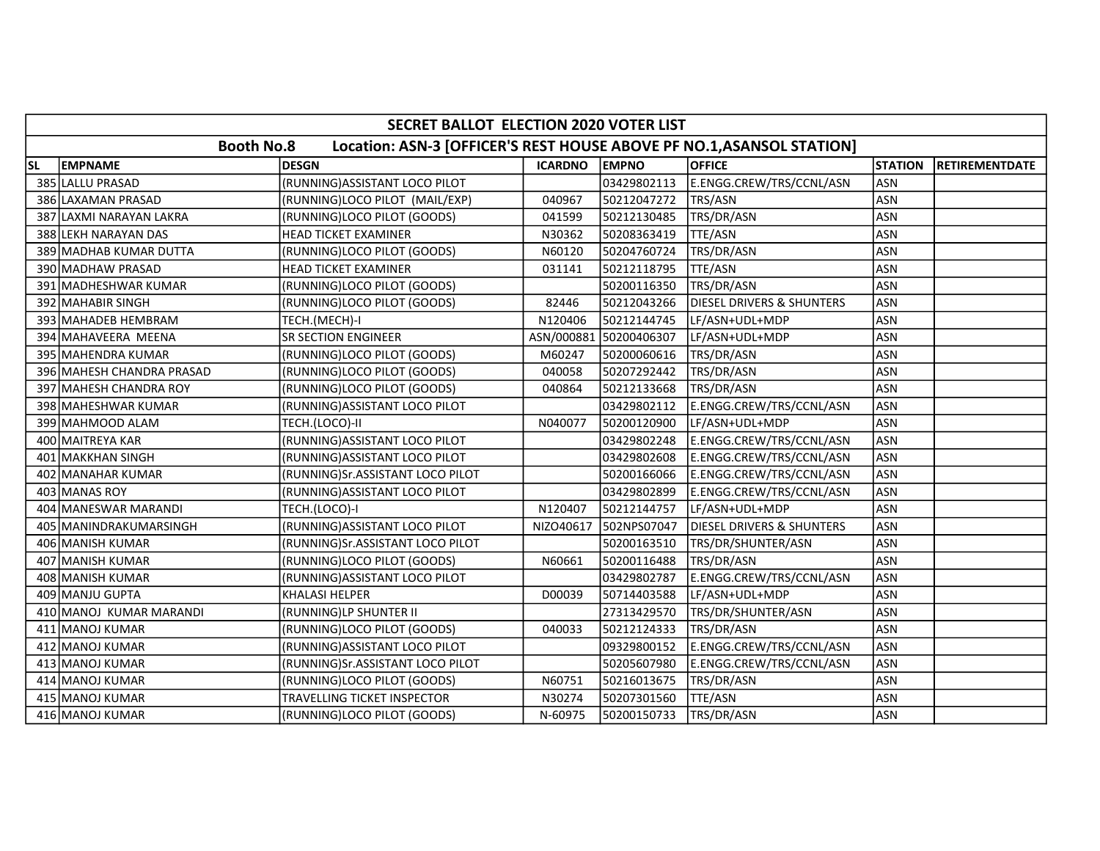|           | SECRET BALLOT ELECTION 2020 VOTER LIST |                                                                       |                |              |                                      |                |                       |  |  |  |  |
|-----------|----------------------------------------|-----------------------------------------------------------------------|----------------|--------------|--------------------------------------|----------------|-----------------------|--|--|--|--|
|           | <b>Booth No.8</b>                      | Location: ASN-3 [OFFICER'S REST HOUSE ABOVE PF NO.1, ASANSOL STATION] |                |              |                                      |                |                       |  |  |  |  |
| <b>SL</b> | <b>EMPNAME</b>                         | <b>DESGN</b>                                                          | <b>ICARDNO</b> | <b>EMPNO</b> | <b>OFFICE</b>                        | <b>STATION</b> | <b>RETIREMENTDATE</b> |  |  |  |  |
|           | 385 LALLU PRASAD                       | (RUNNING) ASSISTANT LOCO PILOT                                        |                | 03429802113  | E.ENGG.CREW/TRS/CCNL/ASN             | <b>ASN</b>     |                       |  |  |  |  |
|           | 386 LAXAMAN PRASAD                     | (RUNNING)LOCO PILOT (MAIL/EXP)                                        | 040967         | 50212047272  | TRS/ASN                              | <b>ASN</b>     |                       |  |  |  |  |
|           | 387 LAXMI NARAYAN LAKRA                | (RUNNING)LOCO PILOT (GOODS)                                           | 041599         | 50212130485  | TRS/DR/ASN                           | <b>ASN</b>     |                       |  |  |  |  |
|           | 388 LEKH NARAYAN DAS                   | <b>HEAD TICKET EXAMINER</b>                                           | N30362         | 50208363419  | <b>TTE/ASN</b>                       | <b>ASN</b>     |                       |  |  |  |  |
|           | 389 MADHAB KUMAR DUTTA                 | (RUNNING)LOCO PILOT (GOODS)                                           | N60120         | 50204760724  | TRS/DR/ASN                           | <b>ASN</b>     |                       |  |  |  |  |
|           | 390 MADHAW PRASAD                      | <b>HEAD TICKET EXAMINER</b>                                           | 031141         | 50212118795  | TTE/ASN                              | <b>ASN</b>     |                       |  |  |  |  |
|           | 391 MADHESHWAR KUMAR                   | (RUNNING)LOCO PILOT (GOODS)                                           |                | 50200116350  | TRS/DR/ASN                           | <b>ASN</b>     |                       |  |  |  |  |
|           | 392 MAHABIR SINGH                      | (RUNNING)LOCO PILOT (GOODS)                                           | 82446          | 50212043266  | <b>DIESEL DRIVERS &amp; SHUNTERS</b> | <b>ASN</b>     |                       |  |  |  |  |
|           | 393 MAHADEB HEMBRAM                    | TECH.(MECH)-I                                                         | N120406        | 50212144745  | LF/ASN+UDL+MDP                       | <b>ASN</b>     |                       |  |  |  |  |
|           | 394 MAHAVEERA MEENA                    | <b>SR SECTION ENGINEER</b>                                            | ASN/000881     | 50200406307  | LF/ASN+UDL+MDP                       | <b>ASN</b>     |                       |  |  |  |  |
|           | 395 MAHENDRA KUMAR                     | (RUNNING)LOCO PILOT (GOODS)                                           | M60247         | 50200060616  | TRS/DR/ASN                           | <b>ASN</b>     |                       |  |  |  |  |
|           | 396 MAHESH CHANDRA PRASAD              | (RUNNING)LOCO PILOT (GOODS)                                           | 040058         | 50207292442  | TRS/DR/ASN                           | <b>ASN</b>     |                       |  |  |  |  |
|           | 397 MAHESH CHANDRA ROY                 | (RUNNING)LOCO PILOT (GOODS)                                           | 040864         | 50212133668  | TRS/DR/ASN                           | <b>ASN</b>     |                       |  |  |  |  |
|           | 398 MAHESHWAR KUMAR                    | (RUNNING)ASSISTANT LOCO PILOT                                         |                | 03429802112  | E.ENGG.CREW/TRS/CCNL/ASN             | <b>ASN</b>     |                       |  |  |  |  |
|           | 399 MAHMOOD ALAM                       | TECH.(LOCO)-II                                                        | N040077        | 50200120900  | LF/ASN+UDL+MDP                       | <b>ASN</b>     |                       |  |  |  |  |
|           | 400 MAITREYA KAR                       | (RUNNING) ASSISTANT LOCO PILOT                                        |                | 03429802248  | E.ENGG.CREW/TRS/CCNL/ASN             | <b>ASN</b>     |                       |  |  |  |  |
|           | 401 MAKKHAN SINGH                      | (RUNNING) ASSISTANT LOCO PILOT                                        |                | 03429802608  | E.ENGG.CREW/TRS/CCNL/ASN             | <b>ASN</b>     |                       |  |  |  |  |
|           | 402 MANAHAR KUMAR                      | (RUNNING)Sr.ASSISTANT LOCO PILOT                                      |                | 50200166066  | E.ENGG.CREW/TRS/CCNL/ASN             | <b>ASN</b>     |                       |  |  |  |  |
|           | 403 MANAS ROY                          | (RUNNING) ASSISTANT LOCO PILOT                                        |                | 03429802899  | E.ENGG.CREW/TRS/CCNL/ASN             | <b>ASN</b>     |                       |  |  |  |  |
|           | 404 MANESWAR MARANDI                   | TECH.(LOCO)-I                                                         | N120407        | 50212144757  | LF/ASN+UDL+MDP                       | <b>ASN</b>     |                       |  |  |  |  |
|           | 405 MANINDRAKUMARSINGH                 | (RUNNING) ASSISTANT LOCO PILOT                                        | NIZO40617      | 502NPS07047  | DIESEL DRIVERS & SHUNTERS            | <b>ASN</b>     |                       |  |  |  |  |
|           | 406 MANISH KUMAR                       | (RUNNING)Sr.ASSISTANT LOCO PILOT                                      |                | 50200163510  | TRS/DR/SHUNTER/ASN                   | <b>ASN</b>     |                       |  |  |  |  |
|           | 407 MANISH KUMAR                       | (RUNNING)LOCO PILOT (GOODS)                                           | N60661         | 50200116488  | TRS/DR/ASN                           | <b>ASN</b>     |                       |  |  |  |  |
|           | 408 MANISH KUMAR                       | (RUNNING) ASSISTANT LOCO PILOT                                        |                | 03429802787  | E.ENGG.CREW/TRS/CCNL/ASN             | <b>ASN</b>     |                       |  |  |  |  |
|           | 409 MANJU GUPTA                        | <b>KHALASI HELPER</b>                                                 | D00039         | 50714403588  | LF/ASN+UDL+MDP                       | <b>ASN</b>     |                       |  |  |  |  |
|           | 410 MANOJ KUMAR MARANDI                | (RUNNING)LP SHUNTER II                                                |                | 27313429570  | TRS/DR/SHUNTER/ASN                   | <b>ASN</b>     |                       |  |  |  |  |
|           | 411 MANOJ KUMAR                        | (RUNNING)LOCO PILOT (GOODS)                                           | 040033         | 50212124333  | TRS/DR/ASN                           | <b>ASN</b>     |                       |  |  |  |  |
|           | 412 MANOJ KUMAR                        | (RUNNING) ASSISTANT LOCO PILOT                                        |                | 09329800152  | E.ENGG.CREW/TRS/CCNL/ASN             | <b>ASN</b>     |                       |  |  |  |  |
|           | 413 MANOJ KUMAR                        | (RUNNING)Sr.ASSISTANT LOCO PILOT                                      |                | 50205607980  | E.ENGG.CREW/TRS/CCNL/ASN             | <b>ASN</b>     |                       |  |  |  |  |
|           | 414 MANOJ KUMAR                        | (RUNNING)LOCO PILOT (GOODS)                                           | N60751         | 50216013675  | TRS/DR/ASN                           | <b>ASN</b>     |                       |  |  |  |  |
|           | 415 MANOJ KUMAR                        | <b>TRAVELLING TICKET INSPECTOR</b>                                    | N30274         | 50207301560  | TTE/ASN                              | <b>ASN</b>     |                       |  |  |  |  |
|           | 416 MANOJ KUMAR                        | (RUNNING)LOCO PILOT (GOODS)                                           | N-60975        | 50200150733  | TRS/DR/ASN                           | <b>ASN</b>     |                       |  |  |  |  |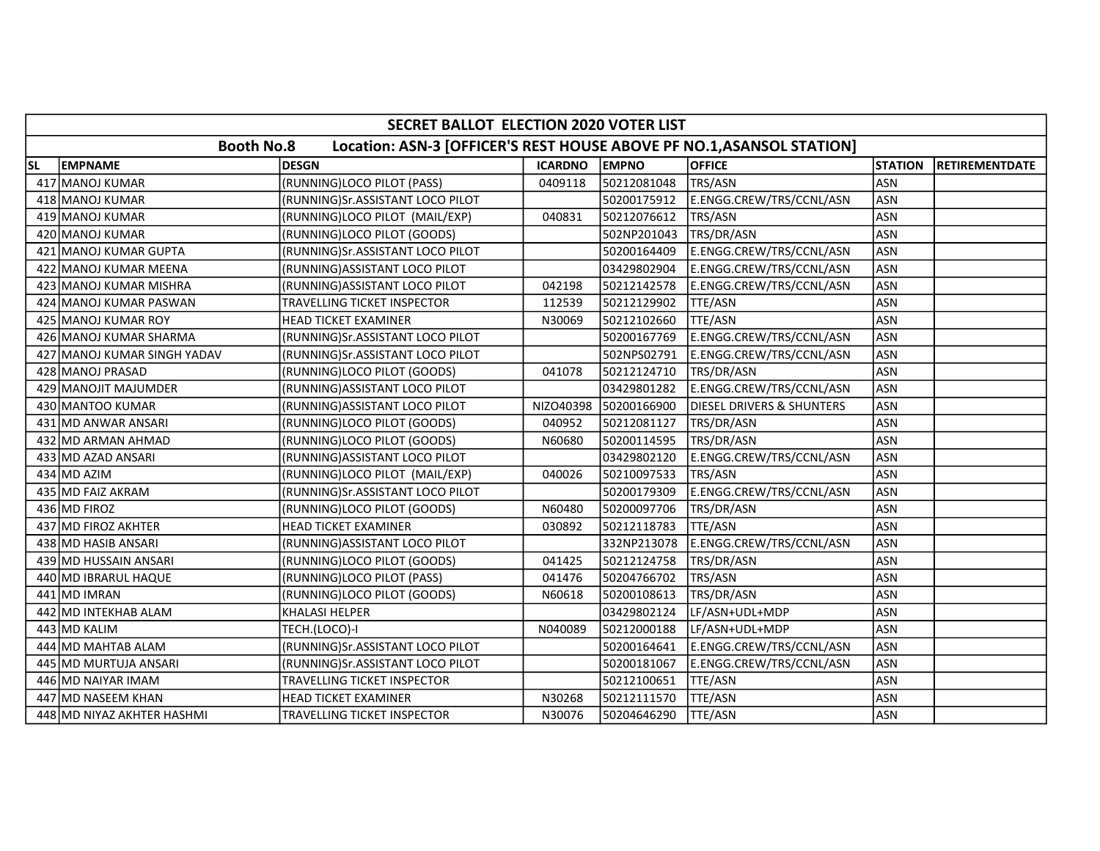|           | SECRET BALLOT ELECTION 2020 VOTER LIST |                                                                       |                |              |                                      |                |                       |  |  |  |
|-----------|----------------------------------------|-----------------------------------------------------------------------|----------------|--------------|--------------------------------------|----------------|-----------------------|--|--|--|
|           | <b>Booth No.8</b>                      | Location: ASN-3 [OFFICER'S REST HOUSE ABOVE PF NO.1, ASANSOL STATION] |                |              |                                      |                |                       |  |  |  |
| <b>SL</b> | <b>EMPNAME</b>                         | <b>DESGN</b>                                                          | <b>ICARDNO</b> | <b>EMPNO</b> | <b>OFFICE</b>                        | <b>STATION</b> | <b>RETIREMENTDATE</b> |  |  |  |
|           | 417 MANOJ KUMAR                        | (RUNNING)LOCO PILOT (PASS)                                            | 0409118        | 50212081048  | TRS/ASN                              | ASN            |                       |  |  |  |
|           | 418 MANOJ KUMAR                        | (RUNNING)Sr.ASSISTANT LOCO PILOT                                      |                | 50200175912  | E.ENGG.CREW/TRS/CCNL/ASN             | ASN            |                       |  |  |  |
|           | 419 MANOJ KUMAR                        | (RUNNING)LOCO PILOT (MAIL/EXP)                                        | 040831         | 50212076612  | TRS/ASN                              | <b>ASN</b>     |                       |  |  |  |
|           | 420 MANOJ KUMAR                        | (RUNNING)LOCO PILOT (GOODS)                                           |                | 502NP201043  | TRS/DR/ASN                           | <b>ASN</b>     |                       |  |  |  |
|           | 421 MANOJ KUMAR GUPTA                  | (RUNNING)Sr.ASSISTANT LOCO PILOT                                      |                | 50200164409  | E.ENGG.CREW/TRS/CCNL/ASN             | <b>ASN</b>     |                       |  |  |  |
|           | 422 MANOJ KUMAR MEENA                  | (RUNNING) ASSISTANT LOCO PILOT                                        |                | 03429802904  | E.ENGG.CREW/TRS/CCNL/ASN             | <b>ASN</b>     |                       |  |  |  |
|           | 423 MANOJ KUMAR MISHRA                 | (RUNNING)ASSISTANT LOCO PILOT                                         | 042198         | 50212142578  | E.ENGG.CREW/TRS/CCNL/ASN             | <b>ASN</b>     |                       |  |  |  |
|           | 424 MANOJ KUMAR PASWAN                 | TRAVELLING TICKET INSPECTOR                                           | 112539         | 50212129902  | TTE/ASN                              | <b>ASN</b>     |                       |  |  |  |
|           | 425 MANOJ KUMAR ROY                    | <b>HEAD TICKET EXAMINER</b>                                           | N30069         | 50212102660  | TTE/ASN                              | <b>ASN</b>     |                       |  |  |  |
|           | 426 MANOJ KUMAR SHARMA                 | (RUNNING)Sr.ASSISTANT LOCO PILOT                                      |                | 50200167769  | E.ENGG.CREW/TRS/CCNL/ASN             | <b>ASN</b>     |                       |  |  |  |
|           | 427 MANOJ KUMAR SINGH YADAV            | (RUNNING)Sr.ASSISTANT LOCO PILOT                                      |                | 502NPS02791  | E.ENGG.CREW/TRS/CCNL/ASN             | <b>ASN</b>     |                       |  |  |  |
|           | 428 MANOJ PRASAD                       | (RUNNING)LOCO PILOT (GOODS)                                           | 041078         | 50212124710  | TRS/DR/ASN                           | <b>ASN</b>     |                       |  |  |  |
|           | 429 MANOJIT MAJUMDER                   | (RUNNING) ASSISTANT LOCO PILOT                                        |                | 03429801282  | E.ENGG.CREW/TRS/CCNL/ASN             | <b>ASN</b>     |                       |  |  |  |
|           | 430 MANTOO KUMAR                       | (RUNNING) ASSISTANT LOCO PILOT                                        | NIZO40398      | 50200166900  | <b>DIESEL DRIVERS &amp; SHUNTERS</b> | <b>ASN</b>     |                       |  |  |  |
|           | 431 MD ANWAR ANSARI                    | (RUNNING)LOCO PILOT (GOODS)                                           | 040952         | 50212081127  | TRS/DR/ASN                           | <b>ASN</b>     |                       |  |  |  |
|           | 432 MD ARMAN AHMAD                     | (RUNNING)LOCO PILOT (GOODS)                                           | N60680         | 50200114595  | TRS/DR/ASN                           | <b>ASN</b>     |                       |  |  |  |
|           | 433 MD AZAD ANSARI                     | (RUNNING) ASSISTANT LOCO PILOT                                        |                | 03429802120  | E.ENGG.CREW/TRS/CCNL/ASN             | <b>ASN</b>     |                       |  |  |  |
|           | 434 MD AZIM                            | (RUNNING)LOCO PILOT (MAIL/EXP)                                        | 040026         | 50210097533  | TRS/ASN                              | <b>ASN</b>     |                       |  |  |  |
|           | 435 MD FAIZ AKRAM                      | (RUNNING)Sr.ASSISTANT LOCO PILOT                                      |                | 50200179309  | E.ENGG.CREW/TRS/CCNL/ASN             | <b>ASN</b>     |                       |  |  |  |
|           | 436 MD FIROZ                           | (RUNNING)LOCO PILOT (GOODS)                                           | N60480         | 50200097706  | TRS/DR/ASN                           | <b>ASN</b>     |                       |  |  |  |
|           | 437 MD FIROZ AKHTER                    | <b>HEAD TICKET EXAMINER</b>                                           | 030892         | 50212118783  | <b>TTE/ASN</b>                       | <b>ASN</b>     |                       |  |  |  |
|           | 438 MD HASIB ANSARI                    | (RUNNING) ASSISTANT LOCO PILOT                                        |                | 332NP213078  | E.ENGG.CREW/TRS/CCNL/ASN             | <b>ASN</b>     |                       |  |  |  |
|           | 439 MD HUSSAIN ANSARI                  | (RUNNING)LOCO PILOT (GOODS)                                           | 041425         | 50212124758  | TRS/DR/ASN                           | <b>ASN</b>     |                       |  |  |  |
|           | 440 MD IBRARUL HAQUE                   | (RUNNING)LOCO PILOT (PASS)                                            | 041476         | 50204766702  | TRS/ASN                              | <b>ASN</b>     |                       |  |  |  |
|           | 441 MD IMRAN                           | (RUNNING)LOCO PILOT (GOODS)                                           | N60618         | 50200108613  | TRS/DR/ASN                           | <b>ASN</b>     |                       |  |  |  |
|           | 442 MD INTEKHAB ALAM                   | <b>KHALASI HELPER</b>                                                 |                | 03429802124  | LF/ASN+UDL+MDP                       | <b>ASN</b>     |                       |  |  |  |
|           | 443 MD KALIM                           | TECH.(LOCO)-I                                                         | N040089        | 50212000188  | LF/ASN+UDL+MDP                       | <b>ASN</b>     |                       |  |  |  |
|           | 444 MD MAHTAB ALAM                     | (RUNNING)Sr.ASSISTANT LOCO PILOT                                      |                | 50200164641  | E.ENGG.CREW/TRS/CCNL/ASN             | <b>ASN</b>     |                       |  |  |  |
|           | 445 MD MURTUJA ANSARI                  | (RUNNING)Sr.ASSISTANT LOCO PILOT                                      |                | 50200181067  | E.ENGG.CREW/TRS/CCNL/ASN             | <b>ASN</b>     |                       |  |  |  |
|           | 446 MD NAIYAR IMAM                     | TRAVELLING TICKET INSPECTOR                                           |                | 50212100651  | TTE/ASN                              | <b>ASN</b>     |                       |  |  |  |
|           | 447 MD NASEEM KHAN                     | <b>HEAD TICKET EXAMINER</b>                                           | N30268         | 50212111570  | TTE/ASN                              | <b>ASN</b>     |                       |  |  |  |
|           | 448 MD NIYAZ AKHTER HASHMI             | TRAVELLING TICKET INSPECTOR                                           | N30076         | 50204646290  | TTE/ASN                              | ASN            |                       |  |  |  |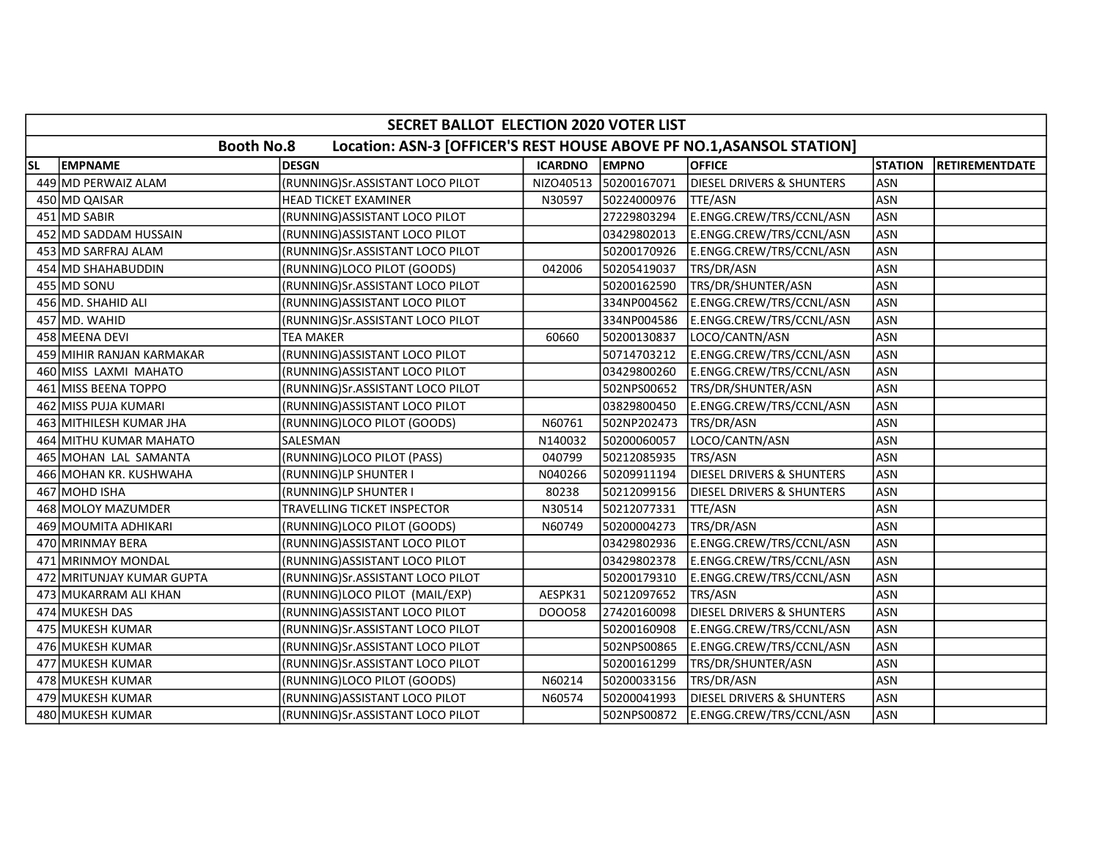|           | SECRET BALLOT ELECTION 2020 VOTER LIST |                                                                       |                |                       |                                      |                |                       |  |  |  |
|-----------|----------------------------------------|-----------------------------------------------------------------------|----------------|-----------------------|--------------------------------------|----------------|-----------------------|--|--|--|
|           | <b>Booth No.8</b>                      | Location: ASN-3 [OFFICER'S REST HOUSE ABOVE PF NO.1, ASANSOL STATION] |                |                       |                                      |                |                       |  |  |  |
| <b>SL</b> | <b>EMPNAME</b>                         | <b>DESGN</b>                                                          | <b>ICARDNO</b> | <b>EMPNO</b>          | <b>OFFICE</b>                        | <b>STATION</b> | <b>RETIREMENTDATE</b> |  |  |  |
|           | 449 MD PERWAIZ ALAM                    | (RUNNING)Sr.ASSISTANT LOCO PILOT                                      |                | NIZO40513 50200167071 | <b>DIESEL DRIVERS &amp; SHUNTERS</b> | <b>ASN</b>     |                       |  |  |  |
|           | 450 MD QAISAR                          | HEAD TICKET EXAMINER                                                  | N30597         | 50224000976           | TTE/ASN                              | <b>ASN</b>     |                       |  |  |  |
|           | 451 MD SABIR                           | (RUNNING) ASSISTANT LOCO PILOT                                        |                | 27229803294           | E.ENGG.CREW/TRS/CCNL/ASN             | <b>ASN</b>     |                       |  |  |  |
|           | 452 MD SADDAM HUSSAIN                  | (RUNNING) ASSISTANT LOCO PILOT                                        |                | 03429802013           | E.ENGG.CREW/TRS/CCNL/ASN             | <b>ASN</b>     |                       |  |  |  |
|           | 453 MD SARFRAJ ALAM                    | (RUNNING)Sr.ASSISTANT LOCO PILOT                                      |                | 50200170926           | E.ENGG.CREW/TRS/CCNL/ASN             | <b>ASN</b>     |                       |  |  |  |
|           | 454 MD SHAHABUDDIN                     | (RUNNING)LOCO PILOT (GOODS)                                           | 042006         | 50205419037           | TRS/DR/ASN                           | <b>ASN</b>     |                       |  |  |  |
|           | 455 MD SONU                            | (RUNNING)Sr.ASSISTANT LOCO PILOT                                      |                | 50200162590           | TRS/DR/SHUNTER/ASN                   | <b>ASN</b>     |                       |  |  |  |
|           | 456 MD. SHAHID ALI                     | (RUNNING) ASSISTANT LOCO PILOT                                        |                | 334NP004562           | E.ENGG.CREW/TRS/CCNL/ASN             | <b>ASN</b>     |                       |  |  |  |
|           | 457 MD. WAHID                          | (RUNNING)Sr.ASSISTANT LOCO PILOT                                      |                | 334NP004586           | E.ENGG.CREW/TRS/CCNL/ASN             | <b>ASN</b>     |                       |  |  |  |
|           | 458 MEENA DEVI                         | <b>TEA MAKER</b>                                                      | 60660          | 50200130837           | LOCO/CANTN/ASN                       | <b>ASN</b>     |                       |  |  |  |
|           | 459 MIHIR RANJAN KARMAKAR              | (RUNNING) ASSISTANT LOCO PILOT                                        |                | 50714703212           | E.ENGG.CREW/TRS/CCNL/ASN             | <b>ASN</b>     |                       |  |  |  |
|           | 460 MISS LAXMI MAHATO                  | (RUNNING) ASSISTANT LOCO PILOT                                        |                | 03429800260           | E.ENGG.CREW/TRS/CCNL/ASN             | <b>ASN</b>     |                       |  |  |  |
|           | 461 MISS BEENA TOPPO                   | (RUNNING)Sr.ASSISTANT LOCO PILOT                                      |                | 502NPS00652           | TRS/DR/SHUNTER/ASN                   | <b>ASN</b>     |                       |  |  |  |
|           | 462 MISS PUJA KUMARI                   | (RUNNING) ASSISTANT LOCO PILOT                                        |                | 03829800450           | E.ENGG.CREW/TRS/CCNL/ASN             | <b>ASN</b>     |                       |  |  |  |
| 4631      | MITHILESH KUMAR JHA                    | (RUNNING)LOCO PILOT (GOODS)                                           | N60761         | 502NP202473           | TRS/DR/ASN                           | <b>ASN</b>     |                       |  |  |  |
| 464       | MITHU KUMAR MAHATO                     | SALESMAN                                                              | N140032        | 50200060057           | LOCO/CANTN/ASN                       | <b>ASN</b>     |                       |  |  |  |
|           | 465 MOHAN LAL SAMANTA                  | (RUNNING)LOCO PILOT (PASS)                                            | 040799         | 50212085935           | TRS/ASN                              | <b>ASN</b>     |                       |  |  |  |
|           | 466 MOHAN KR. KUSHWAHA                 | (RUNNING)LP SHUNTER I                                                 | N040266        | 50209911194           | <b>DIESEL DRIVERS &amp; SHUNTERS</b> | <b>ASN</b>     |                       |  |  |  |
|           | 467 MOHD ISHA                          | (RUNNING)LP SHUNTER I                                                 | 80238          | 50212099156           | <b>DIESEL DRIVERS &amp; SHUNTERS</b> | <b>ASN</b>     |                       |  |  |  |
|           | 468 MOLOY MAZUMDER                     | TRAVELLING TICKET INSPECTOR                                           | N30514         | 50212077331           | TTE/ASN                              | <b>ASN</b>     |                       |  |  |  |
|           | 469 MOUMITA ADHIKARI                   | (RUNNING)LOCO PILOT (GOODS)                                           | N60749         | 50200004273           | TRS/DR/ASN                           | <b>ASN</b>     |                       |  |  |  |
|           | 470 MRINMAY BERA                       | (RUNNING) ASSISTANT LOCO PILOT                                        |                | 03429802936           | E.ENGG.CREW/TRS/CCNL/ASN             | <b>ASN</b>     |                       |  |  |  |
|           | 471 MRINMOY MONDAL                     | (RUNNING) ASSISTANT LOCO PILOT                                        |                | 03429802378           | E.ENGG.CREW/TRS/CCNL/ASN             | <b>ASN</b>     |                       |  |  |  |
|           | 472 MRITUNJAY KUMAR GUPTA              | (RUNNING)Sr.ASSISTANT LOCO PILOT                                      |                | 50200179310           | E.ENGG.CREW/TRS/CCNL/ASN             | <b>ASN</b>     |                       |  |  |  |
|           | 473 MUKARRAM ALI KHAN                  | (RUNNING)LOCO PILOT (MAIL/EXP)                                        | AESPK31        | 50212097652           | TRS/ASN                              | <b>ASN</b>     |                       |  |  |  |
|           | 474 MUKESH DAS                         | (RUNNING) ASSISTANT LOCO PILOT                                        | DO0058         | 27420160098           | <b>DIESEL DRIVERS &amp; SHUNTERS</b> | <b>ASN</b>     |                       |  |  |  |
|           | 475 MUKESH KUMAR                       | (RUNNING)Sr.ASSISTANT LOCO PILOT                                      |                | 50200160908           | E.ENGG.CREW/TRS/CCNL/ASN             | ASN            |                       |  |  |  |
|           | 476 MUKESH KUMAR                       | (RUNNING)Sr.ASSISTANT LOCO PILOT                                      |                | 502NPS00865           | E.ENGG.CREW/TRS/CCNL/ASN             | <b>ASN</b>     |                       |  |  |  |
|           | 477 MUKESH KUMAR                       | (RUNNING)Sr.ASSISTANT LOCO PILOT                                      |                | 50200161299           | TRS/DR/SHUNTER/ASN                   | <b>ASN</b>     |                       |  |  |  |
|           | 478 MUKESH KUMAR                       | (RUNNING)LOCO PILOT (GOODS)                                           | N60214         | 50200033156           | TRS/DR/ASN                           | <b>ASN</b>     |                       |  |  |  |
|           | 479 MUKESH KUMAR                       | (RUNNING) ASSISTANT LOCO PILOT                                        | N60574         | 50200041993           | <b>DIESEL DRIVERS &amp; SHUNTERS</b> | <b>ASN</b>     |                       |  |  |  |
|           | 480 MUKESH KUMAR                       | (RUNNING)Sr.ASSISTANT LOCO PILOT                                      |                | 502NPS00872           | E.ENGG.CREW/TRS/CCNL/ASN             | <b>ASN</b>     |                       |  |  |  |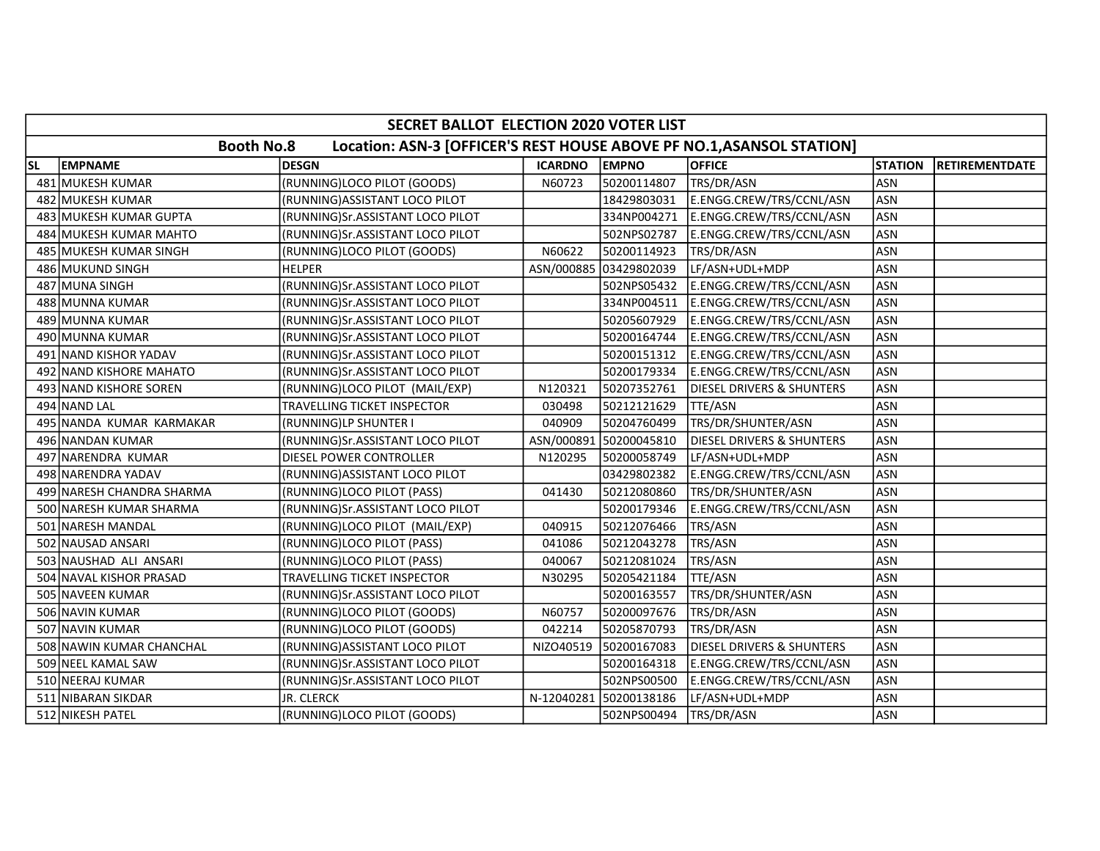| SECRET BALLOT ELECTION 2020 VOTER LIST |                           |                                                                       |                |                        |                           |                |                       |  |  |  |
|----------------------------------------|---------------------------|-----------------------------------------------------------------------|----------------|------------------------|---------------------------|----------------|-----------------------|--|--|--|
|                                        | <b>Booth No.8</b>         | Location: ASN-3 [OFFICER'S REST HOUSE ABOVE PF NO.1, ASANSOL STATION] |                |                        |                           |                |                       |  |  |  |
| <b>SL</b>                              | <b>EMPNAME</b>            | <b>DESGN</b>                                                          | <b>ICARDNO</b> | <b>EMPNO</b>           | <b>OFFICE</b>             | <b>STATION</b> | <b>RETIREMENTDATE</b> |  |  |  |
|                                        | 481 MUKESH KUMAR          | (RUNNING)LOCO PILOT (GOODS)                                           | N60723         | 50200114807            | TRS/DR/ASN                | <b>ASN</b>     |                       |  |  |  |
|                                        | 482 MUKESH KUMAR          | (RUNNING) ASSISTANT LOCO PILOT                                        |                | 18429803031            | E.ENGG.CREW/TRS/CCNL/ASN  | <b>ASN</b>     |                       |  |  |  |
|                                        | 483 MUKESH KUMAR GUPTA    | (RUNNING)Sr.ASSISTANT LOCO PILOT                                      |                | 334NP004271            | E.ENGG.CREW/TRS/CCNL/ASN  | <b>ASN</b>     |                       |  |  |  |
|                                        | 484 MUKESH KUMAR MAHTO    | (RUNNING)Sr.ASSISTANT LOCO PILOT                                      |                | 502NPS02787            | E.ENGG.CREW/TRS/CCNL/ASN  | <b>ASN</b>     |                       |  |  |  |
|                                        | 485 MUKESH KUMAR SINGH    | (RUNNING)LOCO PILOT (GOODS)                                           | N60622         | 50200114923            | TRS/DR/ASN                | <b>ASN</b>     |                       |  |  |  |
|                                        | 486 MUKUND SINGH          | <b>HELPER</b>                                                         |                | ASN/000885 03429802039 | LF/ASN+UDL+MDP            | <b>ASN</b>     |                       |  |  |  |
|                                        | 487 MUNA SINGH            | (RUNNING)Sr.ASSISTANT LOCO PILOT                                      |                | 502NPS05432            | E.ENGG.CREW/TRS/CCNL/ASN  | <b>ASN</b>     |                       |  |  |  |
|                                        | 488 MUNNA KUMAR           | (RUNNING)Sr.ASSISTANT LOCO PILOT                                      |                | 334NP004511            | E.ENGG.CREW/TRS/CCNL/ASN  | <b>ASN</b>     |                       |  |  |  |
|                                        | 489 MUNNA KUMAR           | (RUNNING)Sr.ASSISTANT LOCO PILOT                                      |                | 50205607929            | E.ENGG.CREW/TRS/CCNL/ASN  | <b>ASN</b>     |                       |  |  |  |
|                                        | 490 MUNNA KUMAR           | (RUNNING)Sr.ASSISTANT LOCO PILOT                                      |                | 50200164744            | E.ENGG.CREW/TRS/CCNL/ASN  | <b>ASN</b>     |                       |  |  |  |
|                                        | 491 NAND KISHOR YADAV     | (RUNNING)Sr.ASSISTANT LOCO PILOT                                      |                | 50200151312            | E.ENGG.CREW/TRS/CCNL/ASN  | <b>ASN</b>     |                       |  |  |  |
|                                        | 492 NAND KISHORE MAHATO   | (RUNNING)Sr.ASSISTANT LOCO PILOT                                      |                | 50200179334            | E.ENGG.CREW/TRS/CCNL/ASN  | <b>ASN</b>     |                       |  |  |  |
|                                        | 493 NAND KISHORE SOREN    | (RUNNING)LOCO PILOT (MAIL/EXP)                                        | N120321        | 50207352761            | DIESEL DRIVERS & SHUNTERS | ASN            |                       |  |  |  |
|                                        | 494 NAND LAL              | TRAVELLING TICKET INSPECTOR                                           | 030498         | 50212121629            | TTE/ASN                   | <b>ASN</b>     |                       |  |  |  |
|                                        | 495 NANDA KUMAR KARMAKAR  | (RUNNING)LP SHUNTER I                                                 | 040909         | 50204760499            | TRS/DR/SHUNTER/ASN        | <b>ASN</b>     |                       |  |  |  |
|                                        | 496 NANDAN KUMAR          | (RUNNING)Sr.ASSISTANT LOCO PILOT                                      |                | ASN/000891 50200045810 | DIESEL DRIVERS & SHUNTERS | <b>ASN</b>     |                       |  |  |  |
|                                        | 497 NARENDRA KUMAR        | <b>DIESEL POWER CONTROLLER</b>                                        | N120295        | 50200058749            | LF/ASN+UDL+MDP            | <b>ASN</b>     |                       |  |  |  |
|                                        | 498 NARENDRA YADAV        | (RUNNING) ASSISTANT LOCO PILOT                                        |                | 03429802382            | E.ENGG.CREW/TRS/CCNL/ASN  | <b>ASN</b>     |                       |  |  |  |
|                                        | 499 NARESH CHANDRA SHARMA | (RUNNING)LOCO PILOT (PASS)                                            | 041430         | 50212080860            | TRS/DR/SHUNTER/ASN        | ASN            |                       |  |  |  |
|                                        | 500 NARESH KUMAR SHARMA   | (RUNNING)Sr.ASSISTANT LOCO PILOT                                      |                | 50200179346            | E.ENGG.CREW/TRS/CCNL/ASN  | <b>ASN</b>     |                       |  |  |  |
|                                        | 501 NARESH MANDAL         | (RUNNING)LOCO PILOT (MAIL/EXP)                                        | 040915         | 50212076466            | TRS/ASN                   | <b>ASN</b>     |                       |  |  |  |
|                                        | 502 NAUSAD ANSARI         | (RUNNING)LOCO PILOT (PASS)                                            | 041086         | 50212043278            | TRS/ASN                   | <b>ASN</b>     |                       |  |  |  |
|                                        | 503 NAUSHAD ALI ANSARI    | (RUNNING)LOCO PILOT (PASS)                                            | 040067         | 50212081024            | TRS/ASN                   | <b>ASN</b>     |                       |  |  |  |
|                                        | 504 NAVAL KISHOR PRASAD   | TRAVELLING TICKET INSPECTOR                                           | N30295         | 50205421184            | TTE/ASN                   | <b>ASN</b>     |                       |  |  |  |
|                                        | 505 NAVEEN KUMAR          | (RUNNING)Sr.ASSISTANT LOCO PILOT                                      |                | 50200163557            | TRS/DR/SHUNTER/ASN        | ASN            |                       |  |  |  |
|                                        | 506 NAVIN KUMAR           | (RUNNING)LOCO PILOT (GOODS)                                           | N60757         | 50200097676            | TRS/DR/ASN                | <b>ASN</b>     |                       |  |  |  |
|                                        | 507 NAVIN KUMAR           | (RUNNING)LOCO PILOT (GOODS)                                           | 042214         | 50205870793            | TRS/DR/ASN                | <b>ASN</b>     |                       |  |  |  |
|                                        | 508 NAWIN KUMAR CHANCHAL  | (RUNNING) ASSISTANT LOCO PILOT                                        | NIZO40519      | 50200167083            | DIESEL DRIVERS & SHUNTERS | <b>ASN</b>     |                       |  |  |  |
|                                        | 509 NEEL KAMAL SAW        | (RUNNING)Sr.ASSISTANT LOCO PILOT                                      |                | 50200164318            | E.ENGG.CREW/TRS/CCNL/ASN  | <b>ASN</b>     |                       |  |  |  |
|                                        | 510 NEERAJ KUMAR          | (RUNNING)Sr.ASSISTANT LOCO PILOT                                      |                | 502NPS00500            | E.ENGG.CREW/TRS/CCNL/ASN  | ASN            |                       |  |  |  |
|                                        | 511 NIBARAN SIKDAR        | JR. CLERCK                                                            | N-12040281     | 50200138186            | LF/ASN+UDL+MDP            | <b>ASN</b>     |                       |  |  |  |
|                                        | 512 NIKESH PATEL          | (RUNNING)LOCO PILOT (GOODS)                                           |                | 502NPS00494            | TRS/DR/ASN                | ASN            |                       |  |  |  |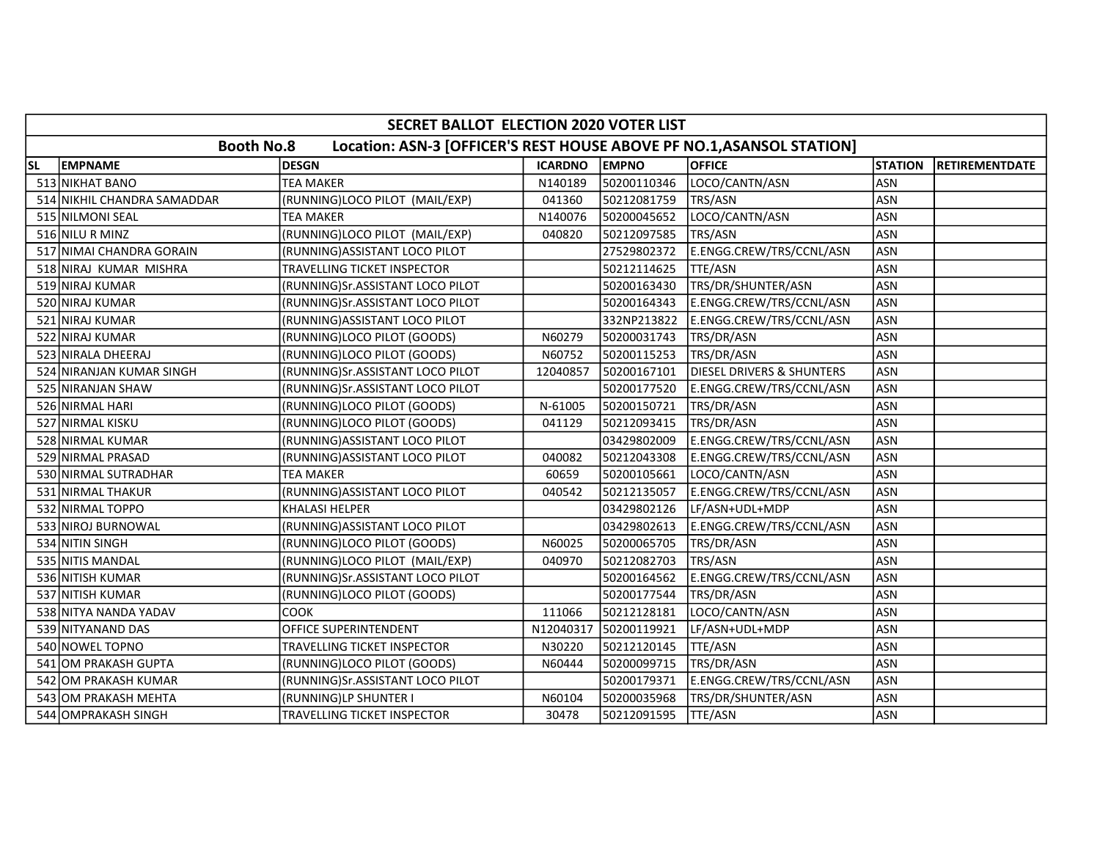| SECRET BALLOT ELECTION 2020 VOTER LIST |                             |                                                                       |                |              |                                      |                |                       |  |  |
|----------------------------------------|-----------------------------|-----------------------------------------------------------------------|----------------|--------------|--------------------------------------|----------------|-----------------------|--|--|
|                                        | <b>Booth No.8</b>           | Location: ASN-3 [OFFICER'S REST HOUSE ABOVE PF NO.1, ASANSOL STATION] |                |              |                                      |                |                       |  |  |
| <b>SL</b>                              | <b>EMPNAME</b>              | <b>DESGN</b>                                                          | <b>ICARDNO</b> | <b>EMPNO</b> | <b>OFFICE</b>                        | <b>STATION</b> | <b>RETIREMENTDATE</b> |  |  |
|                                        | 513 NIKHAT BANO             | <b>TEA MAKER</b>                                                      | N140189        | 50200110346  | LOCO/CANTN/ASN                       | <b>ASN</b>     |                       |  |  |
|                                        | 514 NIKHIL CHANDRA SAMADDAR | (RUNNING)LOCO PILOT (MAIL/EXP)                                        | 041360         | 50212081759  | TRS/ASN                              | <b>ASN</b>     |                       |  |  |
|                                        | 515 NILMONI SEAL            | <b>TEA MAKER</b>                                                      | N140076        | 50200045652  | LOCO/CANTN/ASN                       | <b>ASN</b>     |                       |  |  |
|                                        | 516 NILU R MINZ             | (RUNNING)LOCO PILOT (MAIL/EXP)                                        | 040820         | 50212097585  | TRS/ASN                              | <b>ASN</b>     |                       |  |  |
|                                        | 517 NIMAI CHANDRA GORAIN    | (RUNNING) ASSISTANT LOCO PILOT                                        |                | 27529802372  | E.ENGG.CREW/TRS/CCNL/ASN             | <b>ASN</b>     |                       |  |  |
|                                        | 518 NIRAJ KUMAR MISHRA      | TRAVELLING TICKET INSPECTOR                                           |                | 50212114625  | TTE/ASN                              | <b>ASN</b>     |                       |  |  |
|                                        | 519 NIRAJ KUMAR             | (RUNNING)Sr.ASSISTANT LOCO PILOT                                      |                | 50200163430  | TRS/DR/SHUNTER/ASN                   | <b>ASN</b>     |                       |  |  |
|                                        | 520 NIRAJ KUMAR             | (RUNNING)Sr.ASSISTANT LOCO PILOT                                      |                | 50200164343  | E.ENGG.CREW/TRS/CCNL/ASN             | <b>ASN</b>     |                       |  |  |
|                                        | 521 NIRAJ KUMAR             | (RUNNING) ASSISTANT LOCO PILOT                                        |                | 332NP213822  | E.ENGG.CREW/TRS/CCNL/ASN             | <b>ASN</b>     |                       |  |  |
|                                        | 522 NIRAJ KUMAR             | (RUNNING)LOCO PILOT (GOODS)                                           | N60279         | 50200031743  | TRS/DR/ASN                           | <b>ASN</b>     |                       |  |  |
|                                        | 523 NIRALA DHEERAJ          | (RUNNING)LOCO PILOT (GOODS)                                           | N60752         | 50200115253  | TRS/DR/ASN                           | <b>ASN</b>     |                       |  |  |
|                                        | 524 NIRANJAN KUMAR SINGH    | (RUNNING)Sr.ASSISTANT LOCO PILOT                                      | 12040857       | 50200167101  | <b>DIESEL DRIVERS &amp; SHUNTERS</b> | <b>ASN</b>     |                       |  |  |
|                                        | 525 NIRANJAN SHAW           | (RUNNING)Sr.ASSISTANT LOCO PILOT                                      |                | 50200177520  | E.ENGG.CREW/TRS/CCNL/ASN             | <b>ASN</b>     |                       |  |  |
|                                        | 526 NIRMAL HARI             | (RUNNING)LOCO PILOT (GOODS)                                           | N-61005        | 50200150721  | TRS/DR/ASN                           | <b>ASN</b>     |                       |  |  |
|                                        | 527 NIRMAL KISKU            | (RUNNING)LOCO PILOT (GOODS)                                           | 041129         | 50212093415  | TRS/DR/ASN                           | <b>ASN</b>     |                       |  |  |
|                                        | 528 NIRMAL KUMAR            | (RUNNING) ASSISTANT LOCO PILOT                                        |                | 03429802009  | E.ENGG.CREW/TRS/CCNL/ASN             | <b>ASN</b>     |                       |  |  |
|                                        | 529 NIRMAL PRASAD           | (RUNNING) ASSISTANT LOCO PILOT                                        | 040082         | 50212043308  | E.ENGG.CREW/TRS/CCNL/ASN             | <b>ASN</b>     |                       |  |  |
|                                        | 530 NIRMAL SUTRADHAR        | <b>TEA MAKER</b>                                                      | 60659          | 50200105661  | LOCO/CANTN/ASN                       | <b>ASN</b>     |                       |  |  |
|                                        | 531 NIRMAL THAKUR           | (RUNNING) ASSISTANT LOCO PILOT                                        | 040542         | 50212135057  | E.ENGG.CREW/TRS/CCNL/ASN             | <b>ASN</b>     |                       |  |  |
|                                        | 532 NIRMAL TOPPO            | <b>KHALASI HELPER</b>                                                 |                | 03429802126  | LF/ASN+UDL+MDP                       | <b>ASN</b>     |                       |  |  |
|                                        | 533 NIROJ BURNOWAL          | (RUNNING) ASSISTANT LOCO PILOT                                        |                | 03429802613  | E.ENGG.CREW/TRS/CCNL/ASN             | <b>ASN</b>     |                       |  |  |
|                                        | 534 NITIN SINGH             | (RUNNING)LOCO PILOT (GOODS)                                           | N60025         | 50200065705  | TRS/DR/ASN                           | <b>ASN</b>     |                       |  |  |
|                                        | 535 NITIS MANDAL            | (RUNNING)LOCO PILOT (MAIL/EXP)                                        | 040970         | 50212082703  | TRS/ASN                              | <b>ASN</b>     |                       |  |  |
|                                        | 536 NITISH KUMAR            | (RUNNING)Sr.ASSISTANT LOCO PILOT                                      |                | 50200164562  | E.ENGG.CREW/TRS/CCNL/ASN             | <b>ASN</b>     |                       |  |  |
|                                        | 537 NITISH KUMAR            | (RUNNING)LOCO PILOT (GOODS)                                           |                | 50200177544  | TRS/DR/ASN                           | <b>ASN</b>     |                       |  |  |
|                                        | 538 NITYA NANDA YADAV       | соок                                                                  | 111066         | 50212128181  | LOCO/CANTN/ASN                       | <b>ASN</b>     |                       |  |  |
|                                        | 539 NITYANAND DAS           | <b>OFFICE SUPERINTENDENT</b>                                          | N12040317      | 50200119921  | LF/ASN+UDL+MDP                       | <b>ASN</b>     |                       |  |  |
|                                        | 540 NOWEL TOPNO             | TRAVELLING TICKET INSPECTOR                                           | N30220         | 50212120145  | TTE/ASN                              | <b>ASN</b>     |                       |  |  |
|                                        | 541 OM PRAKASH GUPTA        | (RUNNING)LOCO PILOT (GOODS)                                           | N60444         | 50200099715  | TRS/DR/ASN                           | <b>ASN</b>     |                       |  |  |
|                                        | 542 OM PRAKASH KUMAR        | (RUNNING)Sr.ASSISTANT LOCO PILOT                                      |                | 50200179371  | E.ENGG.CREW/TRS/CCNL/ASN             | <b>ASN</b>     |                       |  |  |
|                                        | 543 OM PRAKASH MEHTA        | (RUNNING)LP SHUNTER I                                                 | N60104         | 50200035968  | TRS/DR/SHUNTER/ASN                   | <b>ASN</b>     |                       |  |  |
|                                        | 544 OMPRAKASH SINGH         | TRAVELLING TICKET INSPECTOR                                           | 30478          | 50212091595  | TTE/ASN                              | ASN            |                       |  |  |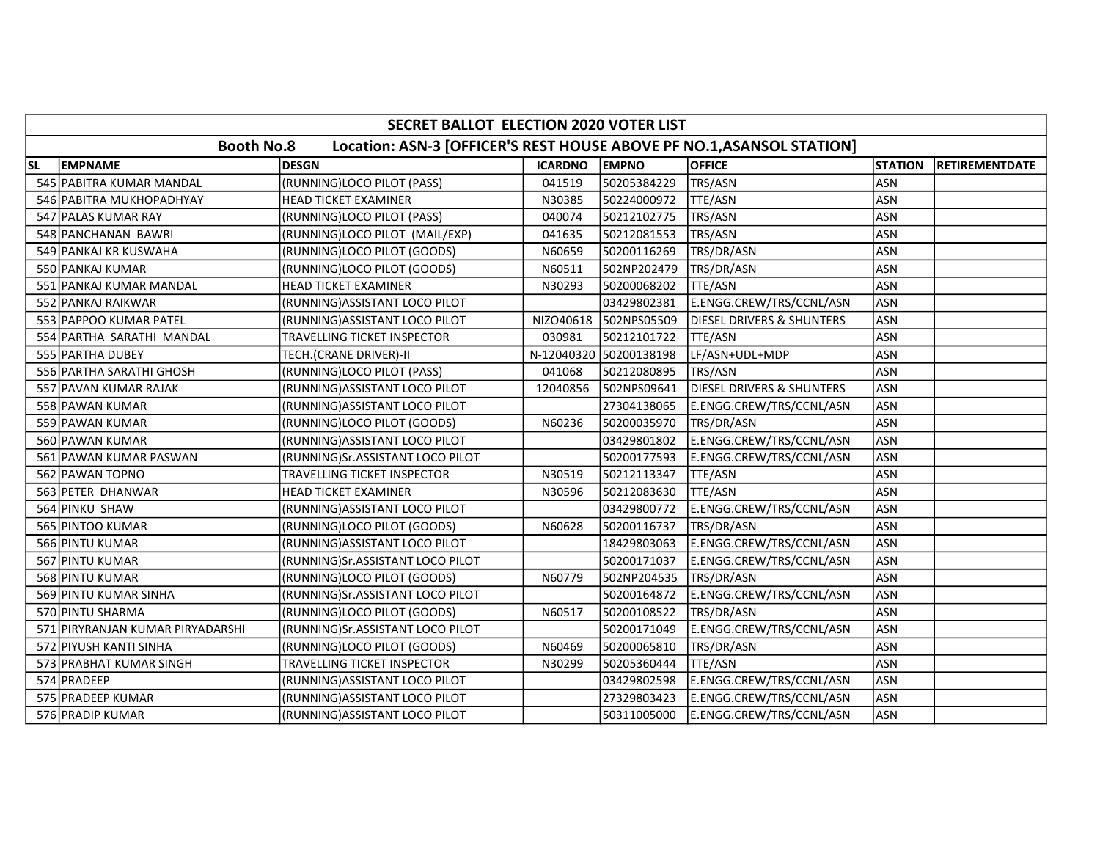| SECRET BALLOT ELECTION 2020 VOTER LIST |                                  |                                                                       |                |                        |                                      |                |                       |  |  |  |
|----------------------------------------|----------------------------------|-----------------------------------------------------------------------|----------------|------------------------|--------------------------------------|----------------|-----------------------|--|--|--|
|                                        | <b>Booth No.8</b>                | Location: ASN-3 [OFFICER'S REST HOUSE ABOVE PF NO.1, ASANSOL STATION] |                |                        |                                      |                |                       |  |  |  |
| <b>SL</b>                              | <b>EMPNAME</b>                   | <b>DESGN</b>                                                          | <b>ICARDNO</b> | <b>EMPNO</b>           | <b>OFFICE</b>                        | <b>STATION</b> | <b>RETIREMENTDATE</b> |  |  |  |
|                                        | 545 PABITRA KUMAR MANDAL         | (RUNNING)LOCO PILOT (PASS)                                            | 041519         | 50205384229            | TRS/ASN                              | <b>ASN</b>     |                       |  |  |  |
|                                        | 546 PABITRA MUKHOPADHYAY         | HEAD TICKET EXAMINER                                                  | N30385         | 50224000972            | TTE/ASN                              | <b>ASN</b>     |                       |  |  |  |
|                                        | 547 PALAS KUMAR RAY              | (RUNNING)LOCO PILOT (PASS)                                            | 040074         | 50212102775            | TRS/ASN                              | <b>ASN</b>     |                       |  |  |  |
|                                        | 548 PANCHANAN BAWRI              | (RUNNING)LOCO PILOT (MAIL/EXP)                                        | 041635         | 50212081553            | TRS/ASN                              | <b>ASN</b>     |                       |  |  |  |
|                                        | 549 PANKAJ KR KUSWAHA            | (RUNNING)LOCO PILOT (GOODS)                                           | N60659         | 50200116269            | TRS/DR/ASN                           | <b>ASN</b>     |                       |  |  |  |
|                                        | 550 PANKAJ KUMAR                 | (RUNNING)LOCO PILOT (GOODS)                                           | N60511         | 502NP202479            | TRS/DR/ASN                           | <b>ASN</b>     |                       |  |  |  |
|                                        | 551 PANKAJ KUMAR MANDAL          | <b>HEAD TICKET EXAMINER</b>                                           | N30293         | 50200068202            | TTE/ASN                              | <b>ASN</b>     |                       |  |  |  |
|                                        | 552 PANKAJ RAIKWAR               | (RUNNING) ASSISTANT LOCO PILOT                                        |                | 03429802381            | E.ENGG.CREW/TRS/CCNL/ASN             | <b>ASN</b>     |                       |  |  |  |
|                                        | 553 PAPPOO KUMAR PATEL           | (RUNNING) ASSISTANT LOCO PILOT                                        | NIZO40618      | 502NPS05509            | DIESEL DRIVERS & SHUNTERS            | <b>ASN</b>     |                       |  |  |  |
|                                        | 554 PARTHA SARATHI MANDAL        | <b>TRAVELLING TICKET INSPECTOR</b>                                    | 030981         | 50212101722            | <b>TTE/ASN</b>                       | <b>ASN</b>     |                       |  |  |  |
|                                        | 555 PARTHA DUBEY                 | TECH.(CRANE DRIVER)-II                                                |                | N-12040320 50200138198 | LF/ASN+UDL+MDP                       | <b>ASN</b>     |                       |  |  |  |
|                                        | 556 PARTHA SARATHI GHOSH         | (RUNNING)LOCO PILOT (PASS)                                            | 041068         | 50212080895            | TRS/ASN                              | <b>ASN</b>     |                       |  |  |  |
|                                        | 557 PAVAN KUMAR RAJAK            | (RUNNING) ASSISTANT LOCO PILOT                                        | 12040856       | 502NPS09641            | <b>DIESEL DRIVERS &amp; SHUNTERS</b> | <b>ASN</b>     |                       |  |  |  |
|                                        | 558 PAWAN KUMAR                  | (RUNNING) ASSISTANT LOCO PILOT                                        |                | 27304138065            | E.ENGG.CREW/TRS/CCNL/ASN             | <b>ASN</b>     |                       |  |  |  |
|                                        | 559 PAWAN KUMAR                  | (RUNNING)LOCO PILOT (GOODS)                                           | N60236         | 50200035970            | TRS/DR/ASN                           | <b>ASN</b>     |                       |  |  |  |
|                                        | 560 PAWAN KUMAR                  | (RUNNING) ASSISTANT LOCO PILOT                                        |                | 03429801802            | E.ENGG.CREW/TRS/CCNL/ASN             | <b>ASN</b>     |                       |  |  |  |
|                                        | 561 PAWAN KUMAR PASWAN           | (RUNNING)Sr.ASSISTANT LOCO PILOT                                      |                | 50200177593            | E.ENGG.CREW/TRS/CCNL/ASN             | ASN            |                       |  |  |  |
|                                        | 562 PAWAN TOPNO                  | <b>TRAVELLING TICKET INSPECTOR</b>                                    | N30519         | 50212113347            | TTE/ASN                              | <b>ASN</b>     |                       |  |  |  |
|                                        | 563 PETER DHANWAR                | <b>HEAD TICKET EXAMINER</b>                                           | N30596         | 50212083630            | TTE/ASN                              | <b>ASN</b>     |                       |  |  |  |
|                                        | 564 PINKU SHAW                   | (RUNNING) ASSISTANT LOCO PILOT                                        |                | 03429800772            | E.ENGG.CREW/TRS/CCNL/ASN             | <b>ASN</b>     |                       |  |  |  |
|                                        | 565 PINTOO KUMAR                 | (RUNNING)LOCO PILOT (GOODS)                                           | N60628         | 50200116737            | TRS/DR/ASN                           | <b>ASN</b>     |                       |  |  |  |
|                                        | 566 PINTU KUMAR                  | (RUNNING) ASSISTANT LOCO PILOT                                        |                | 18429803063            | E.ENGG.CREW/TRS/CCNL/ASN             | <b>ASN</b>     |                       |  |  |  |
|                                        | 567 PINTU KUMAR                  | (RUNNING) Sr. ASSISTANT LOCO PILOT                                    |                | 50200171037            | E.ENGG.CREW/TRS/CCNL/ASN             | <b>ASN</b>     |                       |  |  |  |
|                                        | 568 PINTU KUMAR                  | (RUNNING)LOCO PILOT (GOODS)                                           | N60779         | 502NP204535            | TRS/DR/ASN                           | <b>ASN</b>     |                       |  |  |  |
|                                        | 569 PINTU KUMAR SINHA            | (RUNNING)Sr.ASSISTANT LOCO PILOT                                      |                | 50200164872            | E.ENGG.CREW/TRS/CCNL/ASN             | <b>ASN</b>     |                       |  |  |  |
|                                        | 570 PINTU SHARMA                 | (RUNNING)LOCO PILOT (GOODS)                                           | N60517         | 50200108522            | TRS/DR/ASN                           | <b>ASN</b>     |                       |  |  |  |
|                                        | 571 PIRYRANJAN KUMAR PIRYADARSHI | (RUNNING)Sr.ASSISTANT LOCO PILOT                                      |                | 50200171049            | E.ENGG.CREW/TRS/CCNL/ASN             | <b>ASN</b>     |                       |  |  |  |
|                                        | 572 PIYUSH KANTI SINHA           | (RUNNING)LOCO PILOT (GOODS)                                           | N60469         | 50200065810            | TRS/DR/ASN                           | <b>ASN</b>     |                       |  |  |  |
|                                        | 573 PRABHAT KUMAR SINGH          | TRAVELLING TICKET INSPECTOR                                           | N30299         | 50205360444            | TTE/ASN                              | <b>ASN</b>     |                       |  |  |  |
|                                        | 574 PRADEEP                      | (RUNNING) ASSISTANT LOCO PILOT                                        |                | 03429802598            | E.ENGG.CREW/TRS/CCNL/ASN             | <b>ASN</b>     |                       |  |  |  |
|                                        | 575 PRADEEP KUMAR                | (RUNNING) ASSISTANT LOCO PILOT                                        |                | 27329803423            | E.ENGG.CREW/TRS/CCNL/ASN             | <b>ASN</b>     |                       |  |  |  |
|                                        | 576 PRADIP KUMAR                 | (RUNNING) ASSISTANT LOCO PILOT                                        |                | 50311005000            | E.ENGG.CREW/TRS/CCNL/ASN             | <b>ASN</b>     |                       |  |  |  |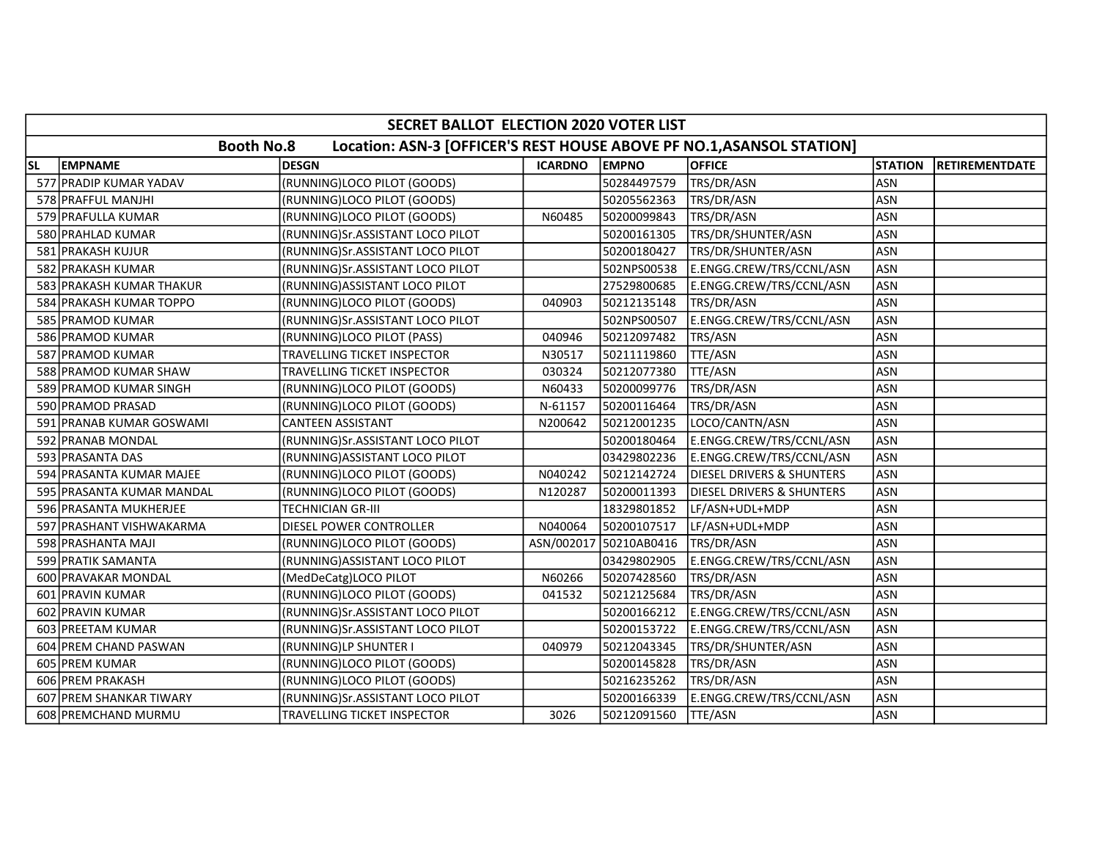|           | SECRET BALLOT ELECTION 2020 VOTER LIST                                                     |                                  |                |                        |                                      |                |                       |  |  |  |  |
|-----------|--------------------------------------------------------------------------------------------|----------------------------------|----------------|------------------------|--------------------------------------|----------------|-----------------------|--|--|--|--|
|           | <b>Booth No.8</b><br>Location: ASN-3 [OFFICER'S REST HOUSE ABOVE PF NO.1, ASANSOL STATION] |                                  |                |                        |                                      |                |                       |  |  |  |  |
| <b>SL</b> | <b>EMPNAME</b>                                                                             | <b>DESGN</b>                     | <b>ICARDNO</b> | <b>EMPNO</b>           | <b>OFFICE</b>                        | <b>STATION</b> | <b>RETIREMENTDATE</b> |  |  |  |  |
|           | 577 PRADIP KUMAR YADAV                                                                     | (RUNNING)LOCO PILOT (GOODS)      |                | 50284497579            | TRS/DR/ASN                           | <b>ASN</b>     |                       |  |  |  |  |
|           | 578 PRAFFUL MANJHI                                                                         | (RUNNING)LOCO PILOT (GOODS)      |                | 50205562363            | TRS/DR/ASN                           | <b>ASN</b>     |                       |  |  |  |  |
|           | 579 PRAFULLA KUMAR                                                                         | (RUNNING)LOCO PILOT (GOODS)      | N60485         | 50200099843            | TRS/DR/ASN                           | <b>ASN</b>     |                       |  |  |  |  |
|           | 580 PRAHLAD KUMAR                                                                          | (RUNNING)Sr.ASSISTANT LOCO PILOT |                | 50200161305            | TRS/DR/SHUNTER/ASN                   | <b>ASN</b>     |                       |  |  |  |  |
|           | 581 PRAKASH KUJUR                                                                          | (RUNNING)Sr.ASSISTANT LOCO PILOT |                | 50200180427            | TRS/DR/SHUNTER/ASN                   | <b>ASN</b>     |                       |  |  |  |  |
|           | 582 PRAKASH KUMAR                                                                          | (RUNNING)Sr.ASSISTANT LOCO PILOT |                | 502NPS00538            | E.ENGG.CREW/TRS/CCNL/ASN             | <b>ASN</b>     |                       |  |  |  |  |
|           | 583 PRAKASH KUMAR THAKUR                                                                   | (RUNNING) ASSISTANT LOCO PILOT   |                | 27529800685            | E.ENGG.CREW/TRS/CCNL/ASN             | <b>ASN</b>     |                       |  |  |  |  |
|           | 584 PRAKASH KUMAR TOPPO                                                                    | (RUNNING)LOCO PILOT (GOODS)      | 040903         | 50212135148            | TRS/DR/ASN                           | <b>ASN</b>     |                       |  |  |  |  |
|           | 585 PRAMOD KUMAR                                                                           | (RUNNING)Sr.ASSISTANT LOCO PILOT |                | 502NPS00507            | E.ENGG.CREW/TRS/CCNL/ASN             | <b>ASN</b>     |                       |  |  |  |  |
|           | 586 PRAMOD KUMAR                                                                           | (RUNNING)LOCO PILOT (PASS)       | 040946         | 50212097482            | TRS/ASN                              | <b>ASN</b>     |                       |  |  |  |  |
|           | 587 PRAMOD KUMAR                                                                           | TRAVELLING TICKET INSPECTOR      | N30517         | 50211119860            | TTE/ASN                              | <b>ASN</b>     |                       |  |  |  |  |
|           | 588 PRAMOD KUMAR SHAW                                                                      | TRAVELLING TICKET INSPECTOR      | 030324         | 50212077380            | TTE/ASN                              | <b>ASN</b>     |                       |  |  |  |  |
|           | 589 PRAMOD KUMAR SINGH                                                                     | (RUNNING)LOCO PILOT (GOODS)      | N60433         | 50200099776            | TRS/DR/ASN                           | <b>ASN</b>     |                       |  |  |  |  |
|           | 590 PRAMOD PRASAD                                                                          | (RUNNING)LOCO PILOT (GOODS)      | N-61157        | 50200116464            | TRS/DR/ASN                           | <b>ASN</b>     |                       |  |  |  |  |
|           | 591 PRANAB KUMAR GOSWAMI                                                                   | <b>CANTEEN ASSISTANT</b>         | N200642        | 50212001235            | LOCO/CANTN/ASN                       | <b>ASN</b>     |                       |  |  |  |  |
|           | 592 PRANAB MONDAL                                                                          | (RUNNING)Sr.ASSISTANT LOCO PILOT |                | 50200180464            | E.ENGG.CREW/TRS/CCNL/ASN             | <b>ASN</b>     |                       |  |  |  |  |
|           | 593 PRASANTA DAS                                                                           | (RUNNING) ASSISTANT LOCO PILOT   |                | 03429802236            | E.ENGG.CREW/TRS/CCNL/ASN             | <b>ASN</b>     |                       |  |  |  |  |
|           | 594 PRASANTA KUMAR MAJEE                                                                   | (RUNNING)LOCO PILOT (GOODS)      | N040242        | 50212142724            | <b>DIESEL DRIVERS &amp; SHUNTERS</b> | <b>ASN</b>     |                       |  |  |  |  |
|           | 595 PRASANTA KUMAR MANDAL                                                                  | (RUNNING)LOCO PILOT (GOODS)      | N120287        | 50200011393            | <b>DIESEL DRIVERS &amp; SHUNTERS</b> | <b>ASN</b>     |                       |  |  |  |  |
|           | 596 PRASANTA MUKHERJEE                                                                     | <b>TECHNICIAN GR-III</b>         |                | 18329801852            | LF/ASN+UDL+MDP                       | <b>ASN</b>     |                       |  |  |  |  |
|           | 597 PRASHANT VISHWAKARMA                                                                   | DIESEL POWER CONTROLLER          | N040064        | 50200107517            | LF/ASN+UDL+MDP                       | <b>ASN</b>     |                       |  |  |  |  |
|           | 598 PRASHANTA MAJI                                                                         | (RUNNING)LOCO PILOT (GOODS)      |                | ASN/002017 50210AB0416 | TRS/DR/ASN                           | <b>ASN</b>     |                       |  |  |  |  |
|           | 599 PRATIK SAMANTA                                                                         | (RUNNING) ASSISTANT LOCO PILOT   |                | 03429802905            | E.ENGG.CREW/TRS/CCNL/ASN             | <b>ASN</b>     |                       |  |  |  |  |
|           | 600 PRAVAKAR MONDAL                                                                        | (MedDeCatg)LOCO PILOT            | N60266         | 50207428560            | TRS/DR/ASN                           | <b>ASN</b>     |                       |  |  |  |  |
|           | 601 PRAVIN KUMAR                                                                           | (RUNNING)LOCO PILOT (GOODS)      | 041532         | 50212125684            | TRS/DR/ASN                           | <b>ASN</b>     |                       |  |  |  |  |
|           | 602 PRAVIN KUMAR                                                                           | (RUNNING)Sr.ASSISTANT LOCO PILOT |                | 50200166212            | E.ENGG.CREW/TRS/CCNL/ASN             | <b>ASN</b>     |                       |  |  |  |  |
|           | 603 PREETAM KUMAR                                                                          | (RUNNING)Sr.ASSISTANT LOCO PILOT |                | 50200153722            | E.ENGG.CREW/TRS/CCNL/ASN             | <b>ASN</b>     |                       |  |  |  |  |
|           | 604 PREM CHAND PASWAN                                                                      | (RUNNING)LP SHUNTER I            | 040979         | 50212043345            | TRS/DR/SHUNTER/ASN                   | <b>ASN</b>     |                       |  |  |  |  |
|           | 605 PREM KUMAR                                                                             | (RUNNING)LOCO PILOT (GOODS)      |                | 50200145828            | TRS/DR/ASN                           | <b>ASN</b>     |                       |  |  |  |  |
|           | 606 PREM PRAKASH                                                                           | (RUNNING)LOCO PILOT (GOODS)      |                | 50216235262            | TRS/DR/ASN                           | <b>ASN</b>     |                       |  |  |  |  |
|           | 607 PREM SHANKAR TIWARY                                                                    | (RUNNING)Sr.ASSISTANT LOCO PILOT |                | 50200166339            | E.ENGG.CREW/TRS/CCNL/ASN             | <b>ASN</b>     |                       |  |  |  |  |
|           | 608 PREMCHAND MURMU                                                                        | TRAVELLING TICKET INSPECTOR      | 3026           | 50212091560            | <b>TTE/ASN</b>                       | ASN            |                       |  |  |  |  |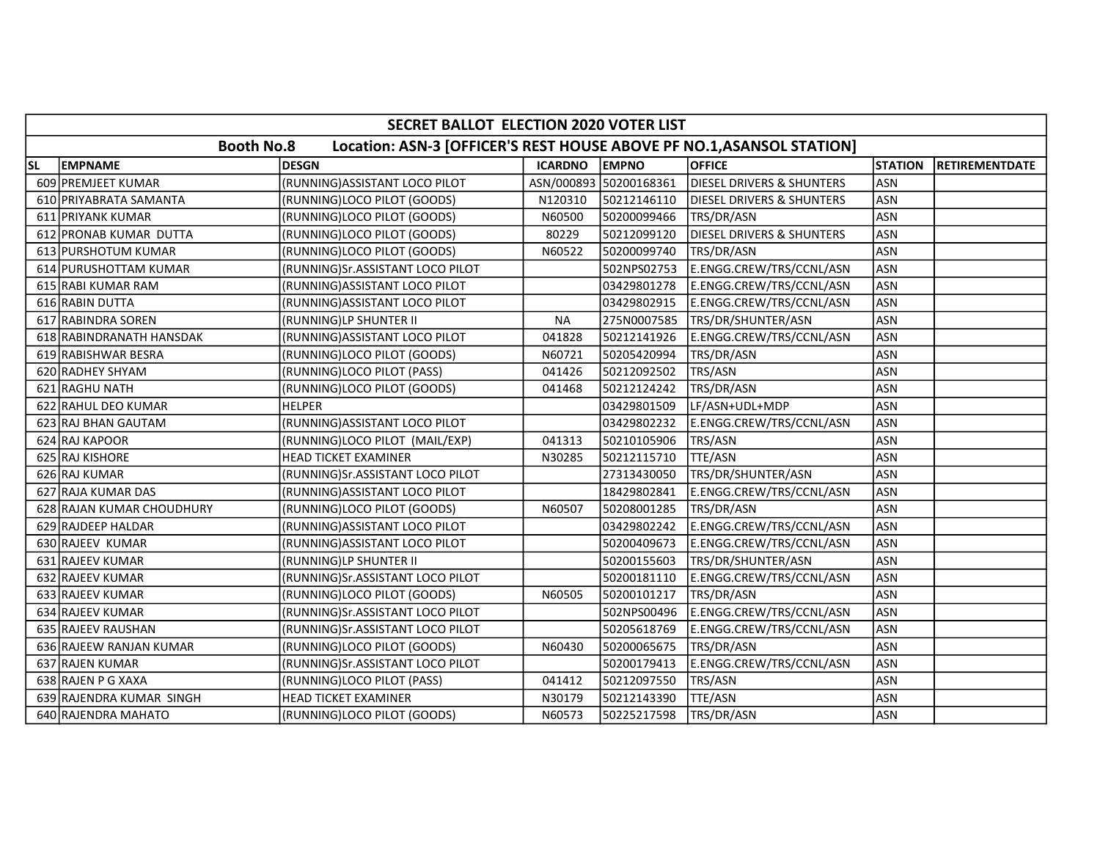|           | SECRET BALLOT ELECTION 2020 VOTER LIST |                                                                       |                |                        |                                      |                |                       |  |  |  |  |
|-----------|----------------------------------------|-----------------------------------------------------------------------|----------------|------------------------|--------------------------------------|----------------|-----------------------|--|--|--|--|
|           | <b>Booth No.8</b>                      | Location: ASN-3 [OFFICER'S REST HOUSE ABOVE PF NO.1, ASANSOL STATION] |                |                        |                                      |                |                       |  |  |  |  |
| <b>SL</b> | <b>EMPNAME</b>                         | <b>DESGN</b>                                                          | <b>ICARDNO</b> | <b>EMPNO</b>           | <b>OFFICE</b>                        | <b>STATION</b> | <b>RETIREMENTDATE</b> |  |  |  |  |
|           | 609 PREMJEET KUMAR                     | (RUNNING) ASSISTANT LOCO PILOT                                        |                | ASN/000893 50200168361 | <b>DIESEL DRIVERS &amp; SHUNTERS</b> | <b>ASN</b>     |                       |  |  |  |  |
|           | 610 PRIYABRATA SAMANTA                 | (RUNNING)LOCO PILOT (GOODS)                                           | N120310        | 50212146110            | <b>DIESEL DRIVERS &amp; SHUNTERS</b> | <b>ASN</b>     |                       |  |  |  |  |
|           | 611 PRIYANK KUMAR                      | (RUNNING)LOCO PILOT (GOODS)                                           | N60500         | 50200099466            | TRS/DR/ASN                           | <b>ASN</b>     |                       |  |  |  |  |
|           | 612 PRONAB KUMAR DUTTA                 | (RUNNING)LOCO PILOT (GOODS)                                           | 80229          | 50212099120            | <b>DIESEL DRIVERS &amp; SHUNTERS</b> | <b>ASN</b>     |                       |  |  |  |  |
|           | 613 PURSHOTUM KUMAR                    | (RUNNING)LOCO PILOT (GOODS)                                           | N60522         | 50200099740            | TRS/DR/ASN                           | <b>ASN</b>     |                       |  |  |  |  |
|           | 614 PURUSHOTTAM KUMAR                  | (RUNNING)Sr.ASSISTANT LOCO PILOT                                      |                | 502NPS02753            | E.ENGG.CREW/TRS/CCNL/ASN             | <b>ASN</b>     |                       |  |  |  |  |
|           | 615 RABI KUMAR RAM                     | (RUNNING) ASSISTANT LOCO PILOT                                        |                | 03429801278            | E.ENGG.CREW/TRS/CCNL/ASN             | <b>ASN</b>     |                       |  |  |  |  |
|           | 616 RABIN DUTTA                        | (RUNNING) ASSISTANT LOCO PILOT                                        |                | 03429802915            | E.ENGG.CREW/TRS/CCNL/ASN             | <b>ASN</b>     |                       |  |  |  |  |
|           | 617 RABINDRA SOREN                     | (RUNNING)LP SHUNTER II                                                | <b>NA</b>      | 275N0007585            | TRS/DR/SHUNTER/ASN                   | <b>ASN</b>     |                       |  |  |  |  |
|           | 618 RABINDRANATH HANSDAK               | (RUNNING) ASSISTANT LOCO PILOT                                        | 041828         | 50212141926            | E.ENGG.CREW/TRS/CCNL/ASN             | <b>ASN</b>     |                       |  |  |  |  |
|           | 619 RABISHWAR BESRA                    | (RUNNING)LOCO PILOT (GOODS)                                           | N60721         | 50205420994            | TRS/DR/ASN                           | <b>ASN</b>     |                       |  |  |  |  |
|           | 620 RADHEY SHYAM                       | (RUNNING)LOCO PILOT (PASS)                                            | 041426         | 50212092502            | TRS/ASN                              | <b>ASN</b>     |                       |  |  |  |  |
|           | 621 RAGHU NATH                         | (RUNNING)LOCO PILOT (GOODS)                                           | 041468         | 50212124242            | TRS/DR/ASN                           | <b>ASN</b>     |                       |  |  |  |  |
|           | 622 RAHUL DEO KUMAR                    | <b>HELPER</b>                                                         |                | 03429801509            | LF/ASN+UDL+MDP                       | <b>ASN</b>     |                       |  |  |  |  |
|           | 623 RAJ BHAN GAUTAM                    | (RUNNING) ASSISTANT LOCO PILOT                                        |                | 03429802232            | E.ENGG.CREW/TRS/CCNL/ASN             | <b>ASN</b>     |                       |  |  |  |  |
|           | 624 RAJ KAPOOR                         | (RUNNING)LOCO PILOT (MAIL/EXP)                                        | 041313         | 50210105906            | TRS/ASN                              | <b>ASN</b>     |                       |  |  |  |  |
|           | 625 RAJ KISHORE                        | <b>HEAD TICKET EXAMINER</b>                                           | N30285         | 50212115710            | TTE/ASN                              | <b>ASN</b>     |                       |  |  |  |  |
|           | 626 RAJ KUMAR                          | (RUNNING)Sr.ASSISTANT LOCO PILOT                                      |                | 27313430050            | TRS/DR/SHUNTER/ASN                   | <b>ASN</b>     |                       |  |  |  |  |
|           | 627 RAJA KUMAR DAS                     | (RUNNING) ASSISTANT LOCO PILOT                                        |                | 18429802841            | E.ENGG.CREW/TRS/CCNL/ASN             | <b>ASN</b>     |                       |  |  |  |  |
|           | 628 RAJAN KUMAR CHOUDHURY              | (RUNNING)LOCO PILOT (GOODS)                                           | N60507         | 50208001285            | TRS/DR/ASN                           | <b>ASN</b>     |                       |  |  |  |  |
|           | 629 RAJDEEP HALDAR                     | (RUNNING) ASSISTANT LOCO PILOT                                        |                | 03429802242            | E.ENGG.CREW/TRS/CCNL/ASN             | <b>ASN</b>     |                       |  |  |  |  |
|           | 630 RAJEEV KUMAR                       | (RUNNING) ASSISTANT LOCO PILOT                                        |                | 50200409673            | E.ENGG.CREW/TRS/CCNL/ASN             | <b>ASN</b>     |                       |  |  |  |  |
|           | 631 RAJEEV KUMAR                       | (RUNNING)LP SHUNTER II                                                |                | 50200155603            | TRS/DR/SHUNTER/ASN                   | <b>ASN</b>     |                       |  |  |  |  |
|           | 632 RAJEEV KUMAR                       | (RUNNING)Sr.ASSISTANT LOCO PILOT                                      |                | 50200181110            | E.ENGG.CREW/TRS/CCNL/ASN             | <b>ASN</b>     |                       |  |  |  |  |
|           | 633 RAJEEV KUMAR                       | (RUNNING)LOCO PILOT (GOODS)                                           | N60505         | 50200101217            | TRS/DR/ASN                           | <b>ASN</b>     |                       |  |  |  |  |
|           | 634 RAJEEV KUMAR                       | (RUNNING)Sr.ASSISTANT LOCO PILOT                                      |                | 502NPS00496            | E.ENGG.CREW/TRS/CCNL/ASN             | <b>ASN</b>     |                       |  |  |  |  |
|           | 635 RAJEEV RAUSHAN                     | (RUNNING)Sr.ASSISTANT LOCO PILOT                                      |                | 50205618769            | E.ENGG.CREW/TRS/CCNL/ASN             | <b>ASN</b>     |                       |  |  |  |  |
|           | 636 RAJEEW RANJAN KUMAR                | (RUNNING)LOCO PILOT (GOODS)                                           | N60430         | 50200065675            | TRS/DR/ASN                           | <b>ASN</b>     |                       |  |  |  |  |
|           | 637 RAJEN KUMAR                        | (RUNNING)Sr.ASSISTANT LOCO PILOT                                      |                | 50200179413            | E.ENGG.CREW/TRS/CCNL/ASN             | <b>ASN</b>     |                       |  |  |  |  |
|           | 638 RAJEN P G XAXA                     | (RUNNING)LOCO PILOT (PASS)                                            | 041412         | 50212097550            | TRS/ASN                              | <b>ASN</b>     |                       |  |  |  |  |
|           | 639 RAJENDRA KUMAR SINGH               | <b>HEAD TICKET EXAMINER</b>                                           | N30179         | 50212143390            | TTE/ASN                              | <b>ASN</b>     |                       |  |  |  |  |
|           | 640 RAJENDRA MAHATO                    | (RUNNING)LOCO PILOT (GOODS)                                           | N60573         | 50225217598            | TRS/DR/ASN                           | ASN            |                       |  |  |  |  |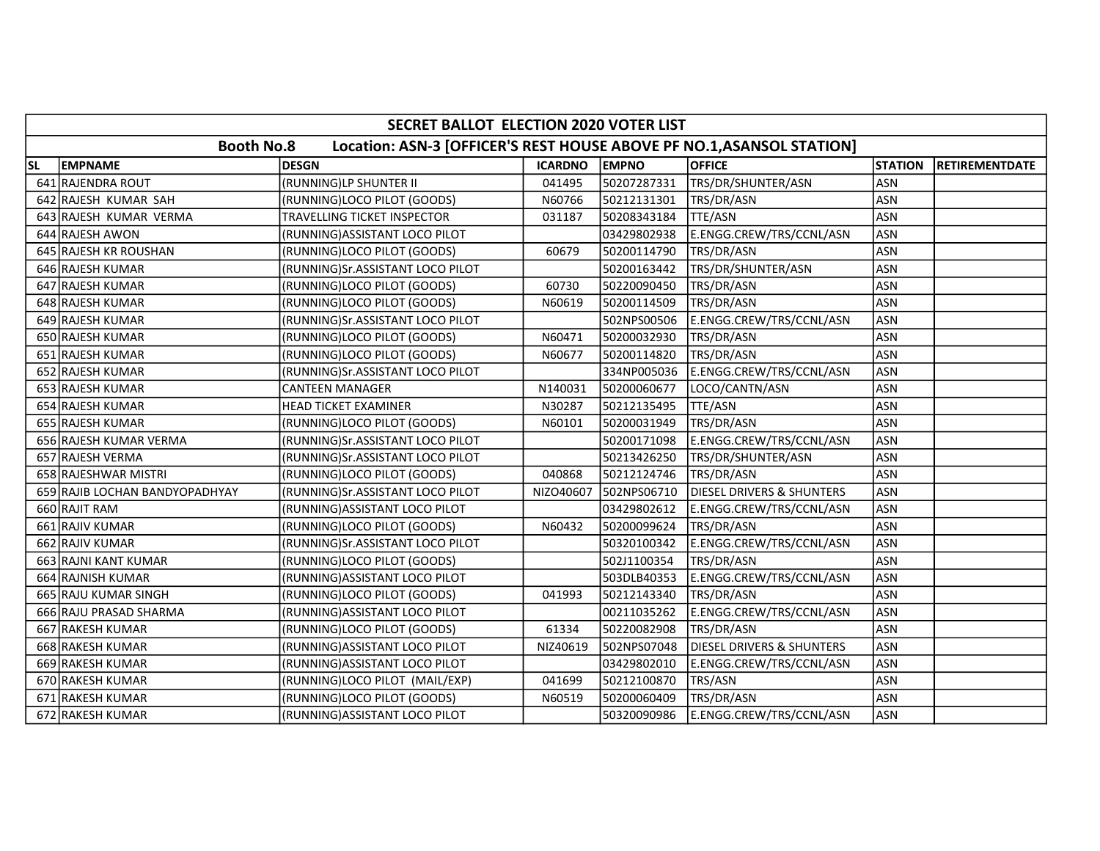|           | SECRET BALLOT ELECTION 2020 VOTER LIST |                                                                       |                |              |                                      |                |                       |  |  |  |  |
|-----------|----------------------------------------|-----------------------------------------------------------------------|----------------|--------------|--------------------------------------|----------------|-----------------------|--|--|--|--|
|           | <b>Booth No.8</b>                      | Location: ASN-3 [OFFICER'S REST HOUSE ABOVE PF NO.1, ASANSOL STATION] |                |              |                                      |                |                       |  |  |  |  |
| <b>SL</b> | <b>EMPNAME</b>                         | <b>DESGN</b>                                                          | <b>ICARDNO</b> | <b>EMPNO</b> | <b>OFFICE</b>                        | <b>STATION</b> | <b>RETIREMENTDATE</b> |  |  |  |  |
|           | 641 RAJENDRA ROUT                      | (RUNNING)LP SHUNTER II                                                | 041495         | 50207287331  | TRS/DR/SHUNTER/ASN                   | <b>ASN</b>     |                       |  |  |  |  |
|           | 642 RAJESH KUMAR SAH                   | (RUNNING)LOCO PILOT (GOODS)                                           | N60766         | 50212131301  | TRS/DR/ASN                           | <b>ASN</b>     |                       |  |  |  |  |
|           | 643 RAJESH KUMAR VERMA                 | TRAVELLING TICKET INSPECTOR                                           | 031187         | 50208343184  | TTE/ASN                              | <b>ASN</b>     |                       |  |  |  |  |
|           | 644 RAJESH AWON                        | (RUNNING) ASSISTANT LOCO PILOT                                        |                | 03429802938  | E.ENGG.CREW/TRS/CCNL/ASN             | <b>ASN</b>     |                       |  |  |  |  |
|           | 645 RAJESH KR ROUSHAN                  | (RUNNING)LOCO PILOT (GOODS)                                           | 60679          | 50200114790  | TRS/DR/ASN                           | <b>ASN</b>     |                       |  |  |  |  |
|           | 646 RAJESH KUMAR                       | (RUNNING)Sr.ASSISTANT LOCO PILOT                                      |                | 50200163442  | TRS/DR/SHUNTER/ASN                   | <b>ASN</b>     |                       |  |  |  |  |
|           | 647 RAJESH KUMAR                       | (RUNNING)LOCO PILOT (GOODS)                                           | 60730          | 50220090450  | TRS/DR/ASN                           | <b>ASN</b>     |                       |  |  |  |  |
|           | 648 RAJESH KUMAR                       | (RUNNING)LOCO PILOT (GOODS)                                           | N60619         | 50200114509  | TRS/DR/ASN                           | <b>ASN</b>     |                       |  |  |  |  |
|           | 649 RAJESH KUMAR                       | (RUNNING)Sr.ASSISTANT LOCO PILOT                                      |                | 502NPS00506  | E.ENGG.CREW/TRS/CCNL/ASN             | <b>ASN</b>     |                       |  |  |  |  |
|           | 650 RAJESH KUMAR                       | (RUNNING)LOCO PILOT (GOODS)                                           | N60471         | 50200032930  | TRS/DR/ASN                           | <b>ASN</b>     |                       |  |  |  |  |
|           | 651 RAJESH KUMAR                       | (RUNNING)LOCO PILOT (GOODS)                                           | N60677         | 50200114820  | TRS/DR/ASN                           | <b>ASN</b>     |                       |  |  |  |  |
|           | 652 RAJESH KUMAR                       | (RUNNING)Sr.ASSISTANT LOCO PILOT                                      |                | 334NP005036  | E.ENGG.CREW/TRS/CCNL/ASN             | <b>ASN</b>     |                       |  |  |  |  |
|           | 653 RAJESH KUMAR                       | <b>CANTEEN MANAGER</b>                                                | N140031        | 50200060677  | LOCO/CANTN/ASN                       | <b>ASN</b>     |                       |  |  |  |  |
|           | 654 RAJESH KUMAR                       | <b>HEAD TICKET EXAMINER</b>                                           | N30287         | 50212135495  | TTE/ASN                              | <b>ASN</b>     |                       |  |  |  |  |
|           | 655 RAJESH KUMAR                       | (RUNNING)LOCO PILOT (GOODS)                                           | N60101         | 50200031949  | TRS/DR/ASN                           | <b>ASN</b>     |                       |  |  |  |  |
|           | 656 RAJESH KUMAR VERMA                 | (RUNNING)Sr.ASSISTANT LOCO PILOT                                      |                | 50200171098  | E.ENGG.CREW/TRS/CCNL/ASN             | <b>ASN</b>     |                       |  |  |  |  |
|           | 657 RAJESH VERMA                       | (RUNNING)Sr.ASSISTANT LOCO PILOT                                      |                | 50213426250  | TRS/DR/SHUNTER/ASN                   | <b>ASN</b>     |                       |  |  |  |  |
|           | 658 RAJESHWAR MISTRI                   | (RUNNING)LOCO PILOT (GOODS)                                           | 040868         | 50212124746  | TRS/DR/ASN                           | <b>ASN</b>     |                       |  |  |  |  |
|           | 659 RAJIB LOCHAN BANDYOPADHYAY         | (RUNNING)Sr.ASSISTANT LOCO PILOT                                      | NIZO40607      | 502NPS06710  | <b>DIESEL DRIVERS &amp; SHUNTERS</b> | <b>ASN</b>     |                       |  |  |  |  |
|           | 660 RAJIT RAM                          | (RUNNING) ASSISTANT LOCO PILOT                                        |                | 03429802612  | E.ENGG.CREW/TRS/CCNL/ASN             | <b>ASN</b>     |                       |  |  |  |  |
|           | 661 RAJIV KUMAR                        | (RUNNING)LOCO PILOT (GOODS)                                           | N60432         | 50200099624  | TRS/DR/ASN                           | <b>ASN</b>     |                       |  |  |  |  |
|           | 662 RAJIV KUMAR                        | (RUNNING)Sr.ASSISTANT LOCO PILOT                                      |                | 50320100342  | E.ENGG.CREW/TRS/CCNL/ASN             | <b>ASN</b>     |                       |  |  |  |  |
|           | 663 RAJNI KANT KUMAR                   | (RUNNING)LOCO PILOT (GOODS)                                           |                | 502J1100354  | TRS/DR/ASN                           | <b>ASN</b>     |                       |  |  |  |  |
|           | 664 RAJNISH KUMAR                      | (RUNNING)ASSISTANT LOCO PILOT                                         |                | 503DLB40353  | E.ENGG.CREW/TRS/CCNL/ASN             | <b>ASN</b>     |                       |  |  |  |  |
|           | 665 RAJU KUMAR SINGH                   | (RUNNING)LOCO PILOT (GOODS)                                           | 041993         | 50212143340  | TRS/DR/ASN                           | <b>ASN</b>     |                       |  |  |  |  |
|           | 666 RAJU PRASAD SHARMA                 | (RUNNING) ASSISTANT LOCO PILOT                                        |                | 00211035262  | E.ENGG.CREW/TRS/CCNL/ASN             | <b>ASN</b>     |                       |  |  |  |  |
|           | 667 RAKESH KUMAR                       | (RUNNING)LOCO PILOT (GOODS)                                           | 61334          | 50220082908  | TRS/DR/ASN                           | <b>ASN</b>     |                       |  |  |  |  |
|           | 668 RAKESH KUMAR                       | (RUNNING) ASSISTANT LOCO PILOT                                        | NIZ40619       | 502NPS07048  | DIESEL DRIVERS & SHUNTERS            | <b>ASN</b>     |                       |  |  |  |  |
|           | 669 RAKESH KUMAR                       | (RUNNING) ASSISTANT LOCO PILOT                                        |                | 03429802010  | E.ENGG.CREW/TRS/CCNL/ASN             | <b>ASN</b>     |                       |  |  |  |  |
|           | 670 RAKESH KUMAR                       | (RUNNING)LOCO PILOT (MAIL/EXP)                                        | 041699         | 50212100870  | TRS/ASN                              | <b>ASN</b>     |                       |  |  |  |  |
|           | 671 RAKESH KUMAR                       | (RUNNING)LOCO PILOT (GOODS)                                           | N60519         | 50200060409  | TRS/DR/ASN                           | ASN            |                       |  |  |  |  |
|           | 672 RAKESH KUMAR                       | (RUNNING) ASSISTANT LOCO PILOT                                        |                | 50320090986  | E.ENGG.CREW/TRS/CCNL/ASN             | ASN            |                       |  |  |  |  |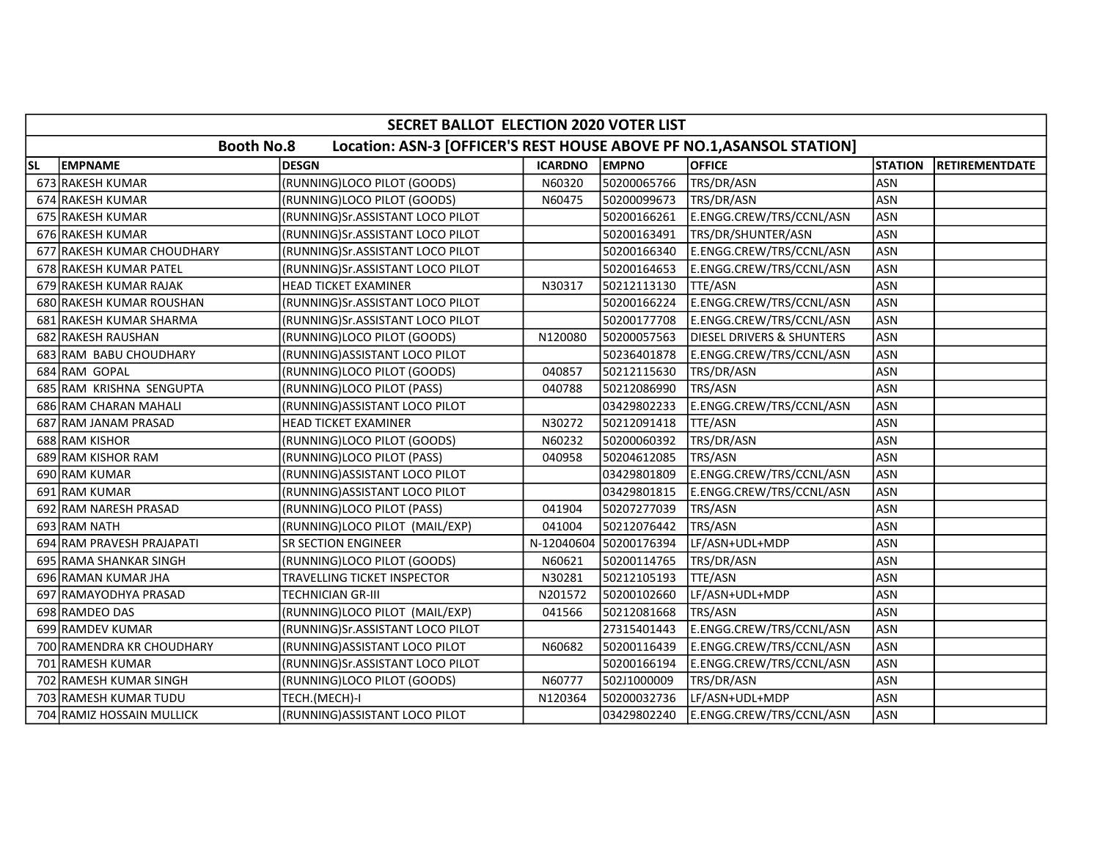|           | SECRET BALLOT ELECTION 2020 VOTER LIST |                                                                       |                |                        |                                      |                |                       |  |  |  |  |
|-----------|----------------------------------------|-----------------------------------------------------------------------|----------------|------------------------|--------------------------------------|----------------|-----------------------|--|--|--|--|
|           | <b>Booth No.8</b>                      | Location: ASN-3 [OFFICER'S REST HOUSE ABOVE PF NO.1, ASANSOL STATION] |                |                        |                                      |                |                       |  |  |  |  |
| <b>SL</b> | <b>EMPNAME</b>                         | <b>DESGN</b>                                                          | <b>ICARDNO</b> | <b>EMPNO</b>           | <b>OFFICE</b>                        | <b>STATION</b> | <b>RETIREMENTDATE</b> |  |  |  |  |
|           | 673 RAKESH KUMAR                       | (RUNNING)LOCO PILOT (GOODS)                                           | N60320         | 50200065766            | TRS/DR/ASN                           | <b>ASN</b>     |                       |  |  |  |  |
|           | 674 RAKESH KUMAR                       | (RUNNING)LOCO PILOT (GOODS)                                           | N60475         | 50200099673            | TRS/DR/ASN                           | <b>ASN</b>     |                       |  |  |  |  |
|           | 675 RAKESH KUMAR                       | (RUNNING)Sr.ASSISTANT LOCO PILOT                                      |                | 50200166261            | E.ENGG.CREW/TRS/CCNL/ASN             | <b>ASN</b>     |                       |  |  |  |  |
|           | 676 RAKESH KUMAR                       | (RUNNING)Sr.ASSISTANT LOCO PILOT                                      |                | 50200163491            | TRS/DR/SHUNTER/ASN                   | <b>ASN</b>     |                       |  |  |  |  |
|           | 677 RAKESH KUMAR CHOUDHARY             | (RUNNING)Sr.ASSISTANT LOCO PILOT                                      |                | 50200166340            | E.ENGG.CREW/TRS/CCNL/ASN             | <b>ASN</b>     |                       |  |  |  |  |
|           | 678 RAKESH KUMAR PATEL                 | (RUNNING)Sr.ASSISTANT LOCO PILOT                                      |                | 50200164653            | E.ENGG.CREW/TRS/CCNL/ASN             | <b>ASN</b>     |                       |  |  |  |  |
|           | 679 RAKESH KUMAR RAJAK                 | <b>HEAD TICKET EXAMINER</b>                                           | N30317         | 50212113130            | TTE/ASN                              | <b>ASN</b>     |                       |  |  |  |  |
|           | 680 RAKESH KUMAR ROUSHAN               | (RUNNING)Sr.ASSISTANT LOCO PILOT                                      |                | 50200166224            | E.ENGG.CREW/TRS/CCNL/ASN             | <b>ASN</b>     |                       |  |  |  |  |
|           | 681 RAKESH KUMAR SHARMA                | (RUNNING)Sr.ASSISTANT LOCO PILOT                                      |                | 50200177708            | E.ENGG.CREW/TRS/CCNL/ASN             | <b>ASN</b>     |                       |  |  |  |  |
|           | 682 RAKESH RAUSHAN                     | (RUNNING)LOCO PILOT (GOODS)                                           | N120080        | 50200057563            | <b>DIESEL DRIVERS &amp; SHUNTERS</b> | <b>ASN</b>     |                       |  |  |  |  |
|           | 683 RAM BABU CHOUDHARY                 | (RUNNING)ASSISTANT LOCO PILOT                                         |                | 50236401878            | E.ENGG.CREW/TRS/CCNL/ASN             | <b>ASN</b>     |                       |  |  |  |  |
|           | 684 RAM GOPAL                          | (RUNNING)LOCO PILOT (GOODS)                                           | 040857         | 50212115630            | TRS/DR/ASN                           | <b>ASN</b>     |                       |  |  |  |  |
|           | 685 RAM KRISHNA SENGUPTA               | (RUNNING)LOCO PILOT (PASS)                                            | 040788         | 50212086990            | TRS/ASN                              | <b>ASN</b>     |                       |  |  |  |  |
|           | 686 RAM CHARAN MAHALI                  | (RUNNING) ASSISTANT LOCO PILOT                                        |                | 03429802233            | E.ENGG.CREW/TRS/CCNL/ASN             | <b>ASN</b>     |                       |  |  |  |  |
|           | 687 RAM JANAM PRASAD                   | HEAD TICKET EXAMINER                                                  | N30272         | 50212091418            | TTE/ASN                              | <b>ASN</b>     |                       |  |  |  |  |
|           | 688 RAM KISHOR                         | (RUNNING)LOCO PILOT (GOODS)                                           | N60232         | 50200060392            | TRS/DR/ASN                           | <b>ASN</b>     |                       |  |  |  |  |
|           | 689 RAM KISHOR RAM                     | (RUNNING)LOCO PILOT (PASS)                                            | 040958         | 50204612085            | TRS/ASN                              | <b>ASN</b>     |                       |  |  |  |  |
|           | 690 RAM KUMAR                          | (RUNNING) ASSISTANT LOCO PILOT                                        |                | 03429801809            | E.ENGG.CREW/TRS/CCNL/ASN             | <b>ASN</b>     |                       |  |  |  |  |
|           | 691 RAM KUMAR                          | (RUNNING) ASSISTANT LOCO PILOT                                        |                | 03429801815            | E.ENGG.CREW/TRS/CCNL/ASN             | <b>ASN</b>     |                       |  |  |  |  |
|           | 692 RAM NARESH PRASAD                  | (RUNNING)LOCO PILOT (PASS)                                            | 041904         | 50207277039            | TRS/ASN                              | <b>ASN</b>     |                       |  |  |  |  |
|           | 693 RAM NATH                           | (RUNNING)LOCO PILOT (MAIL/EXP)                                        | 041004         | 50212076442            | TRS/ASN                              | <b>ASN</b>     |                       |  |  |  |  |
|           | 694 RAM PRAVESH PRAJAPATI              | <b>SR SECTION ENGINEER</b>                                            |                | N-12040604 50200176394 | LF/ASN+UDL+MDP                       | <b>ASN</b>     |                       |  |  |  |  |
|           | 695 RAMA SHANKAR SINGH                 | (RUNNING)LOCO PILOT (GOODS)                                           | N60621         | 50200114765            | TRS/DR/ASN                           | <b>ASN</b>     |                       |  |  |  |  |
|           | 696 RAMAN KUMAR JHA                    | TRAVELLING TICKET INSPECTOR                                           | N30281         | 50212105193            | TTE/ASN                              | <b>ASN</b>     |                       |  |  |  |  |
|           | 697 RAMAYODHYA PRASAD                  | TECHNICIAN GR-III                                                     | N201572        | 50200102660            | LF/ASN+UDL+MDP                       | <b>ASN</b>     |                       |  |  |  |  |
|           | 698 RAMDEO DAS                         | (RUNNING)LOCO PILOT (MAIL/EXP)                                        | 041566         | 50212081668            | TRS/ASN                              | <b>ASN</b>     |                       |  |  |  |  |
|           | 699 RAMDEV KUMAR                       | (RUNNING)Sr.ASSISTANT LOCO PILOT                                      |                | 27315401443            | E.ENGG.CREW/TRS/CCNL/ASN             | <b>ASN</b>     |                       |  |  |  |  |
|           | 700 RAMENDRA KR CHOUDHARY              | (RUNNING) ASSISTANT LOCO PILOT                                        | N60682         | 50200116439            | E.ENGG.CREW/TRS/CCNL/ASN             | <b>ASN</b>     |                       |  |  |  |  |
|           | 701 RAMESH KUMAR                       | (RUNNING)Sr.ASSISTANT LOCO PILOT                                      |                | 50200166194            | E.ENGG.CREW/TRS/CCNL/ASN             | <b>ASN</b>     |                       |  |  |  |  |
|           | 702 RAMESH KUMAR SINGH                 | (RUNNING)LOCO PILOT (GOODS)                                           | N60777         | 502J1000009            | TRS/DR/ASN                           | <b>ASN</b>     |                       |  |  |  |  |
|           | 703 RAMESH KUMAR TUDU                  | TECH.(MECH)-I                                                         | N120364        | 50200032736            | LF/ASN+UDL+MDP                       | <b>ASN</b>     |                       |  |  |  |  |
|           | 704 RAMIZ HOSSAIN MULLICK              | (RUNNING) ASSISTANT LOCO PILOT                                        |                | 03429802240            | E.ENGG.CREW/TRS/CCNL/ASN             | <b>ASN</b>     |                       |  |  |  |  |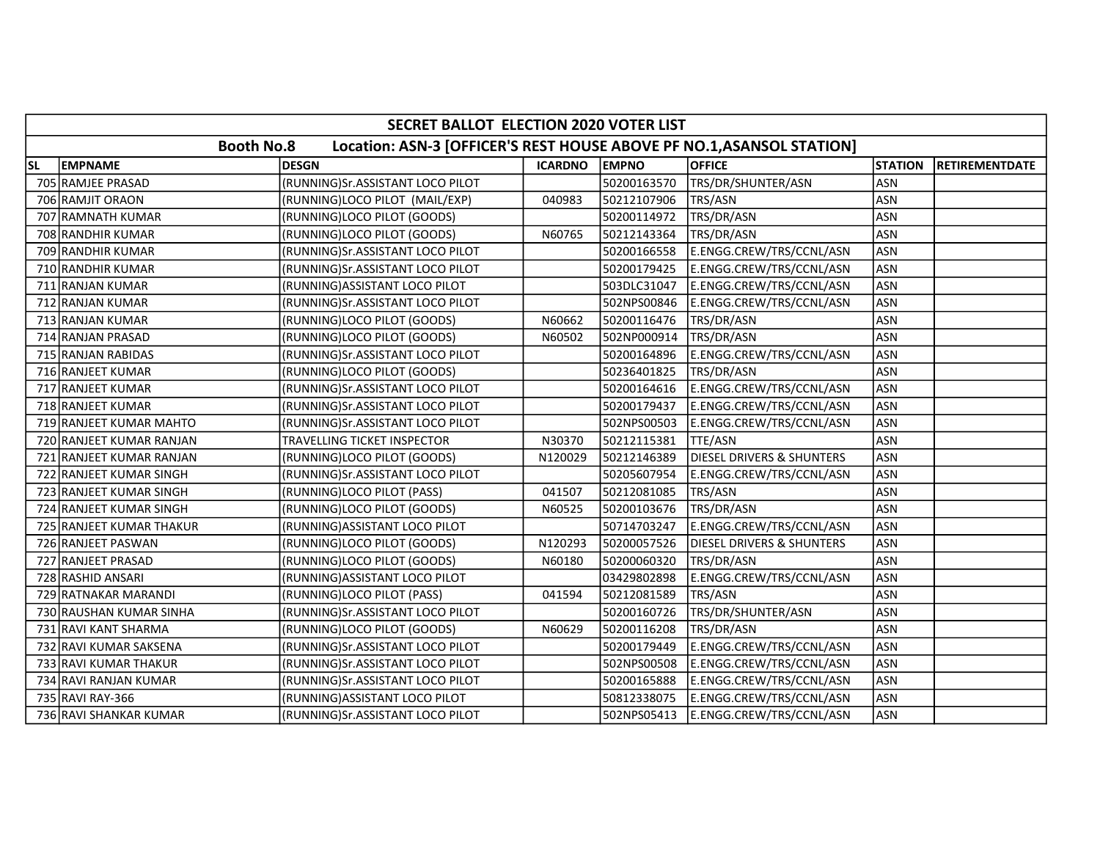|           | SECRET BALLOT ELECTION 2020 VOTER LIST |                                                                       |                |              |                                      |                |                       |  |  |  |
|-----------|----------------------------------------|-----------------------------------------------------------------------|----------------|--------------|--------------------------------------|----------------|-----------------------|--|--|--|
|           | <b>Booth No.8</b>                      | Location: ASN-3 [OFFICER'S REST HOUSE ABOVE PF NO.1, ASANSOL STATION] |                |              |                                      |                |                       |  |  |  |
| <b>SL</b> | <b>EMPNAME</b>                         | <b>DESGN</b>                                                          | <b>ICARDNO</b> | <b>EMPNO</b> | <b>OFFICE</b>                        | <b>STATION</b> | <b>RETIREMENTDATE</b> |  |  |  |
|           | 705 RAMJEE PRASAD                      | (RUNNING)Sr.ASSISTANT LOCO PILOT                                      |                | 50200163570  | TRS/DR/SHUNTER/ASN                   | <b>ASN</b>     |                       |  |  |  |
|           | 706 RAMJIT ORAON                       | (RUNNING)LOCO PILOT (MAIL/EXP)                                        | 040983         | 50212107906  | TRS/ASN                              | <b>ASN</b>     |                       |  |  |  |
|           | 707 RAMNATH KUMAR                      | (RUNNING)LOCO PILOT (GOODS)                                           |                | 50200114972  | TRS/DR/ASN                           | <b>ASN</b>     |                       |  |  |  |
|           | 708 RANDHIR KUMAR                      | (RUNNING)LOCO PILOT (GOODS)                                           | N60765         | 50212143364  | TRS/DR/ASN                           | <b>ASN</b>     |                       |  |  |  |
|           | 709 RANDHIR KUMAR                      | (RUNNING)Sr.ASSISTANT LOCO PILOT                                      |                | 50200166558  | E.ENGG.CREW/TRS/CCNL/ASN             | <b>ASN</b>     |                       |  |  |  |
|           | 710 RANDHIR KUMAR                      | (RUNNING)Sr.ASSISTANT LOCO PILOT                                      |                | 50200179425  | E.ENGG.CREW/TRS/CCNL/ASN             | <b>ASN</b>     |                       |  |  |  |
|           | 711 RANJAN KUMAR                       | (RUNNING) ASSISTANT LOCO PILOT                                        |                | 503DLC31047  | E.ENGG.CREW/TRS/CCNL/ASN             | <b>ASN</b>     |                       |  |  |  |
|           | 712 RANJAN KUMAR                       | (RUNNING)Sr.ASSISTANT LOCO PILOT                                      |                | 502NPS00846  | E.ENGG.CREW/TRS/CCNL/ASN             | <b>ASN</b>     |                       |  |  |  |
|           | 713 RANJAN KUMAR                       | (RUNNING)LOCO PILOT (GOODS)                                           | N60662         | 50200116476  | TRS/DR/ASN                           | <b>ASN</b>     |                       |  |  |  |
|           | 714 RANJAN PRASAD                      | (RUNNING)LOCO PILOT (GOODS)                                           | N60502         | 502NP000914  | TRS/DR/ASN                           | <b>ASN</b>     |                       |  |  |  |
|           | 715 RANJAN RABIDAS                     | (RUNNING)Sr.ASSISTANT LOCO PILOT                                      |                | 50200164896  | E.ENGG.CREW/TRS/CCNL/ASN             | <b>ASN</b>     |                       |  |  |  |
|           | 716 RANJEET KUMAR                      | (RUNNING)LOCO PILOT (GOODS)                                           |                | 50236401825  | TRS/DR/ASN                           | <b>ASN</b>     |                       |  |  |  |
|           | 717 RANJEET KUMAR                      | (RUNNING)Sr.ASSISTANT LOCO PILOT                                      |                | 50200164616  | E.ENGG.CREW/TRS/CCNL/ASN             | <b>ASN</b>     |                       |  |  |  |
|           | 718 RANJEET KUMAR                      | (RUNNING) Sr. ASSISTANT LOCO PILOT                                    |                | 50200179437  | E.ENGG.CREW/TRS/CCNL/ASN             | <b>ASN</b>     |                       |  |  |  |
|           | 719 RANJEET KUMAR MAHTO                | (RUNNING)Sr.ASSISTANT LOCO PILOT                                      |                | 502NPS00503  | E.ENGG.CREW/TRS/CCNL/ASN             | <b>ASN</b>     |                       |  |  |  |
|           | 720 RANJEET KUMAR RANJAN               | TRAVELLING TICKET INSPECTOR                                           | N30370         | 50212115381  | TTE/ASN                              | <b>ASN</b>     |                       |  |  |  |
|           | 721 RANJEET KUMAR RANJAN               | (RUNNING)LOCO PILOT (GOODS)                                           | N120029        | 50212146389  | <b>DIESEL DRIVERS &amp; SHUNTERS</b> | <b>ASN</b>     |                       |  |  |  |
|           | 722 RANJEET KUMAR SINGH                | (RUNNING)Sr.ASSISTANT LOCO PILOT                                      |                | 50205607954  | E.ENGG.CREW/TRS/CCNL/ASN             | <b>ASN</b>     |                       |  |  |  |
|           | 723 RANJEET KUMAR SINGH                | (RUNNING)LOCO PILOT (PASS)                                            | 041507         | 50212081085  | TRS/ASN                              | <b>ASN</b>     |                       |  |  |  |
|           | 724 RANJEET KUMAR SINGH                | (RUNNING)LOCO PILOT (GOODS)                                           | N60525         | 50200103676  | TRS/DR/ASN                           | <b>ASN</b>     |                       |  |  |  |
|           | 725 RANJEET KUMAR THAKUR               | (RUNNING) ASSISTANT LOCO PILOT                                        |                | 50714703247  | E.ENGG.CREW/TRS/CCNL/ASN             | <b>ASN</b>     |                       |  |  |  |
|           | 726 RANJEET PASWAN                     | (RUNNING)LOCO PILOT (GOODS)                                           | N120293        | 50200057526  | <b>DIESEL DRIVERS &amp; SHUNTERS</b> | <b>ASN</b>     |                       |  |  |  |
|           | 727 RANJEET PRASAD                     | (RUNNING)LOCO PILOT (GOODS)                                           | N60180         | 50200060320  | TRS/DR/ASN                           | <b>ASN</b>     |                       |  |  |  |
|           | 728 RASHID ANSARI                      | (RUNNING) ASSISTANT LOCO PILOT                                        |                | 03429802898  | E.ENGG.CREW/TRS/CCNL/ASN             | <b>ASN</b>     |                       |  |  |  |
|           | 729 RATNAKAR MARANDI                   | (RUNNING)LOCO PILOT (PASS)                                            | 041594         | 50212081589  | TRS/ASN                              | <b>ASN</b>     |                       |  |  |  |
|           | 730 RAUSHAN KUMAR SINHA                | (RUNNING)Sr.ASSISTANT LOCO PILOT                                      |                | 50200160726  | TRS/DR/SHUNTER/ASN                   | <b>ASN</b>     |                       |  |  |  |
|           | 731 RAVI KANT SHARMA                   | (RUNNING)LOCO PILOT (GOODS)                                           | N60629         | 50200116208  | TRS/DR/ASN                           | <b>ASN</b>     |                       |  |  |  |
|           | 732 RAVI KUMAR SAKSENA                 | (RUNNING)Sr.ASSISTANT LOCO PILOT                                      |                | 50200179449  | E.ENGG.CREW/TRS/CCNL/ASN             | <b>ASN</b>     |                       |  |  |  |
|           | 733 RAVI KUMAR THAKUR                  | (RUNNING)Sr.ASSISTANT LOCO PILOT                                      |                | 502NPS00508  | E.ENGG.CREW/TRS/CCNL/ASN             | ASN            |                       |  |  |  |
|           | 734 RAVI RANJAN KUMAR                  | (RUNNING)Sr.ASSISTANT LOCO PILOT                                      |                | 50200165888  | E.ENGG.CREW/TRS/CCNL/ASN             | <b>ASN</b>     |                       |  |  |  |
|           | 735 RAVI RAY-366                       | (RUNNING) ASSISTANT LOCO PILOT                                        |                | 50812338075  | E.ENGG.CREW/TRS/CCNL/ASN             | <b>ASN</b>     |                       |  |  |  |
|           | 736 RAVI SHANKAR KUMAR                 | (RUNNING)Sr.ASSISTANT LOCO PILOT                                      |                | 502NPS05413  | E.ENGG.CREW/TRS/CCNL/ASN             | <b>ASN</b>     |                       |  |  |  |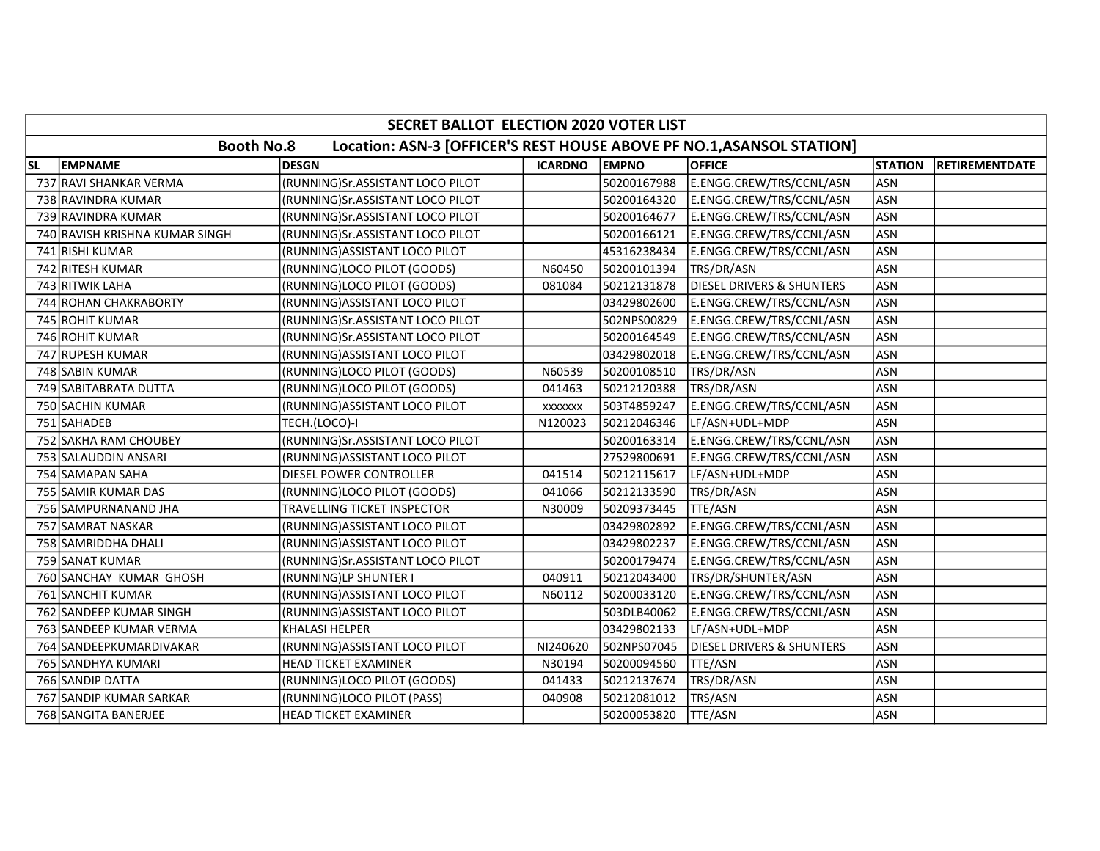|           | SECRET BALLOT ELECTION 2020 VOTER LIST |                                                                       |                |              |                                      |                |                       |  |  |  |
|-----------|----------------------------------------|-----------------------------------------------------------------------|----------------|--------------|--------------------------------------|----------------|-----------------------|--|--|--|
|           | <b>Booth No.8</b>                      | Location: ASN-3 [OFFICER'S REST HOUSE ABOVE PF NO.1, ASANSOL STATION] |                |              |                                      |                |                       |  |  |  |
| <b>SL</b> | <b>EMPNAME</b>                         | <b>DESGN</b>                                                          | <b>ICARDNO</b> | <b>EMPNO</b> | <b>OFFICE</b>                        | <b>STATION</b> | <b>RETIREMENTDATE</b> |  |  |  |
|           | 737 RAVI SHANKAR VERMA                 | (RUNNING)Sr.ASSISTANT LOCO PILOT                                      |                | 50200167988  | E.ENGG.CREW/TRS/CCNL/ASN             | lasn           |                       |  |  |  |
|           | 738 RAVINDRA KUMAR                     | (RUNNING)Sr.ASSISTANT LOCO PILOT                                      |                | 50200164320  | E.ENGG.CREW/TRS/CCNL/ASN             | ASN            |                       |  |  |  |
|           | 739 RAVINDRA KUMAR                     | (RUNNING)Sr.ASSISTANT LOCO PILOT                                      |                | 50200164677  | E.ENGG.CREW/TRS/CCNL/ASN             | ASN            |                       |  |  |  |
|           | 740 RAVISH KRISHNA KUMAR SINGH         | (RUNNING)Sr.ASSISTANT LOCO PILOT                                      |                | 50200166121  | E.ENGG.CREW/TRS/CCNL/ASN             | ASN            |                       |  |  |  |
|           | 741 RISHI KUMAR                        | (RUNNING) ASSISTANT LOCO PILOT                                        |                | 45316238434  | E.ENGG.CREW/TRS/CCNL/ASN             | ASN            |                       |  |  |  |
|           | 742 RITESH KUMAR                       | (RUNNING)LOCO PILOT (GOODS)                                           | N60450         | 50200101394  | TRS/DR/ASN                           | <b>ASN</b>     |                       |  |  |  |
|           | 743 RITWIK LAHA                        | (RUNNING)LOCO PILOT (GOODS)                                           | 081084         | 50212131878  | <b>DIESEL DRIVERS &amp; SHUNTERS</b> | ASN            |                       |  |  |  |
|           | 744 ROHAN CHAKRABORTY                  | (RUNNING) ASSISTANT LOCO PILOT                                        |                | 03429802600  | E.ENGG.CREW/TRS/CCNL/ASN             | ASN            |                       |  |  |  |
|           | 745 ROHIT KUMAR                        | (RUNNING)Sr.ASSISTANT LOCO PILOT                                      |                | 502NPS00829  | E.ENGG.CREW/TRS/CCNL/ASN             | ASN            |                       |  |  |  |
|           | 746 ROHIT KUMAR                        | (RUNNING)Sr.ASSISTANT LOCO PILOT                                      |                | 50200164549  | E.ENGG.CREW/TRS/CCNL/ASN             | ASN            |                       |  |  |  |
|           | 747 RUPESH KUMAR                       | (RUNNING) ASSISTANT LOCO PILOT                                        |                | 03429802018  | E.ENGG.CREW/TRS/CCNL/ASN             | <b>ASN</b>     |                       |  |  |  |
|           | 748 SABIN KUMAR                        | (RUNNING)LOCO PILOT (GOODS)                                           | N60539         | 50200108510  | TRS/DR/ASN                           | ASN            |                       |  |  |  |
|           | 749 SABITABRATA DUTTA                  | (RUNNING)LOCO PILOT (GOODS)                                           | 041463         | 50212120388  | TRS/DR/ASN                           | ASN            |                       |  |  |  |
|           | 750 SACHIN KUMAR                       | (RUNNING) ASSISTANT LOCO PILOT                                        | XXXXXXX        | 503T4859247  | E.ENGG.CREW/TRS/CCNL/ASN             | <b>ASN</b>     |                       |  |  |  |
|           | 751 SAHADEB                            | TECH.(LOCO)-I                                                         | N120023        | 50212046346  | LF/ASN+UDL+MDP                       | ASN            |                       |  |  |  |
|           | 752 SAKHA RAM CHOUBEY                  | (RUNNING)Sr.ASSISTANT LOCO PILOT                                      |                | 50200163314  | E.ENGG.CREW/TRS/CCNL/ASN             | <b>ASN</b>     |                       |  |  |  |
|           | 753 SALAUDDIN ANSARI                   | (RUNNING)ASSISTANT LOCO PILOT                                         |                | 27529800691  | E.ENGG.CREW/TRS/CCNL/ASN             | <b>ASN</b>     |                       |  |  |  |
|           | 754 SAMAPAN SAHA                       | DIESEL POWER CONTROLLER                                               | 041514         | 50212115617  | LF/ASN+UDL+MDP                       | ASN            |                       |  |  |  |
|           | 755 SAMIR KUMAR DAS                    | (RUNNING)LOCO PILOT (GOODS)                                           | 041066         | 50212133590  | TRS/DR/ASN                           | ASN            |                       |  |  |  |
|           | 756 SAMPURNANAND JHA                   | TRAVELLING TICKET INSPECTOR                                           | N30009         | 50209373445  | TTE/ASN                              | <b>ASN</b>     |                       |  |  |  |
|           | 757 SAMRAT NASKAR                      | (RUNNING) ASSISTANT LOCO PILOT                                        |                | 03429802892  | E.ENGG.CREW/TRS/CCNL/ASN             | ASN            |                       |  |  |  |
|           | 758 SAMRIDDHA DHALI                    | (RUNNING) ASSISTANT LOCO PILOT                                        |                | 03429802237  | E.ENGG.CREW/TRS/CCNL/ASN             | ASN            |                       |  |  |  |
|           | 759 SANAT KUMAR                        | (RUNNING)Sr.ASSISTANT LOCO PILOT                                      |                | 50200179474  | E.ENGG.CREW/TRS/CCNL/ASN             | <b>ASN</b>     |                       |  |  |  |
|           | 760 SANCHAY KUMAR GHOSH                | (RUNNING)LP SHUNTER I                                                 | 040911         | 50212043400  | TRS/DR/SHUNTER/ASN                   | <b>ASN</b>     |                       |  |  |  |
|           | 761 SANCHIT KUMAR                      | (RUNNING) ASSISTANT LOCO PILOT                                        | N60112         | 50200033120  | E.ENGG.CREW/TRS/CCNL/ASN             | <b>ASN</b>     |                       |  |  |  |
|           | 762 SANDEEP KUMAR SINGH                | (RUNNING) ASSISTANT LOCO PILOT                                        |                | 503DLB40062  | E.ENGG.CREW/TRS/CCNL/ASN             | ASN            |                       |  |  |  |
|           | 763 SANDEEP KUMAR VERMA                | KHALASI HELPER                                                        |                | 03429802133  | LF/ASN+UDL+MDP                       | ASN            |                       |  |  |  |
|           | 764 SANDEEPKUMARDIVAKAR                | (RUNNING) ASSISTANT LOCO PILOT                                        | NI240620       | 502NPS07045  | DIESEL DRIVERS & SHUNTERS            | <b>ASN</b>     |                       |  |  |  |
|           | 765 SANDHYA KUMARI                     | <b>HEAD TICKET EXAMINER</b>                                           | N30194         | 50200094560  | TTE/ASN                              | ASN            |                       |  |  |  |
|           | 766 SANDIP DATTA                       | (RUNNING)LOCO PILOT (GOODS)                                           | 041433         | 50212137674  | TRS/DR/ASN                           | <b>ASN</b>     |                       |  |  |  |
|           | 767 SANDIP KUMAR SARKAR                | (RUNNING)LOCO PILOT (PASS)                                            | 040908         | 50212081012  | TRS/ASN                              | ASN            |                       |  |  |  |
|           | 768 SANGITA BANERJEE                   | HEAD TICKET EXAMINER                                                  |                | 50200053820  | <b>TTE/ASN</b>                       | ASN            |                       |  |  |  |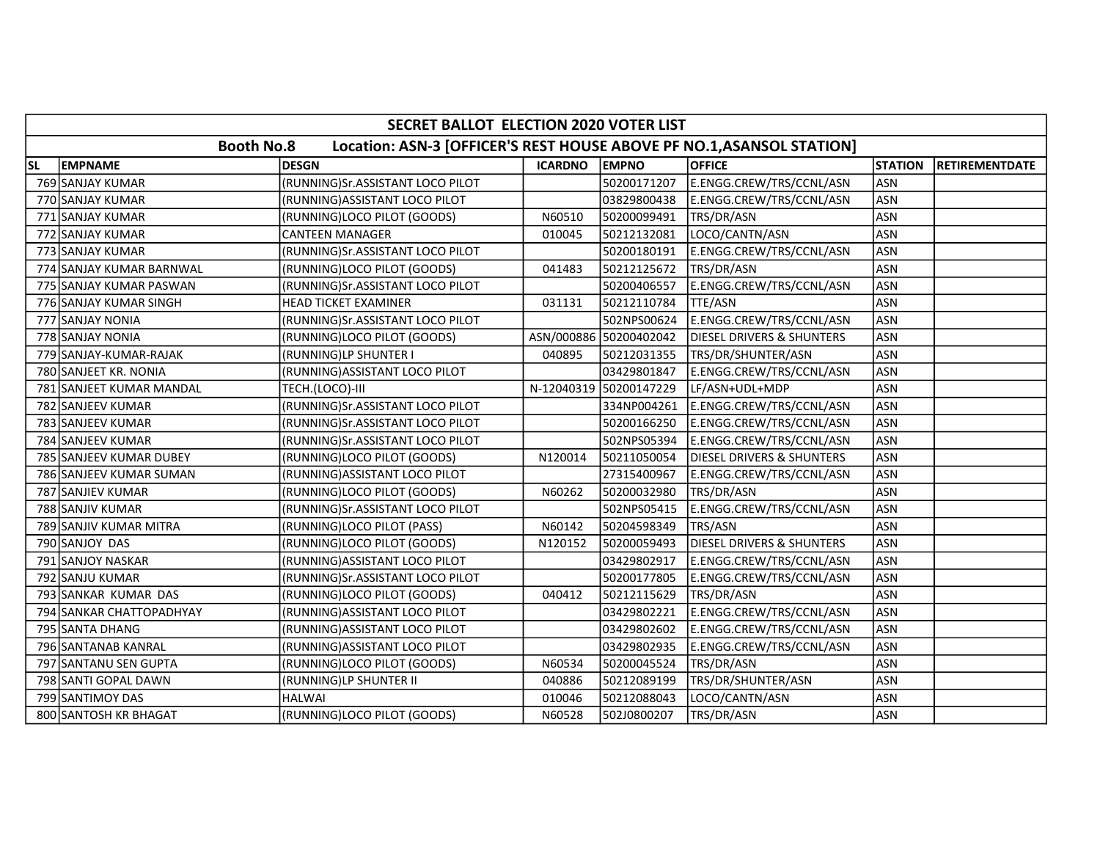|           | SECRET BALLOT ELECTION 2020 VOTER LIST                                                     |                                  |                |                        |                                      |                |                       |  |  |
|-----------|--------------------------------------------------------------------------------------------|----------------------------------|----------------|------------------------|--------------------------------------|----------------|-----------------------|--|--|
|           | <b>Booth No.8</b><br>Location: ASN-3 [OFFICER'S REST HOUSE ABOVE PF NO.1, ASANSOL STATION] |                                  |                |                        |                                      |                |                       |  |  |
| <b>SL</b> | <b>EMPNAME</b>                                                                             | <b>DESGN</b>                     | <b>ICARDNO</b> | <b>EMPNO</b>           | <b>OFFICE</b>                        | <b>STATION</b> | <b>RETIREMENTDATE</b> |  |  |
|           | 769 SANJAY KUMAR                                                                           | (RUNNING)Sr.ASSISTANT LOCO PILOT |                | 50200171207            | E.ENGG.CREW/TRS/CCNL/ASN             | <b>ASN</b>     |                       |  |  |
|           | 770 SANJAY KUMAR                                                                           | (RUNNING) ASSISTANT LOCO PILOT   |                | 03829800438            | E.ENGG.CREW/TRS/CCNL/ASN             | <b>ASN</b>     |                       |  |  |
|           | 771 SANJAY KUMAR                                                                           | (RUNNING)LOCO PILOT (GOODS)      | N60510         | 50200099491            | TRS/DR/ASN                           | <b>ASN</b>     |                       |  |  |
|           | 772 SANJAY KUMAR                                                                           | <b>CANTEEN MANAGER</b>           | 010045         | 50212132081            | LOCO/CANTN/ASN                       | <b>ASN</b>     |                       |  |  |
|           | 773 SANJAY KUMAR                                                                           | (RUNNING)Sr.ASSISTANT LOCO PILOT |                | 50200180191            | E.ENGG.CREW/TRS/CCNL/ASN             | <b>ASN</b>     |                       |  |  |
|           | 774 SANJAY KUMAR BARNWAL                                                                   | (RUNNING)LOCO PILOT (GOODS)      | 041483         | 50212125672            | TRS/DR/ASN                           | <b>ASN</b>     |                       |  |  |
|           | 775 SANJAY KUMAR PASWAN                                                                    | (RUNNING)Sr.ASSISTANT LOCO PILOT |                | 50200406557            | E.ENGG.CREW/TRS/CCNL/ASN             | <b>ASN</b>     |                       |  |  |
|           | 776 SANJAY KUMAR SINGH                                                                     | <b>HEAD TICKET EXAMINER</b>      | 031131         | 50212110784            | <b>TTE/ASN</b>                       | <b>ASN</b>     |                       |  |  |
|           | 777 SANJAY NONIA                                                                           | (RUNNING)Sr.ASSISTANT LOCO PILOT |                | 502NPS00624            | E.ENGG.CREW/TRS/CCNL/ASN             | <b>ASN</b>     |                       |  |  |
|           | 778 SANJAY NONIA                                                                           | (RUNNING)LOCO PILOT (GOODS)      |                | ASN/000886 50200402042 | <b>DIESEL DRIVERS &amp; SHUNTERS</b> | <b>ASN</b>     |                       |  |  |
|           | 779 SANJAY-KUMAR-RAJAK                                                                     | (RUNNING)LP SHUNTER I            | 040895         | 50212031355            | TRS/DR/SHUNTER/ASN                   | <b>ASN</b>     |                       |  |  |
|           | 780 SANJEET KR. NONIA                                                                      | (RUNNING) ASSISTANT LOCO PILOT   |                | 03429801847            | E.ENGG.CREW/TRS/CCNL/ASN             | <b>ASN</b>     |                       |  |  |
|           | 781 SANJEET KUMAR MANDAL                                                                   | TECH.(LOCO)-III                  |                | N-12040319 50200147229 | LF/ASN+UDL+MDP                       | <b>ASN</b>     |                       |  |  |
|           | 782 SANJEEV KUMAR                                                                          | (RUNNING)Sr.ASSISTANT LOCO PILOT |                | 334NP004261            | E.ENGG.CREW/TRS/CCNL/ASN             | <b>ASN</b>     |                       |  |  |
|           | 783 SANJEEV KUMAR                                                                          | (RUNNING)Sr.ASSISTANT LOCO PILOT |                | 50200166250            | E.ENGG.CREW/TRS/CCNL/ASN             | <b>ASN</b>     |                       |  |  |
|           | 784 SANJEEV KUMAR                                                                          | (RUNNING)Sr.ASSISTANT LOCO PILOT |                | 502NPS05394            | E.ENGG.CREW/TRS/CCNL/ASN             | <b>ASN</b>     |                       |  |  |
|           | 785 SANJEEV KUMAR DUBEY                                                                    | (RUNNING)LOCO PILOT (GOODS)      | N120014        | 50211050054            | DIESEL DRIVERS & SHUNTERS            | <b>ASN</b>     |                       |  |  |
|           | 786 SANJEEV KUMAR SUMAN                                                                    | (RUNNING) ASSISTANT LOCO PILOT   |                | 27315400967            | E.ENGG.CREW/TRS/CCNL/ASN             | <b>ASN</b>     |                       |  |  |
|           | 787 SANJIEV KUMAR                                                                          | (RUNNING)LOCO PILOT (GOODS)      | N60262         | 50200032980            | TRS/DR/ASN                           | <b>ASN</b>     |                       |  |  |
|           | 788 SANJIV KUMAR                                                                           | (RUNNING)Sr.ASSISTANT LOCO PILOT |                | 502NPS05415            | E.ENGG.CREW/TRS/CCNL/ASN             | <b>ASN</b>     |                       |  |  |
|           | 789 SANJIV KUMAR MITRA                                                                     | (RUNNING)LOCO PILOT (PASS)       | N60142         | 50204598349            | TRS/ASN                              | <b>ASN</b>     |                       |  |  |
|           | 790 SANJOY DAS                                                                             | (RUNNING)LOCO PILOT (GOODS)      | N120152        | 50200059493            | DIESEL DRIVERS & SHUNTERS            | <b>ASN</b>     |                       |  |  |
|           | 791 SANJOY NASKAR                                                                          | (RUNNING) ASSISTANT LOCO PILOT   |                | 03429802917            | E.ENGG.CREW/TRS/CCNL/ASN             | <b>ASN</b>     |                       |  |  |
|           | 792 SANJU KUMAR                                                                            | (RUNNING)Sr.ASSISTANT LOCO PILOT |                | 50200177805            | E.ENGG.CREW/TRS/CCNL/ASN             | <b>ASN</b>     |                       |  |  |
|           | 793 SANKAR KUMAR DAS                                                                       | (RUNNING)LOCO PILOT (GOODS)      | 040412         | 50212115629            | TRS/DR/ASN                           | <b>ASN</b>     |                       |  |  |
|           | 794 SANKAR CHATTOPADHYAY                                                                   | (RUNNING) ASSISTANT LOCO PILOT   |                | 03429802221            | E.ENGG.CREW/TRS/CCNL/ASN             | <b>ASN</b>     |                       |  |  |
|           | 795 SANTA DHANG                                                                            | (RUNNING) ASSISTANT LOCO PILOT   |                | 03429802602            | E.ENGG.CREW/TRS/CCNL/ASN             | <b>ASN</b>     |                       |  |  |
|           | 796 SANTANAB KANRAL                                                                        | (RUNNING) ASSISTANT LOCO PILOT   |                | 03429802935            | E.ENGG.CREW/TRS/CCNL/ASN             | <b>ASN</b>     |                       |  |  |
|           | 797 SANTANU SEN GUPTA                                                                      | (RUNNING)LOCO PILOT (GOODS)      | N60534         | 50200045524            | TRS/DR/ASN                           | <b>ASN</b>     |                       |  |  |
|           | 798 SANTI GOPAL DAWN                                                                       | (RUNNING)LP SHUNTER II           | 040886         | 50212089199            | TRS/DR/SHUNTER/ASN                   | <b>ASN</b>     |                       |  |  |
|           | 799 SANTIMOY DAS                                                                           | <b>HALWAI</b>                    | 010046         | 50212088043            | LOCO/CANTN/ASN                       | <b>ASN</b>     |                       |  |  |
|           | 800 SANTOSH KR BHAGAT                                                                      | (RUNNING)LOCO PILOT (GOODS)      | N60528         | 502J0800207            | TRS/DR/ASN                           | ASN            |                       |  |  |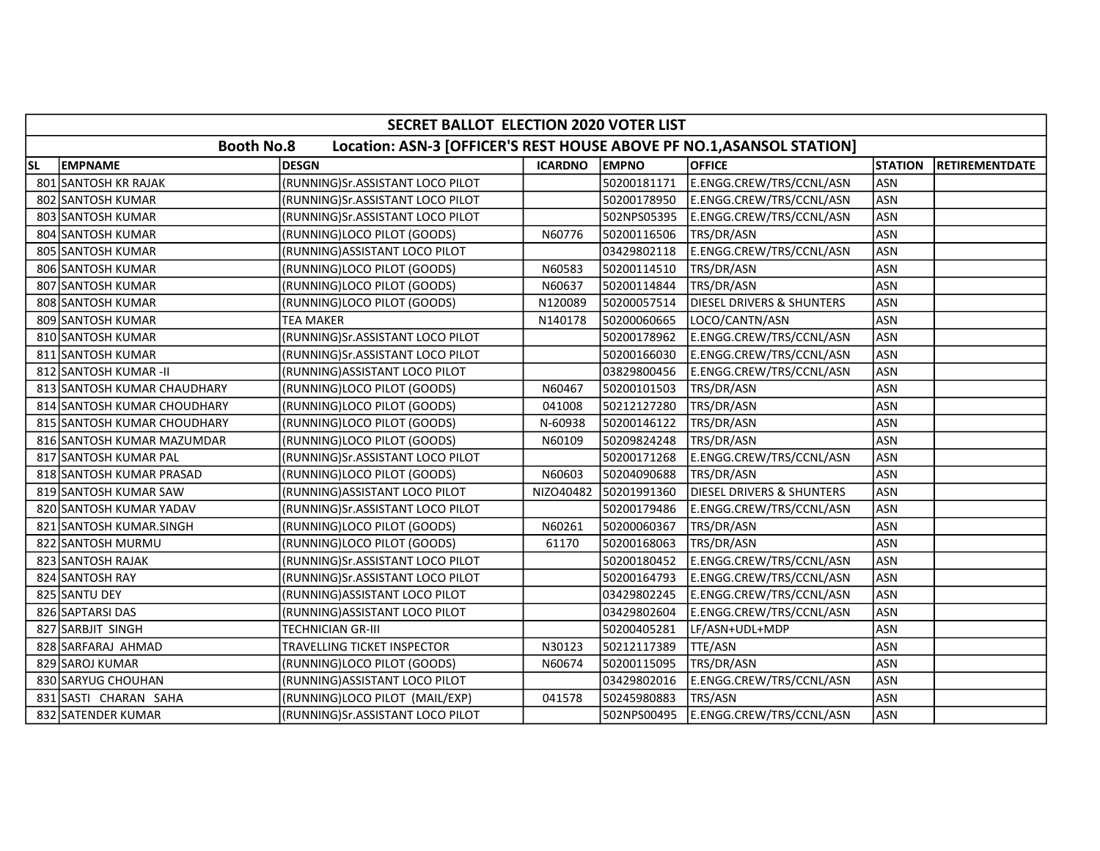|           | SECRET BALLOT ELECTION 2020 VOTER LIST                                                     |                                    |                |              |                                      |                |                       |  |  |
|-----------|--------------------------------------------------------------------------------------------|------------------------------------|----------------|--------------|--------------------------------------|----------------|-----------------------|--|--|
|           | <b>Booth No.8</b><br>Location: ASN-3 [OFFICER'S REST HOUSE ABOVE PF NO.1, ASANSOL STATION] |                                    |                |              |                                      |                |                       |  |  |
| <b>SL</b> | <b>EMPNAME</b>                                                                             | <b>DESGN</b>                       | <b>ICARDNO</b> | <b>EMPNO</b> | <b>OFFICE</b>                        | <b>STATION</b> | <b>RETIREMENTDATE</b> |  |  |
|           | 801 SANTOSH KR RAJAK                                                                       | (RUNNING)Sr.ASSISTANT LOCO PILOT   |                | 50200181171  | E.ENGG.CREW/TRS/CCNL/ASN             | <b>ASN</b>     |                       |  |  |
|           | 802 SANTOSH KUMAR                                                                          | (RUNNING)Sr.ASSISTANT LOCO PILOT   |                | 50200178950  | E.ENGG.CREW/TRS/CCNL/ASN             | ASN            |                       |  |  |
|           | 803 SANTOSH KUMAR                                                                          | (RUNNING)Sr.ASSISTANT LOCO PILOT   |                | 502NPS05395  | E.ENGG.CREW/TRS/CCNL/ASN             | <b>ASN</b>     |                       |  |  |
|           | 804 SANTOSH KUMAR                                                                          | (RUNNING)LOCO PILOT (GOODS)        | N60776         | 50200116506  | TRS/DR/ASN                           | <b>ASN</b>     |                       |  |  |
|           | 805 SANTOSH KUMAR                                                                          | (RUNNING) ASSISTANT LOCO PILOT     |                | 03429802118  | E.ENGG.CREW/TRS/CCNL/ASN             | <b>ASN</b>     |                       |  |  |
|           | 806 SANTOSH KUMAR                                                                          | (RUNNING)LOCO PILOT (GOODS)        | N60583         | 50200114510  | TRS/DR/ASN                           | <b>ASN</b>     |                       |  |  |
|           | 807 SANTOSH KUMAR                                                                          | (RUNNING)LOCO PILOT (GOODS)        | N60637         | 50200114844  | TRS/DR/ASN                           | <b>ASN</b>     |                       |  |  |
|           | 808 SANTOSH KUMAR                                                                          | (RUNNING)LOCO PILOT (GOODS)        | N120089        | 50200057514  | <b>DIESEL DRIVERS &amp; SHUNTERS</b> | <b>ASN</b>     |                       |  |  |
|           | 809 SANTOSH KUMAR                                                                          | <b>TEA MAKER</b>                   | N140178        | 50200060665  | LOCO/CANTN/ASN                       | ASN            |                       |  |  |
|           | 810 SANTOSH KUMAR                                                                          | (RUNNING)Sr.ASSISTANT LOCO PILOT   |                | 50200178962  | E.ENGG.CREW/TRS/CCNL/ASN             | <b>ASN</b>     |                       |  |  |
|           | 811 SANTOSH KUMAR                                                                          | (RUNNING)Sr.ASSISTANT LOCO PILOT   |                | 50200166030  | E.ENGG.CREW/TRS/CCNL/ASN             | <b>ASN</b>     |                       |  |  |
|           | 812 SANTOSH KUMAR-II                                                                       | (RUNNING) ASSISTANT LOCO PILOT     |                | 03829800456  | E.ENGG.CREW/TRS/CCNL/ASN             | <b>ASN</b>     |                       |  |  |
|           | 813 SANTOSH KUMAR CHAUDHARY                                                                | (RUNNING)LOCO PILOT (GOODS)        | N60467         | 50200101503  | TRS/DR/ASN                           | <b>ASN</b>     |                       |  |  |
|           | 814 SANTOSH KUMAR CHOUDHARY                                                                | (RUNNING)LOCO PILOT (GOODS)        | 041008         | 50212127280  | TRS/DR/ASN                           | <b>ASN</b>     |                       |  |  |
|           | 815 SANTOSH KUMAR CHOUDHARY                                                                | (RUNNING)LOCO PILOT (GOODS)        | N-60938        | 50200146122  | TRS/DR/ASN                           | <b>ASN</b>     |                       |  |  |
|           | 816 SANTOSH KUMAR MAZUMDAR                                                                 | (RUNNING)LOCO PILOT (GOODS)        | N60109         | 50209824248  | TRS/DR/ASN                           | <b>ASN</b>     |                       |  |  |
|           | 817 SANTOSH KUMAR PAL                                                                      | (RUNNING)Sr.ASSISTANT LOCO PILOT   |                | 50200171268  | E.ENGG.CREW/TRS/CCNL/ASN             | <b>ASN</b>     |                       |  |  |
|           | 818 SANTOSH KUMAR PRASAD                                                                   | (RUNNING)LOCO PILOT (GOODS)        | N60603         | 50204090688  | TRS/DR/ASN                           | <b>ASN</b>     |                       |  |  |
|           | 819 SANTOSH KUMAR SAW                                                                      | (RUNNING) ASSISTANT LOCO PILOT     | NIZO40482      | 50201991360  | <b>DIESEL DRIVERS &amp; SHUNTERS</b> | <b>ASN</b>     |                       |  |  |
|           | 820 SANTOSH KUMAR YADAV                                                                    | (RUNNING)Sr.ASSISTANT LOCO PILOT   |                | 50200179486  | E.ENGG.CREW/TRS/CCNL/ASN             | <b>ASN</b>     |                       |  |  |
|           | 821 SANTOSH KUMAR.SINGH                                                                    | (RUNNING)LOCO PILOT (GOODS)        | N60261         | 50200060367  | TRS/DR/ASN                           | <b>ASN</b>     |                       |  |  |
|           | 822 SANTOSH MURMU                                                                          | (RUNNING)LOCO PILOT (GOODS)        | 61170          | 50200168063  | TRS/DR/ASN                           | <b>ASN</b>     |                       |  |  |
|           | 823 SANTOSH RAJAK                                                                          | (RUNNING)Sr.ASSISTANT LOCO PILOT   |                | 50200180452  | E.ENGG.CREW/TRS/CCNL/ASN             | <b>ASN</b>     |                       |  |  |
|           | 824 SANTOSH RAY                                                                            | (RUNNING) Sr. ASSISTANT LOCO PILOT |                | 50200164793  | E.ENGG.CREW/TRS/CCNL/ASN             | <b>ASN</b>     |                       |  |  |
|           | 825 SANTU DEY                                                                              | (RUNNING) ASSISTANT LOCO PILOT     |                | 03429802245  | E.ENGG.CREW/TRS/CCNL/ASN             | <b>ASN</b>     |                       |  |  |
|           | 826 SAPTARSI DAS                                                                           | (RUNNING) ASSISTANT LOCO PILOT     |                | 03429802604  | E.ENGG.CREW/TRS/CCNL/ASN             | <b>ASN</b>     |                       |  |  |
|           | 827 SARBJIT SINGH                                                                          | <b>TECHNICIAN GR-III</b>           |                | 50200405281  | LF/ASN+UDL+MDP                       | <b>ASN</b>     |                       |  |  |
|           | 828 SARFARAJ AHMAD                                                                         | TRAVELLING TICKET INSPECTOR        | N30123         | 50212117389  | TTE/ASN                              | <b>ASN</b>     |                       |  |  |
|           | 829 SAROJ KUMAR                                                                            | (RUNNING)LOCO PILOT (GOODS)        | N60674         | 50200115095  | TRS/DR/ASN                           | <b>ASN</b>     |                       |  |  |
|           | 830 SARYUG CHOUHAN                                                                         | (RUNNING) ASSISTANT LOCO PILOT     |                | 03429802016  | E.ENGG.CREW/TRS/CCNL/ASN             | <b>ASN</b>     |                       |  |  |
|           | 831 SASTI CHARAN SAHA                                                                      | (RUNNING)LOCO PILOT (MAIL/EXP)     | 041578         | 50245980883  | TRS/ASN                              | <b>ASN</b>     |                       |  |  |
|           | 832 SATENDER KUMAR                                                                         | (RUNNING)Sr.ASSISTANT LOCO PILOT   |                | 502NPS00495  | E.ENGG.CREW/TRS/CCNL/ASN             | ASN            |                       |  |  |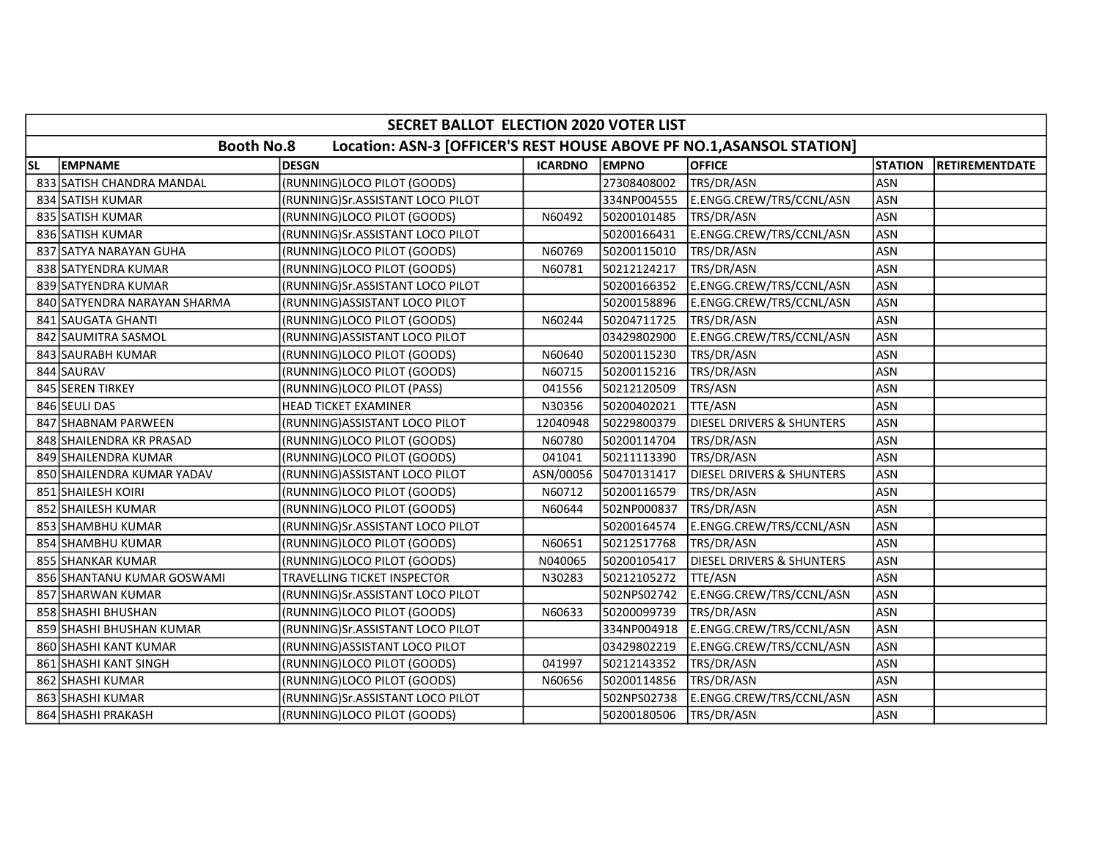|           | SECRET BALLOT ELECTION 2020 VOTER LIST                                                     |                                    |                |              |                                      |                |                       |  |  |
|-----------|--------------------------------------------------------------------------------------------|------------------------------------|----------------|--------------|--------------------------------------|----------------|-----------------------|--|--|
|           | <b>Booth No.8</b><br>Location: ASN-3 [OFFICER'S REST HOUSE ABOVE PF NO.1, ASANSOL STATION] |                                    |                |              |                                      |                |                       |  |  |
| <b>SL</b> | <b>EMPNAME</b>                                                                             | <b>DESGN</b>                       | <b>ICARDNO</b> | <b>EMPNO</b> | <b>OFFICE</b>                        | <b>STATION</b> | <b>RETIREMENTDATE</b> |  |  |
|           | 833 SATISH CHANDRA MANDAL                                                                  | (RUNNING)LOCO PILOT (GOODS)        |                | 27308408002  | TRS/DR/ASN                           | <b>ASN</b>     |                       |  |  |
|           | 834 SATISH KUMAR                                                                           | (RUNNING)Sr.ASSISTANT LOCO PILOT   |                | 334NP004555  | E.ENGG.CREW/TRS/CCNL/ASN             | <b>ASN</b>     |                       |  |  |
|           | 835 SATISH KUMAR                                                                           | (RUNNING)LOCO PILOT (GOODS)        | N60492         | 50200101485  | TRS/DR/ASN                           | <b>ASN</b>     |                       |  |  |
|           | 836 SATISH KUMAR                                                                           | (RUNNING)Sr.ASSISTANT LOCO PILOT   |                | 50200166431  | E.ENGG.CREW/TRS/CCNL/ASN             | <b>ASN</b>     |                       |  |  |
|           | 837 SATYA NARAYAN GUHA                                                                     | (RUNNING)LOCO PILOT (GOODS)        | N60769         | 50200115010  | TRS/DR/ASN                           | <b>ASN</b>     |                       |  |  |
|           | 838 SATYENDRA KUMAR                                                                        | (RUNNING)LOCO PILOT (GOODS)        | N60781         | 50212124217  | TRS/DR/ASN                           | <b>ASN</b>     |                       |  |  |
|           | 839 SATYENDRA KUMAR                                                                        | (RUNNING)Sr.ASSISTANT LOCO PILOT   |                | 50200166352  | E.ENGG.CREW/TRS/CCNL/ASN             | <b>ASN</b>     |                       |  |  |
|           | 840 SATYENDRA NARAYAN SHARMA                                                               | (RUNNING) ASSISTANT LOCO PILOT     |                | 50200158896  | E.ENGG.CREW/TRS/CCNL/ASN             | <b>ASN</b>     |                       |  |  |
|           | 841 SAUGATA GHANTI                                                                         | (RUNNING)LOCO PILOT (GOODS)        | N60244         | 50204711725  | TRS/DR/ASN                           | <b>ASN</b>     |                       |  |  |
|           | 842 SAUMITRA SASMOL                                                                        | (RUNNING) ASSISTANT LOCO PILOT     |                | 03429802900  | E.ENGG.CREW/TRS/CCNL/ASN             | <b>ASN</b>     |                       |  |  |
|           | 843 SAURABH KUMAR                                                                          | (RUNNING)LOCO PILOT (GOODS)        | N60640         | 50200115230  | TRS/DR/ASN                           | <b>ASN</b>     |                       |  |  |
|           | 844 SAURAV                                                                                 | (RUNNING)LOCO PILOT (GOODS)        | N60715         | 50200115216  | TRS/DR/ASN                           | <b>ASN</b>     |                       |  |  |
|           | 845 SEREN TIRKEY                                                                           | (RUNNING)LOCO PILOT (PASS)         | 041556         | 50212120509  | TRS/ASN                              | <b>ASN</b>     |                       |  |  |
|           | 846 SEULI DAS                                                                              | HEAD TICKET EXAMINER               | N30356         | 50200402021  | TTE/ASN                              | <b>ASN</b>     |                       |  |  |
|           | 847 SHABNAM PARWEEN                                                                        | (RUNNING) ASSISTANT LOCO PILOT     | 12040948       | 50229800379  | <b>DIESEL DRIVERS &amp; SHUNTERS</b> | <b>ASN</b>     |                       |  |  |
|           | 848 SHAILENDRA KR PRASAD                                                                   | (RUNNING)LOCO PILOT (GOODS)        | N60780         | 50200114704  | TRS/DR/ASN                           | <b>ASN</b>     |                       |  |  |
|           | 849 SHAILENDRA KUMAR                                                                       | (RUNNING)LOCO PILOT (GOODS)        | 041041         | 50211113390  | TRS/DR/ASN                           | <b>ASN</b>     |                       |  |  |
|           | 850 SHAILENDRA KUMAR YADAV                                                                 | (RUNNING) ASSISTANT LOCO PILOT     | ASN/00056      | 50470131417  | <b>DIESEL DRIVERS &amp; SHUNTERS</b> | <b>ASN</b>     |                       |  |  |
|           | 851 SHAILESH KOIRI                                                                         | (RUNNING)LOCO PILOT (GOODS)        | N60712         | 50200116579  | TRS/DR/ASN                           | <b>ASN</b>     |                       |  |  |
|           | 852 SHAILESH KUMAR                                                                         | (RUNNING)LOCO PILOT (GOODS)        | N60644         | 502NP000837  | TRS/DR/ASN                           | <b>ASN</b>     |                       |  |  |
|           | 853 SHAMBHU KUMAR                                                                          | (RUNNING)Sr.ASSISTANT LOCO PILOT   |                | 50200164574  | E.ENGG.CREW/TRS/CCNL/ASN             | <b>ASN</b>     |                       |  |  |
|           | 854 SHAMBHU KUMAR                                                                          | (RUNNING)LOCO PILOT (GOODS)        | N60651         | 50212517768  | TRS/DR/ASN                           | <b>ASN</b>     |                       |  |  |
|           | 855 SHANKAR KUMAR                                                                          | (RUNNING)LOCO PILOT (GOODS)        | N040065        | 50200105417  | <b>DIESEL DRIVERS &amp; SHUNTERS</b> | <b>ASN</b>     |                       |  |  |
|           | 856 SHANTANU KUMAR GOSWAMI                                                                 | TRAVELLING TICKET INSPECTOR        | N30283         | 50212105272  | TTE/ASN                              | <b>ASN</b>     |                       |  |  |
|           | 857 SHARWAN KUMAR                                                                          | (RUNNING)Sr.ASSISTANT LOCO PILOT   |                | 502NPS02742  | E.ENGG.CREW/TRS/CCNL/ASN             | <b>ASN</b>     |                       |  |  |
|           | 858 SHASHI BHUSHAN                                                                         | (RUNNING)LOCO PILOT (GOODS)        | N60633         | 50200099739  | TRS/DR/ASN                           | <b>ASN</b>     |                       |  |  |
|           | 859 SHASHI BHUSHAN KUMAR                                                                   | (RUNNING)Sr.ASSISTANT LOCO PILOT   |                | 334NP004918  | E.ENGG.CREW/TRS/CCNL/ASN             | <b>ASN</b>     |                       |  |  |
|           | 860 SHASHI KANT KUMAR                                                                      | (RUNNING) ASSISTANT LOCO PILOT     |                | 03429802219  | E.ENGG.CREW/TRS/CCNL/ASN             | <b>ASN</b>     |                       |  |  |
|           | 861 SHASHI KANT SINGH                                                                      | (RUNNING)LOCO PILOT (GOODS)        | 041997         | 50212143352  | TRS/DR/ASN                           | <b>ASN</b>     |                       |  |  |
|           | 862 SHASHI KUMAR                                                                           | (RUNNING)LOCO PILOT (GOODS)        | N60656         | 50200114856  | TRS/DR/ASN                           | <b>ASN</b>     |                       |  |  |
|           | 863 SHASHI KUMAR                                                                           | (RUNNING) Sr. ASSISTANT LOCO PILOT |                | 502NPS02738  | E.ENGG.CREW/TRS/CCNL/ASN             | <b>ASN</b>     |                       |  |  |
|           | 864 SHASHI PRAKASH                                                                         | (RUNNING)LOCO PILOT (GOODS)        |                | 50200180506  | TRS/DR/ASN                           | ASN            |                       |  |  |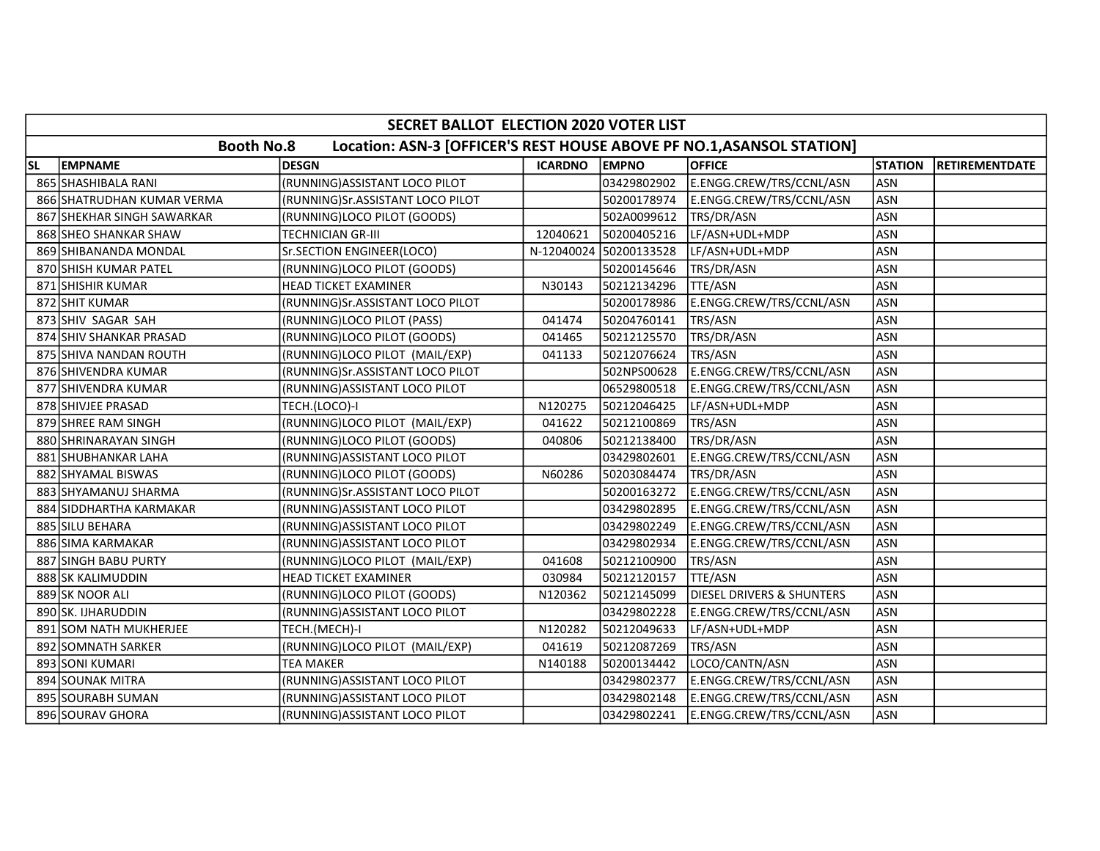|           | SECRET BALLOT ELECTION 2020 VOTER LIST                                                     |                                    |                |                        |                           |                |                       |  |  |
|-----------|--------------------------------------------------------------------------------------------|------------------------------------|----------------|------------------------|---------------------------|----------------|-----------------------|--|--|
|           | <b>Booth No.8</b><br>Location: ASN-3 [OFFICER'S REST HOUSE ABOVE PF NO.1, ASANSOL STATION] |                                    |                |                        |                           |                |                       |  |  |
| <b>SL</b> | <b>EMPNAME</b>                                                                             | <b>DESGN</b>                       | <b>ICARDNO</b> | <b>EMPNO</b>           | <b>OFFICE</b>             | <b>STATION</b> | <b>RETIREMENTDATE</b> |  |  |
|           | 865 SHASHIBALA RANI                                                                        | (RUNNING) ASSISTANT LOCO PILOT     |                | 03429802902            | E.ENGG.CREW/TRS/CCNL/ASN  | <b>ASN</b>     |                       |  |  |
|           | 866 SHATRUDHAN KUMAR VERMA                                                                 | (RUNNING)Sr.ASSISTANT LOCO PILOT   |                | 50200178974            | E.ENGG.CREW/TRS/CCNL/ASN  | <b>ASN</b>     |                       |  |  |
|           | 867 SHEKHAR SINGH SAWARKAR                                                                 | (RUNNING)LOCO PILOT (GOODS)        |                | 502A0099612            | TRS/DR/ASN                | <b>ASN</b>     |                       |  |  |
|           | 868 SHEO SHANKAR SHAW                                                                      | <b>TECHNICIAN GR-III</b>           | 12040621       | 50200405216            | LF/ASN+UDL+MDP            | <b>ASN</b>     |                       |  |  |
|           | 869 SHIBANANDA MONDAL                                                                      | Sr.SECTION ENGINEER(LOCO)          |                | N-12040024 50200133528 | LF/ASN+UDL+MDP            | <b>ASN</b>     |                       |  |  |
|           | 870 SHISH KUMAR PATEL                                                                      | (RUNNING)LOCO PILOT (GOODS)        |                | 50200145646            | TRS/DR/ASN                | <b>ASN</b>     |                       |  |  |
|           | 871 SHISHIR KUMAR                                                                          | HEAD TICKET EXAMINER               | N30143         | 50212134296            | TTE/ASN                   | <b>ASN</b>     |                       |  |  |
|           | 872 SHIT KUMAR                                                                             | (RUNNING)Sr.ASSISTANT LOCO PILOT   |                | 50200178986            | E.ENGG.CREW/TRS/CCNL/ASN  | <b>ASN</b>     |                       |  |  |
|           | 873 SHIV SAGAR SAH                                                                         | (RUNNING)LOCO PILOT (PASS)         | 041474         | 50204760141            | TRS/ASN                   | <b>ASN</b>     |                       |  |  |
|           | 874 SHIV SHANKAR PRASAD                                                                    | (RUNNING)LOCO PILOT (GOODS)        | 041465         | 50212125570            | TRS/DR/ASN                | <b>ASN</b>     |                       |  |  |
|           | 875 SHIVA NANDAN ROUTH                                                                     | (RUNNING)LOCO PILOT (MAIL/EXP)     | 041133         | 50212076624            | TRS/ASN                   | <b>ASN</b>     |                       |  |  |
|           | 876 SHIVENDRA KUMAR                                                                        | (RUNNING) Sr. ASSISTANT LOCO PILOT |                | 502NPS00628            | E.ENGG.CREW/TRS/CCNL/ASN  | <b>ASN</b>     |                       |  |  |
|           | 877 SHIVENDRA KUMAR                                                                        | (RUNNING)ASSISTANT LOCO PILOT      |                | 06529800518            | E.ENGG.CREW/TRS/CCNL/ASN  | <b>ASN</b>     |                       |  |  |
|           | 878 SHIVJEE PRASAD                                                                         | TECH.(LOCO)-I                      | N120275        | 50212046425            | LF/ASN+UDL+MDP            | <b>ASN</b>     |                       |  |  |
|           | 879 SHREE RAM SINGH                                                                        | (RUNNING)LOCO PILOT (MAIL/EXP)     | 041622         | 50212100869            | TRS/ASN                   | <b>ASN</b>     |                       |  |  |
|           | 880 SHRINARAYAN SINGH                                                                      | (RUNNING)LOCO PILOT (GOODS)        | 040806         | 50212138400            | TRS/DR/ASN                | <b>ASN</b>     |                       |  |  |
|           | 881 SHUBHANKAR LAHA                                                                        | (RUNNING) ASSISTANT LOCO PILOT     |                | 03429802601            | E.ENGG.CREW/TRS/CCNL/ASN  | <b>ASN</b>     |                       |  |  |
|           | 882 SHYAMAL BISWAS                                                                         | (RUNNING)LOCO PILOT (GOODS)        | N60286         | 50203084474            | TRS/DR/ASN                | <b>ASN</b>     |                       |  |  |
|           | 883 SHYAMANUJ SHARMA                                                                       | (RUNNING)Sr.ASSISTANT LOCO PILOT   |                | 50200163272            | E.ENGG.CREW/TRS/CCNL/ASN  | <b>ASN</b>     |                       |  |  |
|           | 884 SIDDHARTHA KARMAKAR                                                                    | (RUNNING) ASSISTANT LOCO PILOT     |                | 03429802895            | E.ENGG.CREW/TRS/CCNL/ASN  | <b>ASN</b>     |                       |  |  |
|           | 885 SILU BEHARA                                                                            | (RUNNING) ASSISTANT LOCO PILOT     |                | 03429802249            | E.ENGG.CREW/TRS/CCNL/ASN  | ASN            |                       |  |  |
|           | 886 SIMA KARMAKAR                                                                          | (RUNNING) ASSISTANT LOCO PILOT     |                | 03429802934            | E.ENGG.CREW/TRS/CCNL/ASN  | ASN            |                       |  |  |
|           | 887 SINGH BABU PURTY                                                                       | (RUNNING)LOCO PILOT (MAIL/EXP)     | 041608         | 50212100900            | TRS/ASN                   | <b>ASN</b>     |                       |  |  |
|           | 888 SK KALIMUDDIN                                                                          | <b>HEAD TICKET EXAMINER</b>        | 030984         | 50212120157            | TTE/ASN                   | <b>ASN</b>     |                       |  |  |
|           | 889 SK NOOR ALI                                                                            | (RUNNING)LOCO PILOT (GOODS)        | N120362        | 50212145099            | DIESEL DRIVERS & SHUNTERS | <b>ASN</b>     |                       |  |  |
|           | 890 SK. IJHARUDDIN                                                                         | (RUNNING) ASSISTANT LOCO PILOT     |                | 03429802228            | E.ENGG.CREW/TRS/CCNL/ASN  | <b>ASN</b>     |                       |  |  |
|           | 891 SOM NATH MUKHERJEE                                                                     | TECH.(MECH)-I                      | N120282        | 50212049633            | LF/ASN+UDL+MDP            | <b>ASN</b>     |                       |  |  |
|           | 892 SOMNATH SARKER                                                                         | (RUNNING)LOCO PILOT (MAIL/EXP)     | 041619         | 50212087269            | TRS/ASN                   | <b>ASN</b>     |                       |  |  |
|           | 893 SONI KUMARI                                                                            | <b>TEA MAKER</b>                   | N140188        | 50200134442            | LOCO/CANTN/ASN            | <b>ASN</b>     |                       |  |  |
|           | 894 SOUNAK MITRA                                                                           | (RUNNING) ASSISTANT LOCO PILOT     |                | 03429802377            | E.ENGG.CREW/TRS/CCNL/ASN  | <b>ASN</b>     |                       |  |  |
|           | 895 SOURABH SUMAN                                                                          | (RUNNING) ASSISTANT LOCO PILOT     |                | 03429802148            | E.ENGG.CREW/TRS/CCNL/ASN  | ASN            |                       |  |  |
|           | 896 SOURAV GHORA                                                                           | (RUNNING) ASSISTANT LOCO PILOT     |                | 03429802241            | E.ENGG.CREW/TRS/CCNL/ASN  | ASN            |                       |  |  |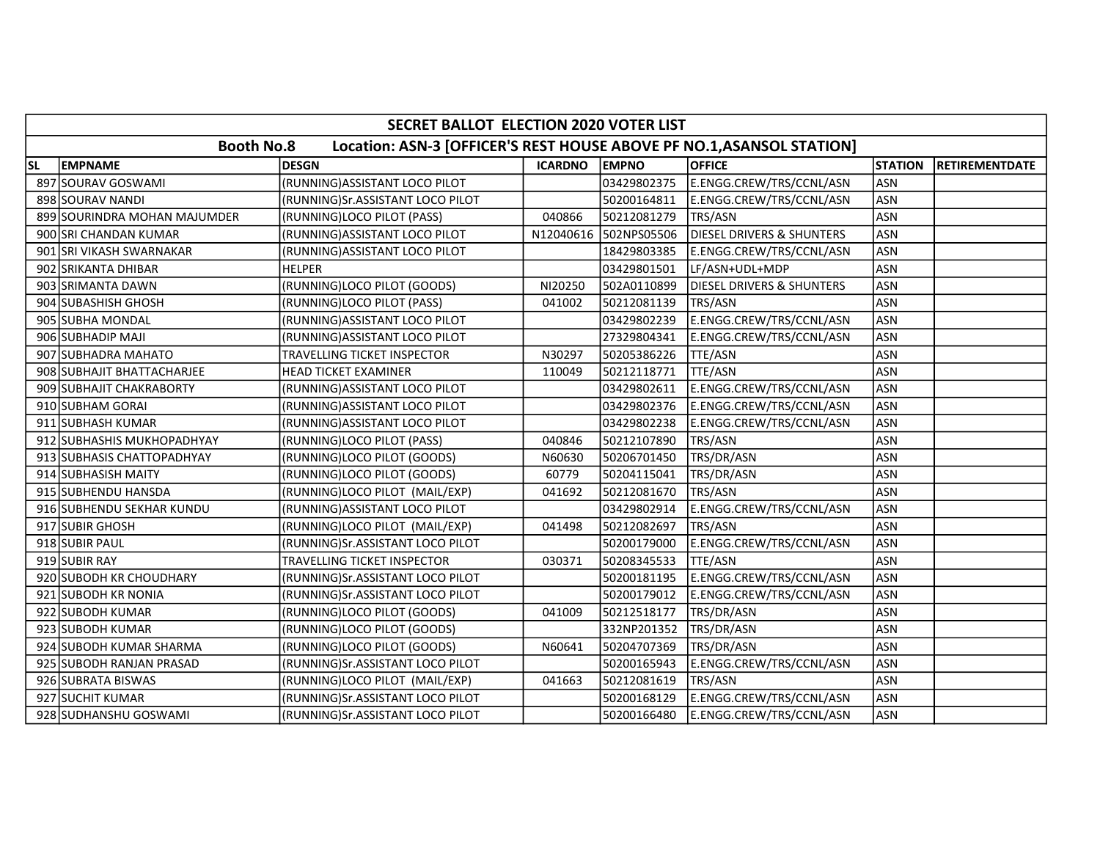|           | SECRET BALLOT ELECTION 2020 VOTER LIST                                                     |                                  |                |                       |                                      |                |                       |  |  |
|-----------|--------------------------------------------------------------------------------------------|----------------------------------|----------------|-----------------------|--------------------------------------|----------------|-----------------------|--|--|
|           | <b>Booth No.8</b><br>Location: ASN-3 [OFFICER'S REST HOUSE ABOVE PF NO.1, ASANSOL STATION] |                                  |                |                       |                                      |                |                       |  |  |
| <b>SL</b> | <b>EMPNAME</b>                                                                             | <b>DESGN</b>                     | <b>ICARDNO</b> | <b>EMPNO</b>          | <b>OFFICE</b>                        | <b>STATION</b> | <b>RETIREMENTDATE</b> |  |  |
|           | 897 SOURAV GOSWAMI                                                                         | (RUNNING) ASSISTANT LOCO PILOT   |                | 03429802375           | E.ENGG.CREW/TRS/CCNL/ASN             | ASN            |                       |  |  |
|           | 898 SOURAV NANDI                                                                           | (RUNNING)Sr.ASSISTANT LOCO PILOT |                | 50200164811           | E.ENGG.CREW/TRS/CCNL/ASN             | <b>ASN</b>     |                       |  |  |
|           | 899 SOURINDRA MOHAN MAJUMDER                                                               | (RUNNING)LOCO PILOT (PASS)       | 040866         | 50212081279           | TRS/ASN                              | <b>ASN</b>     |                       |  |  |
|           | 900 SRI CHANDAN KUMAR                                                                      | (RUNNING) ASSISTANT LOCO PILOT   |                | N12040616 502NPS05506 | <b>DIESEL DRIVERS &amp; SHUNTERS</b> | <b>ASN</b>     |                       |  |  |
|           | 901 SRI VIKASH SWARNAKAR                                                                   | (RUNNING) ASSISTANT LOCO PILOT   |                | 18429803385           | E.ENGG.CREW/TRS/CCNL/ASN             | <b>ASN</b>     |                       |  |  |
|           | 902 SRIKANTA DHIBAR                                                                        | <b>HELPER</b>                    |                | 03429801501           | LF/ASN+UDL+MDP                       | <b>ASN</b>     |                       |  |  |
|           | 903 SRIMANTA DAWN                                                                          | (RUNNING)LOCO PILOT (GOODS)      | NI20250        | 502A0110899           | <b>DIESEL DRIVERS &amp; SHUNTERS</b> | <b>ASN</b>     |                       |  |  |
|           | 904 SUBASHISH GHOSH                                                                        | (RUNNING)LOCO PILOT (PASS)       | 041002         | 50212081139           | TRS/ASN                              | <b>ASN</b>     |                       |  |  |
|           | 905 SUBHA MONDAL                                                                           | (RUNNING) ASSISTANT LOCO PILOT   |                | 03429802239           | E.ENGG.CREW/TRS/CCNL/ASN             | <b>ASN</b>     |                       |  |  |
|           | 906 SUBHADIP MAJI                                                                          | (RUNNING) ASSISTANT LOCO PILOT   |                | 27329804341           | E.ENGG.CREW/TRS/CCNL/ASN             | <b>ASN</b>     |                       |  |  |
|           | 907 SUBHADRA MAHATO                                                                        | TRAVELLING TICKET INSPECTOR      | N30297         | 50205386226           | TTE/ASN                              | <b>ASN</b>     |                       |  |  |
|           | 908 SUBHAJIT BHATTACHARJEE                                                                 | <b>HEAD TICKET EXAMINER</b>      | 110049         | 50212118771           | <b>TTE/ASN</b>                       | <b>ASN</b>     |                       |  |  |
|           | 909 SUBHAJIT CHAKRABORTY                                                                   | (RUNNING) ASSISTANT LOCO PILOT   |                | 03429802611           | E.ENGG.CREW/TRS/CCNL/ASN             | <b>ASN</b>     |                       |  |  |
|           | 910 SUBHAM GORAI                                                                           | (RUNNING) ASSISTANT LOCO PILOT   |                | 03429802376           | E.ENGG.CREW/TRS/CCNL/ASN             | <b>ASN</b>     |                       |  |  |
|           | 911 SUBHASH KUMAR                                                                          | (RUNNING) ASSISTANT LOCO PILOT   |                | 03429802238           | E.ENGG.CREW/TRS/CCNL/ASN             | <b>ASN</b>     |                       |  |  |
|           | 912 SUBHASHIS MUKHOPADHYAY                                                                 | (RUNNING)LOCO PILOT (PASS)       | 040846         | 50212107890           | TRS/ASN                              | <b>ASN</b>     |                       |  |  |
|           | 913 SUBHASIS CHATTOPADHYAY                                                                 | (RUNNING)LOCO PILOT (GOODS)      | N60630         | 50206701450           | TRS/DR/ASN                           | <b>ASN</b>     |                       |  |  |
|           | 914 SUBHASISH MAITY                                                                        | (RUNNING)LOCO PILOT (GOODS)      | 60779          | 50204115041           | TRS/DR/ASN                           | <b>ASN</b>     |                       |  |  |
|           | 915 SUBHENDU HANSDA                                                                        | (RUNNING)LOCO PILOT (MAIL/EXP)   | 041692         | 50212081670           | TRS/ASN                              | <b>ASN</b>     |                       |  |  |
|           | 916 SUBHENDU SEKHAR KUNDU                                                                  | (RUNNING) ASSISTANT LOCO PILOT   |                | 03429802914           | E.ENGG.CREW/TRS/CCNL/ASN             | <b>ASN</b>     |                       |  |  |
|           | 917 SUBIR GHOSH                                                                            | (RUNNING)LOCO PILOT (MAIL/EXP)   | 041498         | 50212082697           | TRS/ASN                              | <b>ASN</b>     |                       |  |  |
|           | 918 SUBIR PAUL                                                                             | (RUNNING)Sr.ASSISTANT LOCO PILOT |                | 50200179000           | E.ENGG.CREW/TRS/CCNL/ASN             | <b>ASN</b>     |                       |  |  |
|           | 919 SUBIR RAY                                                                              | TRAVELLING TICKET INSPECTOR      | 030371         | 50208345533           | TTE/ASN                              | <b>ASN</b>     |                       |  |  |
|           | 920 SUBODH KR CHOUDHARY                                                                    | (RUNNING)Sr.ASSISTANT LOCO PILOT |                | 50200181195           | E.ENGG.CREW/TRS/CCNL/ASN             | <b>ASN</b>     |                       |  |  |
|           | 921 SUBODH KR NONIA                                                                        | (RUNNING)Sr.ASSISTANT LOCO PILOT |                | 50200179012           | E.ENGG.CREW/TRS/CCNL/ASN             | <b>ASN</b>     |                       |  |  |
|           | 922 SUBODH KUMAR                                                                           | (RUNNING)LOCO PILOT (GOODS)      | 041009         | 50212518177           | TRS/DR/ASN                           | <b>ASN</b>     |                       |  |  |
|           | 923 SUBODH KUMAR                                                                           | (RUNNING)LOCO PILOT (GOODS)      |                | 332NP201352           | TRS/DR/ASN                           | <b>ASN</b>     |                       |  |  |
|           | 924 SUBODH KUMAR SHARMA                                                                    | (RUNNING)LOCO PILOT (GOODS)      | N60641         | 50204707369           | TRS/DR/ASN                           | <b>ASN</b>     |                       |  |  |
|           | 925 SUBODH RANJAN PRASAD                                                                   | (RUNNING)Sr.ASSISTANT LOCO PILOT |                | 50200165943           | E.ENGG.CREW/TRS/CCNL/ASN             | <b>ASN</b>     |                       |  |  |
|           | 926 SUBRATA BISWAS                                                                         | (RUNNING)LOCO PILOT (MAIL/EXP)   | 041663         | 50212081619           | TRS/ASN                              | <b>ASN</b>     |                       |  |  |
|           | 927 SUCHIT KUMAR                                                                           | (RUNNING)Sr.ASSISTANT LOCO PILOT |                | 50200168129           | E.ENGG.CREW/TRS/CCNL/ASN             | <b>ASN</b>     |                       |  |  |
|           | 928 SUDHANSHU GOSWAMI                                                                      | (RUNNING)Sr.ASSISTANT LOCO PILOT |                | 50200166480           | E.ENGG.CREW/TRS/CCNL/ASN             | <b>ASN</b>     |                       |  |  |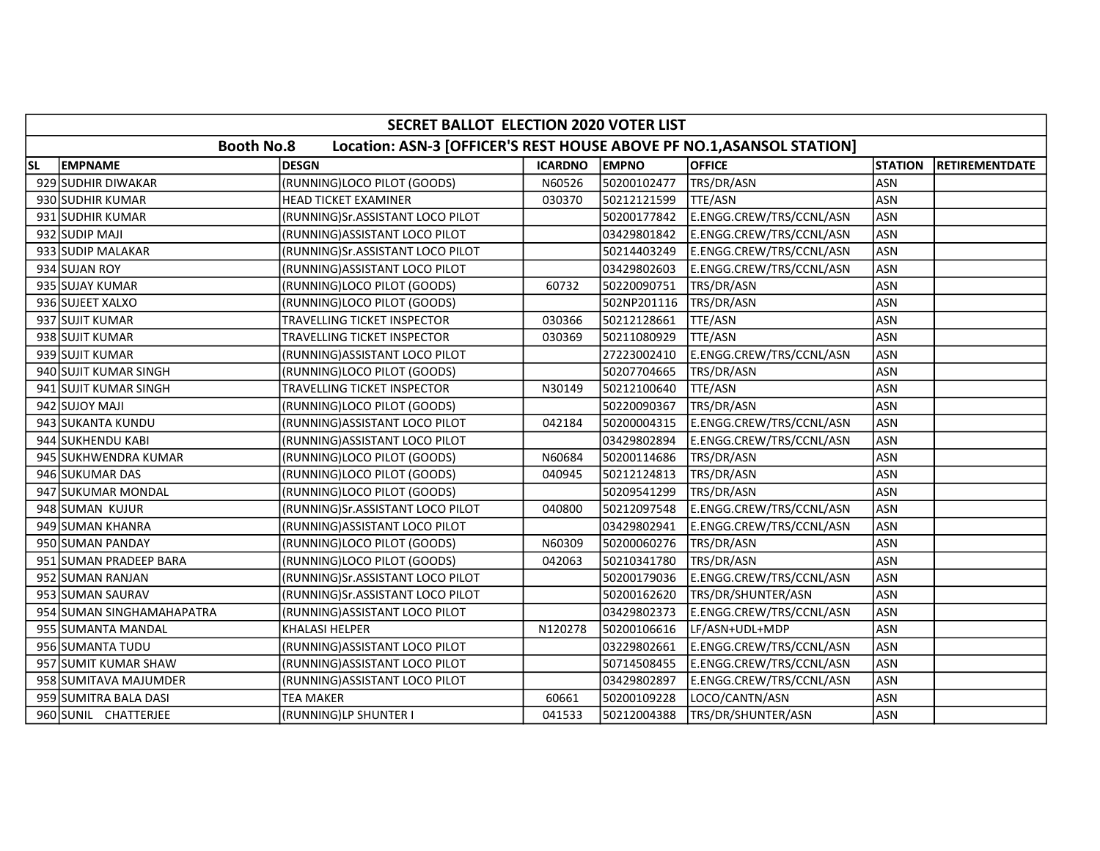|           | SECRET BALLOT ELECTION 2020 VOTER LIST |                                                                       |                |              |                          |                |                       |  |  |
|-----------|----------------------------------------|-----------------------------------------------------------------------|----------------|--------------|--------------------------|----------------|-----------------------|--|--|
|           | <b>Booth No.8</b>                      | Location: ASN-3 [OFFICER'S REST HOUSE ABOVE PF NO.1, ASANSOL STATION] |                |              |                          |                |                       |  |  |
| <b>SL</b> | <b>EMPNAME</b>                         | <b>DESGN</b>                                                          | <b>ICARDNO</b> | <b>EMPNO</b> | <b>OFFICE</b>            | <b>STATION</b> | <b>RETIREMENTDATE</b> |  |  |
|           | 929 SUDHIR DIWAKAR                     | (RUNNING)LOCO PILOT (GOODS)                                           | N60526         | 50200102477  | TRS/DR/ASN               | <b>ASN</b>     |                       |  |  |
|           | 930 SUDHIR KUMAR                       | <b>HEAD TICKET EXAMINER</b>                                           | 030370         | 50212121599  | TTE/ASN                  | <b>ASN</b>     |                       |  |  |
|           | 931 SUDHIR KUMAR                       | (RUNNING)Sr.ASSISTANT LOCO PILOT                                      |                | 50200177842  | E.ENGG.CREW/TRS/CCNL/ASN | <b>ASN</b>     |                       |  |  |
|           | 932 SUDIP MAJI                         | (RUNNING) ASSISTANT LOCO PILOT                                        |                | 03429801842  | E.ENGG.CREW/TRS/CCNL/ASN | <b>ASN</b>     |                       |  |  |
|           | 933 SUDIP MALAKAR                      | (RUNNING)Sr.ASSISTANT LOCO PILOT                                      |                | 50214403249  | E.ENGG.CREW/TRS/CCNL/ASN | <b>ASN</b>     |                       |  |  |
|           | 934 SUJAN ROY                          | (RUNNING) ASSISTANT LOCO PILOT                                        |                | 03429802603  | E.ENGG.CREW/TRS/CCNL/ASN | <b>ASN</b>     |                       |  |  |
|           | 935 SUJAY KUMAR                        | (RUNNING)LOCO PILOT (GOODS)                                           | 60732          | 50220090751  | TRS/DR/ASN               | <b>ASN</b>     |                       |  |  |
|           | 936 SUJEET XALXO                       | (RUNNING)LOCO PILOT (GOODS)                                           |                | 502NP201116  | TRS/DR/ASN               | <b>ASN</b>     |                       |  |  |
|           | 937 SUJIT KUMAR                        | TRAVELLING TICKET INSPECTOR                                           | 030366         | 50212128661  | TTE/ASN                  | <b>ASN</b>     |                       |  |  |
|           | 938 SUJIT KUMAR                        | TRAVELLING TICKET INSPECTOR                                           | 030369         | 50211080929  | TTE/ASN                  | <b>ASN</b>     |                       |  |  |
|           | 939 SUJIT KUMAR                        | (RUNNING) ASSISTANT LOCO PILOT                                        |                | 27223002410  | E.ENGG.CREW/TRS/CCNL/ASN | <b>ASN</b>     |                       |  |  |
|           | 940 SUJIT KUMAR SINGH                  | (RUNNING)LOCO PILOT (GOODS)                                           |                | 50207704665  | TRS/DR/ASN               | <b>ASN</b>     |                       |  |  |
|           | 941 SUJIT KUMAR SINGH                  | TRAVELLING TICKET INSPECTOR                                           | N30149         | 50212100640  | TTE/ASN                  | <b>ASN</b>     |                       |  |  |
|           | 942 SUJOY MAJI                         | (RUNNING)LOCO PILOT (GOODS)                                           |                | 50220090367  | TRS/DR/ASN               | <b>ASN</b>     |                       |  |  |
|           | 943 SUKANTA KUNDU                      | (RUNNING)ASSISTANT LOCO PILOT                                         | 042184         | 50200004315  | E.ENGG.CREW/TRS/CCNL/ASN | <b>ASN</b>     |                       |  |  |
|           | 944 SUKHENDU KABI                      | (RUNNING) ASSISTANT LOCO PILOT                                        |                | 03429802894  | E.ENGG.CREW/TRS/CCNL/ASN | <b>ASN</b>     |                       |  |  |
|           | 945 SUKHWENDRA KUMAR                   | (RUNNING)LOCO PILOT (GOODS)                                           | N60684         | 50200114686  | TRS/DR/ASN               | <b>ASN</b>     |                       |  |  |
|           | 946 SUKUMAR DAS                        | (RUNNING)LOCO PILOT (GOODS)                                           | 040945         | 50212124813  | TRS/DR/ASN               | <b>ASN</b>     |                       |  |  |
|           | 947 SUKUMAR MONDAL                     | (RUNNING)LOCO PILOT (GOODS)                                           |                | 50209541299  | TRS/DR/ASN               | <b>ASN</b>     |                       |  |  |
|           | 948 SUMAN KUJUR                        | (RUNNING)Sr.ASSISTANT LOCO PILOT                                      | 040800         | 50212097548  | E.ENGG.CREW/TRS/CCNL/ASN | <b>ASN</b>     |                       |  |  |
|           | 949 SUMAN KHANRA                       | (RUNNING) ASSISTANT LOCO PILOT                                        |                | 03429802941  | E.ENGG.CREW/TRS/CCNL/ASN | <b>ASN</b>     |                       |  |  |
|           | 950 SUMAN PANDAY                       | (RUNNING)LOCO PILOT (GOODS)                                           | N60309         | 50200060276  | TRS/DR/ASN               | <b>ASN</b>     |                       |  |  |
|           | 951 SUMAN PRADEEP BARA                 | (RUNNING)LOCO PILOT (GOODS)                                           | 042063         | 50210341780  | TRS/DR/ASN               | <b>ASN</b>     |                       |  |  |
|           | 952 SUMAN RANJAN                       | (RUNNING)Sr.ASSISTANT LOCO PILOT                                      |                | 50200179036  | E.ENGG.CREW/TRS/CCNL/ASN | <b>ASN</b>     |                       |  |  |
|           | 953 SUMAN SAURAV                       | (RUNNING)Sr.ASSISTANT LOCO PILOT                                      |                | 50200162620  | TRS/DR/SHUNTER/ASN       | <b>ASN</b>     |                       |  |  |
|           | 954 SUMAN SINGHAMAHAPATRA              | (RUNNING) ASSISTANT LOCO PILOT                                        |                | 03429802373  | E.ENGG.CREW/TRS/CCNL/ASN | <b>ASN</b>     |                       |  |  |
|           | 955 SUMANTA MANDAL                     | <b>KHALASI HELPER</b>                                                 | N120278        | 50200106616  | LF/ASN+UDL+MDP           | <b>ASN</b>     |                       |  |  |
|           | 956 SUMANTA TUDU                       | (RUNNING) ASSISTANT LOCO PILOT                                        |                | 03229802661  | E.ENGG.CREW/TRS/CCNL/ASN | <b>ASN</b>     |                       |  |  |
|           | 957 SUMIT KUMAR SHAW                   | (RUNNING) ASSISTANT LOCO PILOT                                        |                | 50714508455  | E.ENGG.CREW/TRS/CCNL/ASN | <b>ASN</b>     |                       |  |  |
|           | 958 SUMITAVA MAJUMDER                  | (RUNNING) ASSISTANT LOCO PILOT                                        |                | 03429802897  | E.ENGG.CREW/TRS/CCNL/ASN | <b>ASN</b>     |                       |  |  |
|           | 959 SUMITRA BALA DASI                  | TEA MAKER                                                             | 60661          | 50200109228  | LOCO/CANTN/ASN           | <b>ASN</b>     |                       |  |  |
|           | 960 SUNIL CHATTERJEE                   | (RUNNING)LP SHUNTER I                                                 | 041533         | 50212004388  | TRS/DR/SHUNTER/ASN       | <b>ASN</b>     |                       |  |  |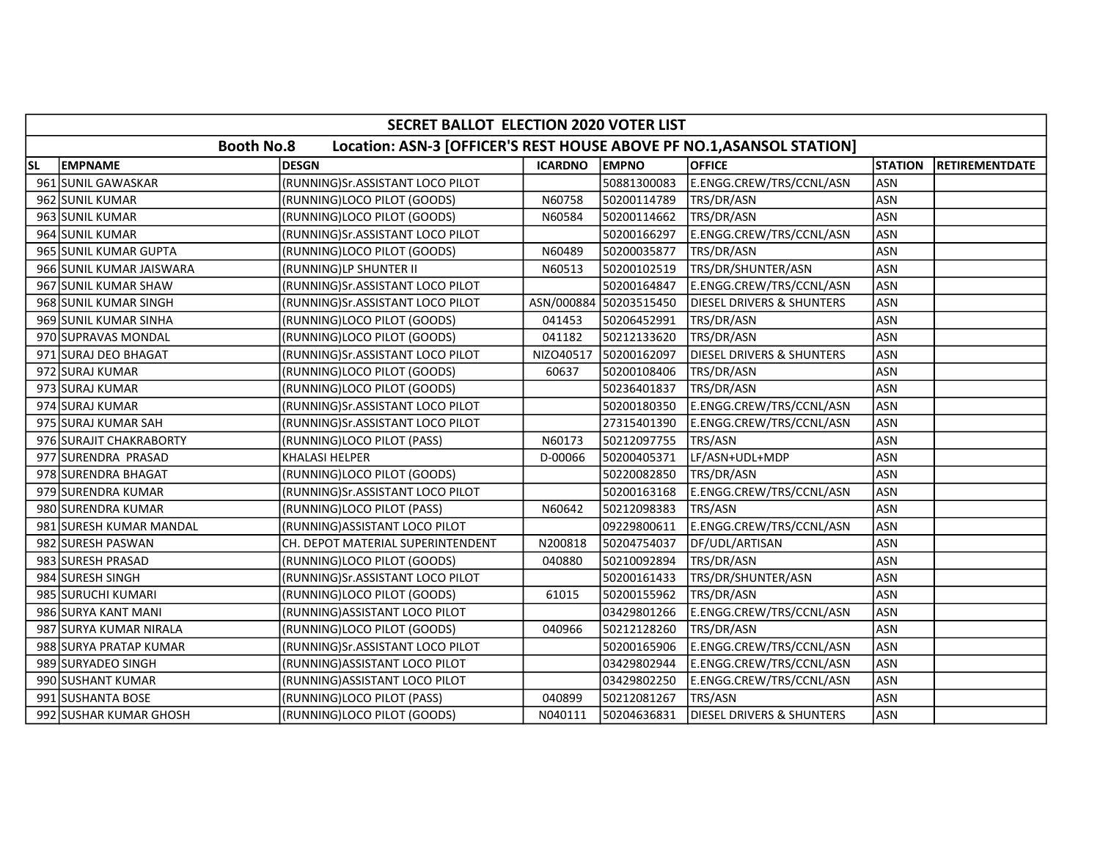|           | SECRET BALLOT ELECTION 2020 VOTER LIST                                                     |                                   |                |                        |                                      |                |                       |  |  |  |
|-----------|--------------------------------------------------------------------------------------------|-----------------------------------|----------------|------------------------|--------------------------------------|----------------|-----------------------|--|--|--|
|           | <b>Booth No.8</b><br>Location: ASN-3 [OFFICER'S REST HOUSE ABOVE PF NO.1, ASANSOL STATION] |                                   |                |                        |                                      |                |                       |  |  |  |
| <b>SL</b> | <b>EMPNAME</b>                                                                             | <b>DESGN</b>                      | <b>ICARDNO</b> | EMPNO                  | <b>OFFICE</b>                        | <b>STATION</b> | <b>RETIREMENTDATE</b> |  |  |  |
|           | 961 SUNIL GAWASKAR                                                                         | (RUNNING)Sr.ASSISTANT LOCO PILOT  |                | 50881300083            | E.ENGG.CREW/TRS/CCNL/ASN             | ASN            |                       |  |  |  |
|           | 962 SUNIL KUMAR                                                                            | (RUNNING)LOCO PILOT (GOODS)       | N60758         | 50200114789            | TRS/DR/ASN                           | ASN            |                       |  |  |  |
|           | 963 SUNIL KUMAR                                                                            | (RUNNING)LOCO PILOT (GOODS)       | N60584         | 50200114662            | TRS/DR/ASN                           | <b>ASN</b>     |                       |  |  |  |
|           | 964 SUNIL KUMAR                                                                            | (RUNNING)Sr.ASSISTANT LOCO PILOT  |                | 50200166297            | E.ENGG.CREW/TRS/CCNL/ASN             | <b>ASN</b>     |                       |  |  |  |
|           | 965 SUNIL KUMAR GUPTA                                                                      | (RUNNING)LOCO PILOT (GOODS)       | N60489         | 50200035877            | TRS/DR/ASN                           | <b>ASN</b>     |                       |  |  |  |
|           | 966 SUNIL KUMAR JAISWARA                                                                   | (RUNNING)LP SHUNTER II            | N60513         | 50200102519            | TRS/DR/SHUNTER/ASN                   | <b>ASN</b>     |                       |  |  |  |
|           | 967 SUNIL KUMAR SHAW                                                                       | (RUNNING)Sr.ASSISTANT LOCO PILOT  |                | 50200164847            | E.ENGG.CREW/TRS/CCNL/ASN             | <b>ASN</b>     |                       |  |  |  |
|           | 968 SUNIL KUMAR SINGH                                                                      | (RUNNING)Sr.ASSISTANT LOCO PILOT  |                | ASN/000884 50203515450 | DIESEL DRIVERS & SHUNTERS            | ASN            |                       |  |  |  |
|           | 969 SUNIL KUMAR SINHA                                                                      | (RUNNING)LOCO PILOT (GOODS)       | 041453         | 50206452991            | TRS/DR/ASN                           | <b>ASN</b>     |                       |  |  |  |
|           | 970 SUPRAVAS MONDAL                                                                        | (RUNNING)LOCO PILOT (GOODS)       | 041182         | 50212133620            | TRS/DR/ASN                           | <b>ASN</b>     |                       |  |  |  |
|           | 971 SURAJ DEO BHAGAT                                                                       | (RUNNING)Sr.ASSISTANT LOCO PILOT  | NIZO40517      | 50200162097            | <b>DIESEL DRIVERS &amp; SHUNTERS</b> | <b>ASN</b>     |                       |  |  |  |
|           | 972 SURAJ KUMAR                                                                            | (RUNNING)LOCO PILOT (GOODS)       | 60637          | 50200108406            | TRS/DR/ASN                           | <b>ASN</b>     |                       |  |  |  |
|           | 973 SURAJ KUMAR                                                                            | (RUNNING)LOCO PILOT (GOODS)       |                | 50236401837            | TRS/DR/ASN                           | <b>ASN</b>     |                       |  |  |  |
|           | 974 SURAJ KUMAR                                                                            | (RUNNING)Sr.ASSISTANT LOCO PILOT  |                | 50200180350            | E.ENGG.CREW/TRS/CCNL/ASN             | <b>ASN</b>     |                       |  |  |  |
|           | 975 SURAJ KUMAR SAH                                                                        | (RUNNING)Sr.ASSISTANT LOCO PILOT  |                | 27315401390            | E.ENGG.CREW/TRS/CCNL/ASN             | <b>ASN</b>     |                       |  |  |  |
|           | 976 SURAJIT CHAKRABORTY                                                                    | (RUNNING)LOCO PILOT (PASS)        | N60173         | 50212097755            | TRS/ASN                              | <b>ASN</b>     |                       |  |  |  |
|           | 977 SURENDRA PRASAD                                                                        | KHALASI HELPER                    | D-00066        | 50200405371            | LF/ASN+UDL+MDP                       | <b>ASN</b>     |                       |  |  |  |
|           | 978 SURENDRA BHAGAT                                                                        | (RUNNING)LOCO PILOT (GOODS)       |                | 50220082850            | TRS/DR/ASN                           | <b>ASN</b>     |                       |  |  |  |
|           | 979 SURENDRA KUMAR                                                                         | (RUNNING)Sr.ASSISTANT LOCO PILOT  |                | 50200163168            | E.ENGG.CREW/TRS/CCNL/ASN             | <b>ASN</b>     |                       |  |  |  |
|           | 980 SURENDRA KUMAR                                                                         | (RUNNING)LOCO PILOT (PASS)        | N60642         | 50212098383            | TRS/ASN                              | <b>ASN</b>     |                       |  |  |  |
|           | 981 SURESH KUMAR MANDAL                                                                    | (RUNNING) ASSISTANT LOCO PILOT    |                | 09229800611            | E.ENGG.CREW/TRS/CCNL/ASN             | <b>ASN</b>     |                       |  |  |  |
|           | 982 SURESH PASWAN                                                                          | CH. DEPOT MATERIAL SUPERINTENDENT | N200818        | 50204754037            | DF/UDL/ARTISAN                       | <b>ASN</b>     |                       |  |  |  |
|           | 983 SURESH PRASAD                                                                          | (RUNNING)LOCO PILOT (GOODS)       | 040880         | 50210092894            | TRS/DR/ASN                           | <b>ASN</b>     |                       |  |  |  |
|           | 984 SURESH SINGH                                                                           | (RUNNING)Sr.ASSISTANT LOCO PILOT  |                | 50200161433            | TRS/DR/SHUNTER/ASN                   | <b>ASN</b>     |                       |  |  |  |
|           | 985 SURUCHI KUMARI                                                                         | (RUNNING)LOCO PILOT (GOODS)       | 61015          | 50200155962            | TRS/DR/ASN                           | ASN            |                       |  |  |  |
|           | 986 SURYA KANT MANI                                                                        | (RUNNING) ASSISTANT LOCO PILOT    |                | 03429801266            | E.ENGG.CREW/TRS/CCNL/ASN             | <b>ASN</b>     |                       |  |  |  |
|           | 987 SURYA KUMAR NIRALA                                                                     | (RUNNING)LOCO PILOT (GOODS)       | 040966         | 50212128260            | TRS/DR/ASN                           | <b>ASN</b>     |                       |  |  |  |
|           | 988 SURYA PRATAP KUMAR                                                                     | (RUNNING)Sr.ASSISTANT LOCO PILOT  |                | 50200165906            | E.ENGG.CREW/TRS/CCNL/ASN             | <b>ASN</b>     |                       |  |  |  |
|           | 989 SURYADEO SINGH                                                                         | (RUNNING) ASSISTANT LOCO PILOT    |                | 03429802944            | E.ENGG.CREW/TRS/CCNL/ASN             | <b>ASN</b>     |                       |  |  |  |
|           | 990 SUSHANT KUMAR                                                                          | (RUNNING) ASSISTANT LOCO PILOT    |                | 03429802250            | E.ENGG.CREW/TRS/CCNL/ASN             | <b>ASN</b>     |                       |  |  |  |
|           | 991 SUSHANTA BOSE                                                                          | (RUNNING)LOCO PILOT (PASS)        | 040899         | 50212081267            | TRS/ASN                              | <b>ASN</b>     |                       |  |  |  |
|           | 992 SUSHAR KUMAR GHOSH                                                                     | (RUNNING)LOCO PILOT (GOODS)       | N040111        | 50204636831            | DIESEL DRIVERS & SHUNTERS            | <b>ASN</b>     |                       |  |  |  |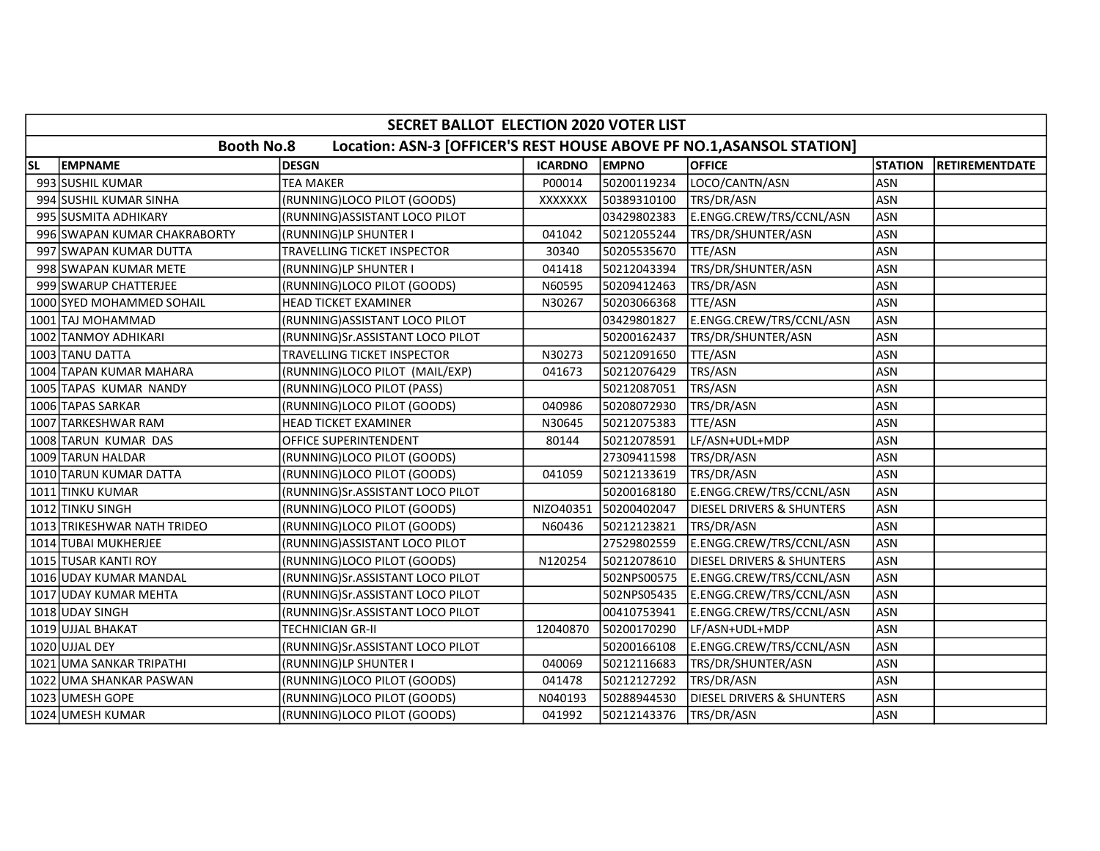|           | SECRET BALLOT ELECTION 2020 VOTER LIST                                                     |                                  |                |              |                                      |                |                       |  |  |  |
|-----------|--------------------------------------------------------------------------------------------|----------------------------------|----------------|--------------|--------------------------------------|----------------|-----------------------|--|--|--|
|           | <b>Booth No.8</b><br>Location: ASN-3 [OFFICER'S REST HOUSE ABOVE PF NO.1, ASANSOL STATION] |                                  |                |              |                                      |                |                       |  |  |  |
| <b>SL</b> | <b>EMPNAME</b>                                                                             | <b>DESGN</b>                     | <b>ICARDNO</b> | <b>EMPNO</b> | <b>OFFICE</b>                        | <b>STATION</b> | <b>RETIREMENTDATE</b> |  |  |  |
|           | 993 SUSHIL KUMAR                                                                           | <b>TEA MAKER</b>                 | P00014         | 50200119234  | LOCO/CANTN/ASN                       | <b>ASN</b>     |                       |  |  |  |
|           | 994 SUSHIL KUMAR SINHA                                                                     | (RUNNING)LOCO PILOT (GOODS)      | XXXXXXX        | 50389310100  | TRS/DR/ASN                           | <b>ASN</b>     |                       |  |  |  |
|           | 995 SUSMITA ADHIKARY                                                                       | (RUNNING) ASSISTANT LOCO PILOT   |                | 03429802383  | E.ENGG.CREW/TRS/CCNL/ASN             | <b>ASN</b>     |                       |  |  |  |
|           | 996 SWAPAN KUMAR CHAKRABORTY                                                               | (RUNNING)LP SHUNTER I            | 041042         | 50212055244  | TRS/DR/SHUNTER/ASN                   | <b>ASN</b>     |                       |  |  |  |
|           | 997 SWAPAN KUMAR DUTTA                                                                     | TRAVELLING TICKET INSPECTOR      | 30340          | 50205535670  | TTE/ASN                              | <b>ASN</b>     |                       |  |  |  |
|           | 998 SWAPAN KUMAR METE                                                                      | (RUNNING)LP SHUNTER I            | 041418         | 50212043394  | TRS/DR/SHUNTER/ASN                   | <b>ASN</b>     |                       |  |  |  |
|           | 999 SWARUP CHATTERJEE                                                                      | (RUNNING)LOCO PILOT (GOODS)      | N60595         | 50209412463  | TRS/DR/ASN                           | <b>ASN</b>     |                       |  |  |  |
|           | 1000 SYED MOHAMMED SOHAIL                                                                  | <b>HEAD TICKET EXAMINER</b>      | N30267         | 50203066368  | TTE/ASN                              | <b>ASN</b>     |                       |  |  |  |
|           | 1001 TAJ MOHAMMAD                                                                          | (RUNNING) ASSISTANT LOCO PILOT   |                | 03429801827  | E.ENGG.CREW/TRS/CCNL/ASN             | <b>ASN</b>     |                       |  |  |  |
|           | 1002 TANMOY ADHIKARI                                                                       | (RUNNING)Sr.ASSISTANT LOCO PILOT |                | 50200162437  | TRS/DR/SHUNTER/ASN                   | <b>ASN</b>     |                       |  |  |  |
|           | 1003 TANU DATTA                                                                            | TRAVELLING TICKET INSPECTOR      | N30273         | 50212091650  | TTE/ASN                              | <b>ASN</b>     |                       |  |  |  |
|           | 1004 TAPAN KUMAR MAHARA                                                                    | (RUNNING)LOCO PILOT (MAIL/EXP)   | 041673         | 50212076429  | TRS/ASN                              | <b>ASN</b>     |                       |  |  |  |
|           | 1005 TAPAS KUMAR NANDY                                                                     | (RUNNING)LOCO PILOT (PASS)       |                | 50212087051  | TRS/ASN                              | <b>ASN</b>     |                       |  |  |  |
|           | 1006 TAPAS SARKAR                                                                          | (RUNNING)LOCO PILOT (GOODS)      | 040986         | 50208072930  | TRS/DR/ASN                           | <b>ASN</b>     |                       |  |  |  |
|           | 1007 TARKESHWAR RAM                                                                        | HEAD TICKET EXAMINER             | N30645         | 50212075383  | TTE/ASN                              | <b>ASN</b>     |                       |  |  |  |
|           | 1008 TARUN KUMAR DAS                                                                       | OFFICE SUPERINTENDENT            | 80144          | 50212078591  | LF/ASN+UDL+MDP                       | <b>ASN</b>     |                       |  |  |  |
|           | 1009 TARUN HALDAR                                                                          | (RUNNING)LOCO PILOT (GOODS)      |                | 27309411598  | TRS/DR/ASN                           | <b>ASN</b>     |                       |  |  |  |
|           | 1010 TARUN KUMAR DATTA                                                                     | (RUNNING)LOCO PILOT (GOODS)      | 041059         | 50212133619  | TRS/DR/ASN                           | <b>ASN</b>     |                       |  |  |  |
|           | 1011 TINKU KUMAR                                                                           | (RUNNING)Sr.ASSISTANT LOCO PILOT |                | 50200168180  | E.ENGG.CREW/TRS/CCNL/ASN             | <b>ASN</b>     |                       |  |  |  |
|           | 1012 TINKU SINGH                                                                           | (RUNNING)LOCO PILOT (GOODS)      | NIZO40351      | 50200402047  | DIESEL DRIVERS & SHUNTERS            | <b>ASN</b>     |                       |  |  |  |
|           | 1013 TRIKESHWAR NATH TRIDEO                                                                | (RUNNING)LOCO PILOT (GOODS)      | N60436         | 50212123821  | TRS/DR/ASN                           | <b>ASN</b>     |                       |  |  |  |
|           | 1014 TUBAI MUKHERJEE                                                                       | (RUNNING) ASSISTANT LOCO PILOT   |                | 27529802559  | E.ENGG.CREW/TRS/CCNL/ASN             | <b>ASN</b>     |                       |  |  |  |
|           | 1015 TUSAR KANTI ROY                                                                       | (RUNNING)LOCO PILOT (GOODS)      | N120254        | 50212078610  | <b>DIESEL DRIVERS &amp; SHUNTERS</b> | <b>ASN</b>     |                       |  |  |  |
|           | 1016 UDAY KUMAR MANDAL                                                                     | (RUNNING)Sr.ASSISTANT LOCO PILOT |                | 502NPS00575  | E.ENGG.CREW/TRS/CCNL/ASN             | <b>ASN</b>     |                       |  |  |  |
|           | 1017 UDAY KUMAR MEHTA                                                                      | (RUNNING)Sr.ASSISTANT LOCO PILOT |                | 502NPS05435  | E.ENGG.CREW/TRS/CCNL/ASN             | <b>ASN</b>     |                       |  |  |  |
|           | 1018 UDAY SINGH                                                                            | (RUNNING)Sr.ASSISTANT LOCO PILOT |                | 00410753941  | E.ENGG.CREW/TRS/CCNL/ASN             | <b>ASN</b>     |                       |  |  |  |
|           | 1019 UJJAL BHAKAT                                                                          | TECHNICIAN GR-II                 | 12040870       | 50200170290  | LF/ASN+UDL+MDP                       | <b>ASN</b>     |                       |  |  |  |
|           | 1020 UJJAL DEY                                                                             | (RUNNING)Sr.ASSISTANT LOCO PILOT |                | 50200166108  | E.ENGG.CREW/TRS/CCNL/ASN             | <b>ASN</b>     |                       |  |  |  |
|           | 1021 UMA SANKAR TRIPATHI                                                                   | (RUNNING)LP SHUNTER I            | 040069         | 50212116683  | TRS/DR/SHUNTER/ASN                   | <b>ASN</b>     |                       |  |  |  |
|           | 1022 UMA SHANKAR PASWAN                                                                    | (RUNNING)LOCO PILOT (GOODS)      | 041478         | 50212127292  | TRS/DR/ASN                           | <b>ASN</b>     |                       |  |  |  |
|           | 1023 UMESH GOPE                                                                            | (RUNNING)LOCO PILOT (GOODS)      | N040193        | 50288944530  | <b>DIESEL DRIVERS &amp; SHUNTERS</b> | <b>ASN</b>     |                       |  |  |  |
|           | 1024 UMESH KUMAR                                                                           | (RUNNING)LOCO PILOT (GOODS)      | 041992         | 50212143376  | TRS/DR/ASN                           | ASN            |                       |  |  |  |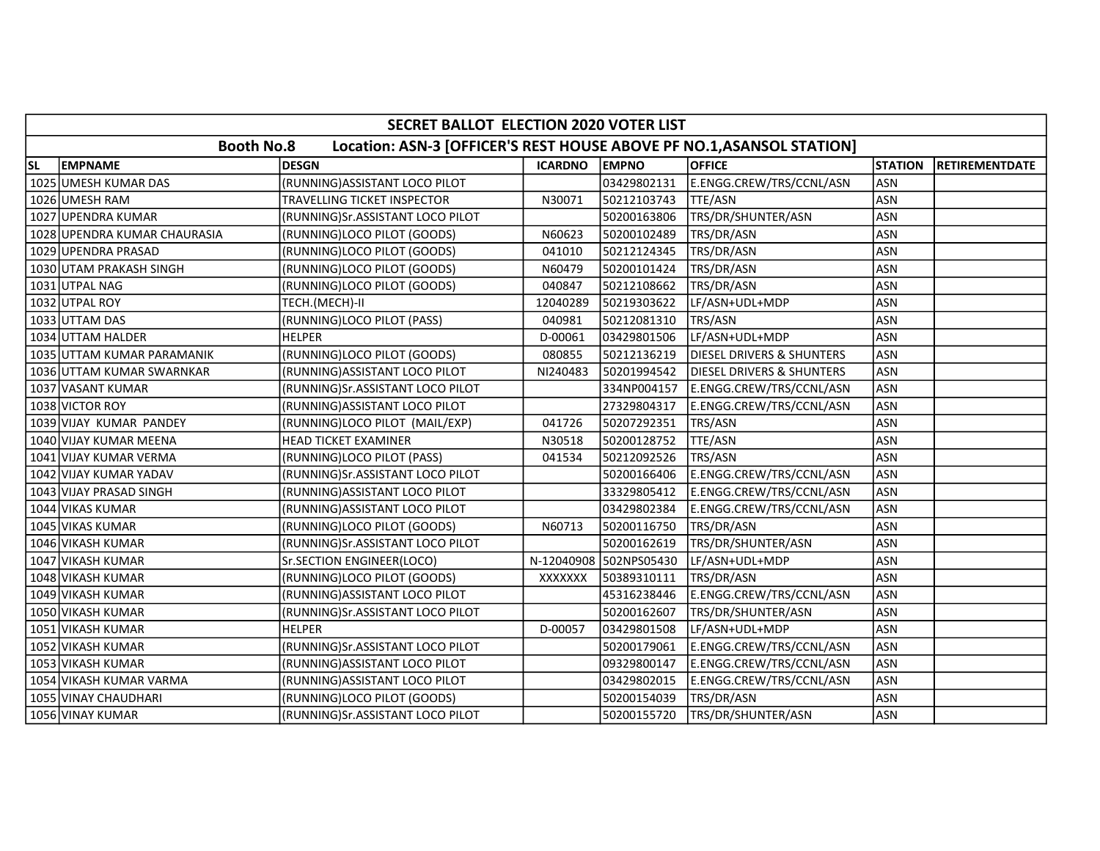|           | SECRET BALLOT ELECTION 2020 VOTER LIST                                                     |                                  |                |                        |                                      |                |                       |  |  |  |
|-----------|--------------------------------------------------------------------------------------------|----------------------------------|----------------|------------------------|--------------------------------------|----------------|-----------------------|--|--|--|
|           | <b>Booth No.8</b><br>Location: ASN-3 [OFFICER'S REST HOUSE ABOVE PF NO.1, ASANSOL STATION] |                                  |                |                        |                                      |                |                       |  |  |  |
| <b>SL</b> | <b>EMPNAME</b>                                                                             | <b>DESGN</b>                     | <b>ICARDNO</b> | <b>EMPNO</b>           | <b>OFFICE</b>                        | <b>STATION</b> | <b>RETIREMENTDATE</b> |  |  |  |
|           | 1025 UMESH KUMAR DAS                                                                       | (RUNNING) ASSISTANT LOCO PILOT   |                | 03429802131            | E.ENGG.CREW/TRS/CCNL/ASN             | <b>ASN</b>     |                       |  |  |  |
|           | 1026 UMESH RAM                                                                             | TRAVELLING TICKET INSPECTOR      | N30071         | 50212103743            | TTE/ASN                              | <b>ASN</b>     |                       |  |  |  |
|           | 1027 UPENDRA KUMAR                                                                         | (RUNNING)Sr.ASSISTANT LOCO PILOT |                | 50200163806            | TRS/DR/SHUNTER/ASN                   | <b>ASN</b>     |                       |  |  |  |
|           | 1028 UPENDRA KUMAR CHAURASIA                                                               | (RUNNING)LOCO PILOT (GOODS)      | N60623         | 50200102489            | TRS/DR/ASN                           | <b>ASN</b>     |                       |  |  |  |
|           | 1029 UPENDRA PRASAD                                                                        | (RUNNING)LOCO PILOT (GOODS)      | 041010         | 50212124345            | TRS/DR/ASN                           | <b>ASN</b>     |                       |  |  |  |
|           | 1030 UTAM PRAKASH SINGH                                                                    | (RUNNING)LOCO PILOT (GOODS)      | N60479         | 50200101424            | TRS/DR/ASN                           | <b>ASN</b>     |                       |  |  |  |
|           | 1031 UTPAL NAG                                                                             | (RUNNING)LOCO PILOT (GOODS)      | 040847         | 50212108662            | TRS/DR/ASN                           | <b>ASN</b>     |                       |  |  |  |
|           | 1032 UTPAL ROY                                                                             | TECH.(MECH)-II                   | 12040289       | 50219303622            | LF/ASN+UDL+MDP                       | <b>ASN</b>     |                       |  |  |  |
|           | 1033 UTTAM DAS                                                                             | (RUNNING)LOCO PILOT (PASS)       | 040981         | 50212081310            | TRS/ASN                              | <b>ASN</b>     |                       |  |  |  |
|           | 1034 UTTAM HALDER                                                                          | <b>HELPER</b>                    | D-00061        | 03429801506            | LF/ASN+UDL+MDP                       | <b>ASN</b>     |                       |  |  |  |
|           | 1035 UTTAM KUMAR PARAMANIK                                                                 | (RUNNING)LOCO PILOT (GOODS)      | 080855         | 50212136219            | DIESEL DRIVERS & SHUNTERS            | <b>ASN</b>     |                       |  |  |  |
|           | 1036 UTTAM KUMAR SWARNKAR                                                                  | (RUNNING) ASSISTANT LOCO PILOT   | NI240483       | 50201994542            | <b>DIESEL DRIVERS &amp; SHUNTERS</b> | <b>ASN</b>     |                       |  |  |  |
|           | 1037 VASANT KUMAR                                                                          | (RUNNING)Sr.ASSISTANT LOCO PILOT |                | 334NP004157            | E.ENGG.CREW/TRS/CCNL/ASN             | <b>ASN</b>     |                       |  |  |  |
|           | 1038 VICTOR ROY                                                                            | (RUNNING) ASSISTANT LOCO PILOT   |                | 27329804317            | E.ENGG.CREW/TRS/CCNL/ASN             | <b>ASN</b>     |                       |  |  |  |
|           | 1039 VIJAY KUMAR PANDEY                                                                    | (RUNNING)LOCO PILOT (MAIL/EXP)   | 041726         | 50207292351            | TRS/ASN                              | <b>ASN</b>     |                       |  |  |  |
|           | 1040 VIJAY KUMAR MEENA                                                                     | HEAD TICKET EXAMINER             | N30518         | 50200128752            | TTE/ASN                              | <b>ASN</b>     |                       |  |  |  |
|           | 1041 VIJAY KUMAR VERMA                                                                     | (RUNNING)LOCO PILOT (PASS)       | 041534         | 50212092526            | TRS/ASN                              | <b>ASN</b>     |                       |  |  |  |
|           | 1042 VIJAY KUMAR YADAV                                                                     | (RUNNING)Sr.ASSISTANT LOCO PILOT |                | 50200166406            | E.ENGG.CREW/TRS/CCNL/ASN             | <b>ASN</b>     |                       |  |  |  |
|           | 1043 VIJAY PRASAD SINGH                                                                    | (RUNNING) ASSISTANT LOCO PILOT   |                | 33329805412            | E.ENGG.CREW/TRS/CCNL/ASN             | <b>ASN</b>     |                       |  |  |  |
|           | 1044 VIKAS KUMAR                                                                           | (RUNNING) ASSISTANT LOCO PILOT   |                | 03429802384            | E.ENGG.CREW/TRS/CCNL/ASN             | <b>ASN</b>     |                       |  |  |  |
|           | 1045 VIKAS KUMAR                                                                           | (RUNNING)LOCO PILOT (GOODS)      | N60713         | 50200116750            | TRS/DR/ASN                           | <b>ASN</b>     |                       |  |  |  |
|           | 1046 VIKASH KUMAR                                                                          | (RUNNING)Sr.ASSISTANT LOCO PILOT |                | 50200162619            | TRS/DR/SHUNTER/ASN                   | <b>ASN</b>     |                       |  |  |  |
|           | 1047 VIKASH KUMAR                                                                          | Sr.SECTION ENGINEER(LOCO)        |                | N-12040908 502NPS05430 | LF/ASN+UDL+MDP                       | <b>ASN</b>     |                       |  |  |  |
|           | 1048 VIKASH KUMAR                                                                          | (RUNNING)LOCO PILOT (GOODS)      | <b>XXXXXXX</b> | 50389310111            | TRS/DR/ASN                           | <b>ASN</b>     |                       |  |  |  |
|           | 1049 VIKASH KUMAR                                                                          | (RUNNING) ASSISTANT LOCO PILOT   |                | 45316238446            | E.ENGG.CREW/TRS/CCNL/ASN             | <b>ASN</b>     |                       |  |  |  |
|           | 1050 VIKASH KUMAR                                                                          | (RUNNING)Sr.ASSISTANT LOCO PILOT |                | 50200162607            | TRS/DR/SHUNTER/ASN                   | <b>ASN</b>     |                       |  |  |  |
|           | 1051 VIKASH KUMAR                                                                          | <b>HELPER</b>                    | D-00057        | 03429801508            | LF/ASN+UDL+MDP                       | <b>ASN</b>     |                       |  |  |  |
|           | 1052 VIKASH KUMAR                                                                          | (RUNNING)Sr.ASSISTANT LOCO PILOT |                | 50200179061            | E.ENGG.CREW/TRS/CCNL/ASN             | <b>ASN</b>     |                       |  |  |  |
|           | 1053 VIKASH KUMAR                                                                          | (RUNNING) ASSISTANT LOCO PILOT   |                | 09329800147            | E.ENGG.CREW/TRS/CCNL/ASN             | <b>ASN</b>     |                       |  |  |  |
|           | 1054 VIKASH KUMAR VARMA                                                                    | (RUNNING)ASSISTANT LOCO PILOT    |                | 03429802015            | E.ENGG.CREW/TRS/CCNL/ASN             | <b>ASN</b>     |                       |  |  |  |
|           | 1055 VINAY CHAUDHARI                                                                       | (RUNNING)LOCO PILOT (GOODS)      |                | 50200154039            | TRS/DR/ASN                           | <b>ASN</b>     |                       |  |  |  |
|           | 1056 VINAY KUMAR                                                                           | (RUNNING)Sr.ASSISTANT LOCO PILOT |                | 50200155720            | TRS/DR/SHUNTER/ASN                   | <b>ASN</b>     |                       |  |  |  |